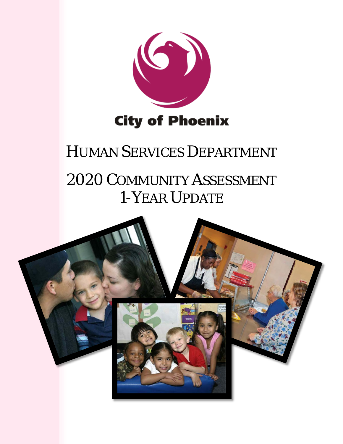

# HUMAN SERVICES DEPARTMENT

# 2020 COMMUNITY ASSESSMENT 1-YEAR UPDATE

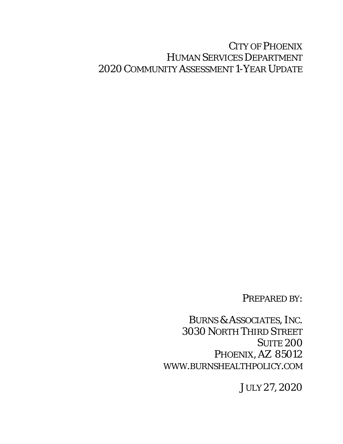## CITY OF PHOENIX HUMAN SERVICES DEPARTMENT 2020 COMMUNITY ASSESSMENT 1-YEAR UPDATE

## PREPARED BY:

BURNS & ASSOCIATES, INC. 3030 NORTH THIRD STREET **SUITE 200** PHOENIX, AZ 85012 WWW.BURNSHEALTHPOLICY.COM

JULY 27, 2020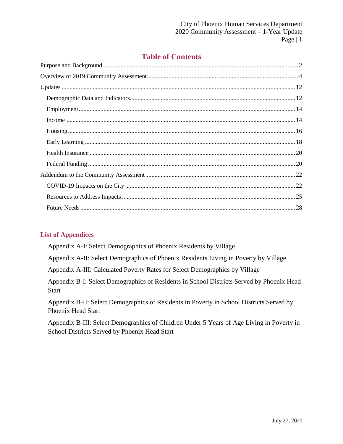## **Table of Contents**

## **List of Appendices**

Appendix A-I: Select Demographics of Phoenix Residents by Village

Appendix A-II: Select Demographics of Phoenix Residents Living in Poverty by Village

Appendix A-III: Calculated Poverty Rates for Select Demographics by Village

Appendix B-I: Select Demographics of Residents in School Districts Served by Phoenix Head Start

Appendix B-II: Select Demographics of Residents in Poverty in School Districts Served by Phoenix Head Start

Appendix B-III: Select Demographics of Children Under 5 Years of Age Living in Poverty in School Districts Served by Phoenix Head Start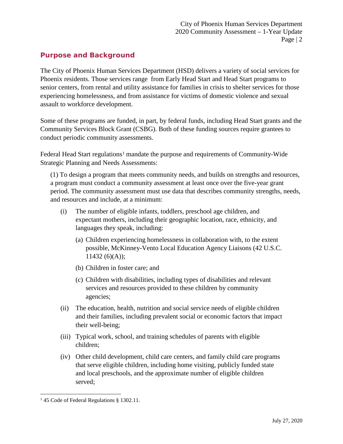## <span id="page-3-0"></span>**Purpose and Background**

The City of Phoenix Human Services Department (HSD) delivers a variety of social services for Phoenix residents. Those services range from Early Head Start and Head Start programs to senior centers, from rental and utility assistance for families in crisis to shelter services for those experiencing homelessness, and from assistance for victims of domestic violence and sexual assault to workforce development.

Some of these programs are funded, in part, by federal funds, including Head Start grants and the Community Services Block Grant (CSBG). Both of these funding sources require grantees to conduct periodic community assessments.

Federal Head Start regulations<sup>[1](#page-3-1)</sup> mandate the purpose and requirements of Community-Wide Strategic Planning and Needs Assessments:

(1) To design a program that meets community needs, and builds on strengths and resources, a program must conduct a community assessment at least once over the five-year grant period. The community assessment must use data that describes community strengths, needs, and resources and include, at a minimum:

- (i) The number of eligible infants, toddlers, preschool age children, and expectant mothers, including their geographic location, race, ethnicity, and languages they speak, including:
	- (a) Children experiencing homelessness in collaboration with, to the extent possible, McKinney-Vento Local Education Agency Liaisons (42 U.S.C.  $11432 (6)(A);$
	- (b) Children in foster care; and
	- (c) Children with disabilities, including types of disabilities and relevant services and resources provided to these children by community agencies;
- (ii) The education, health, nutrition and social service needs of eligible children and their families, including prevalent social or economic factors that impact their well-being;
- (iii) Typical work, school, and training schedules of parents with eligible children;
- (iv) Other child development, child care centers, and family child care programs that serve eligible children, including home visiting, publicly funded state and local preschools, and the approximate number of eligible children served;

l

<span id="page-3-1"></span><sup>&</sup>lt;sup>1</sup> 45 Code of Federal Regulations § 1302.11.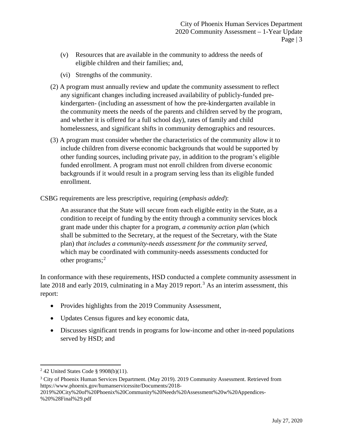- (v) Resources that are available in the community to address the needs of eligible children and their families; and,
- (vi) Strengths of the community.
- (2) A program must annually review and update the community assessment to reflect any significant changes including increased availability of publicly-funded prekindergarten- (including an assessment of how the pre-kindergarten available in the community meets the needs of the parents and children served by the program, and whether it is offered for a full school day), rates of family and child homelessness, and significant shifts in community demographics and resources.
- (3) A program must consider whether the characteristics of the community allow it to include children from diverse economic backgrounds that would be supported by other funding sources, including private pay, in addition to the program's eligible funded enrollment. A program must not enroll children from diverse economic backgrounds if it would result in a program serving less than its eligible funded enrollment.

CSBG requirements are less prescriptive, requiring (*emphasis added*):

An assurance that the State will secure from each eligible entity in the State, as a condition to receipt of funding by the entity through a community services block grant made under this chapter for a program, *a community action plan* (which shall be submitted to the Secretary, at the request of the Secretary, with the State plan) *that includes a community-needs assessment for the community served*, which may be coordinated with community-needs assessments conducted for other programs; $^2$  $^2$ 

In conformance with these requirements, HSD conducted a complete community assessment in late 2018 and early 2019, culminating in a May 2019 report.<sup>[3](#page-4-1)</sup> As an interim assessment, this report:

- Provides highlights from the 2019 Community Assessment,
- Updates Census figures and key economic data,
- Discusses significant trends in programs for low-income and other in-need populations served by HSD; and

 $\overline{\phantom{a}}$ 

<span id="page-4-0"></span> $2$  42 United States Code § 9908(b)(11).

<span id="page-4-1"></span><sup>&</sup>lt;sup>3</sup> City of Phoenix Human Services Department. (May 2019). 2019 Community Assessment. Retrieved from https://www.phoenix.gov/humanservicessite/Documents/2018-

<sup>2019%20</sup>City%20of%20Phoenix%20Community%20Needs%20Assessment%20w%20Appendices- %20%28Final%29.pdf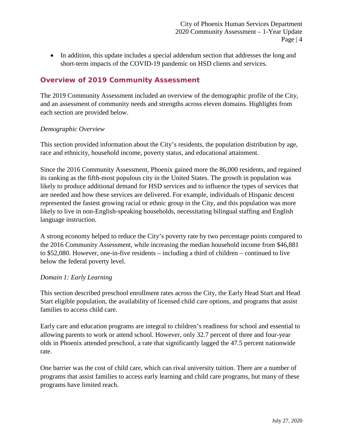• In addition, this update includes a special addendum section that addresses the long and short-term impacts of the COVID-19 pandemic on HSD clients and services.

## <span id="page-5-0"></span>**Overview of 2019 Community Assessment**

The 2019 Community Assessment included an overview of the demographic profile of the City, and an assessment of community needs and strengths across eleven domains. Highlights from each section are provided below.

### *Demographic Overview*

This section provided information about the City's residents, the population distribution by age, race and ethnicity, household income, poverty status, and educational attainment.

Since the 2016 Community Assessment, Phoenix gained more the 86,000 residents, and regained its ranking as the fifth-most populous city in the United States. The growth in population was likely to produce additional demand for HSD services and to influence the types of services that are needed and how these services are delivered. For example, individuals of Hispanic descent represented the fastest growing racial or ethnic group in the City, and this population was more likely to live in non-English-speaking households, necessitating bilingual staffing and English language instruction.

A strong economy helped to reduce the City's poverty rate by two percentage points compared to the 2016 Community Assessment, while increasing the median household income from \$46,881 to \$52,080. However, one-in-five residents – including a third of children – continued to live below the federal poverty level.

#### *Domain 1: Early Learning*

This section described preschool enrollment rates across the City, the Early Head Start and Head Start eligible population, the availability of licensed child care options, and programs that assist families to access child care.

Early care and education programs are integral to children's readiness for school and essential to allowing parents to work or attend school. However, only 32.7 percent of three and four-year olds in Phoenix attended preschool, a rate that significantly lagged the 47.5 percent nationwide rate.

One barrier was the cost of child care, which can rival university tuition. There are a number of programs that assist families to access early learning and child care programs, but many of these programs have limited reach.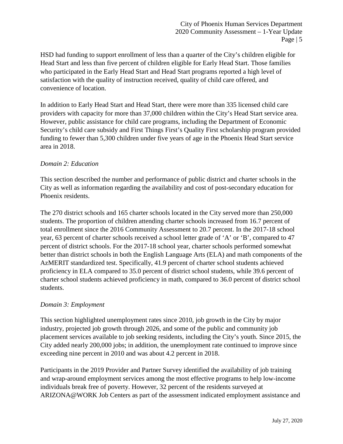HSD had funding to support enrollment of less than a quarter of the City's children eligible for Head Start and less than five percent of children eligible for Early Head Start. Those families who participated in the Early Head Start and Head Start programs reported a high level of satisfaction with the quality of instruction received, quality of child care offered, and convenience of location.

In addition to Early Head Start and Head Start, there were more than 335 licensed child care providers with capacity for more than 37,000 children within the City's Head Start service area. However, public assistance for child care programs, including the Department of Economic Security's child care subsidy and First Things First's Quality First scholarship program provided funding to fewer than 5,300 children under five years of age in the Phoenix Head Start service area in 2018.

## *Domain 2: Education*

This section described the number and performance of public district and charter schools in the City as well as information regarding the availability and cost of post-secondary education for Phoenix residents.

The 270 district schools and 165 charter schools located in the City served more than 250,000 students. The proportion of children attending charter schools increased from 16.7 percent of total enrollment since the 2016 Community Assessment to 20.7 percent. In the 2017-18 school year, 63 percent of charter schools received a school letter grade of 'A' or 'B', compared to 47 percent of district schools. For the 2017-18 school year, charter schools performed somewhat better than district schools in both the English Language Arts (ELA) and math components of the AzMERIT standardized test. Specifically, 41.9 percent of charter school students achieved proficiency in ELA compared to 35.0 percent of district school students, while 39.6 percent of charter school students achieved proficiency in math, compared to 36.0 percent of district school students.

## *Domain 3: Employment*

This section highlighted unemployment rates since 2010, job growth in the City by major industry, projected job growth through 2026, and some of the public and community job placement services available to job seeking residents, including the City's youth. Since 2015, the City added nearly 200,000 jobs; in addition, the unemployment rate continued to improve since exceeding nine percent in 2010 and was about 4.2 percent in 2018.

Participants in the 2019 Provider and Partner Survey identified the availability of job training and wrap-around employment services among the most effective programs to help low-income individuals break free of poverty. However, 32 percent of the residents surveyed at ARIZONA@WORK Job Centers as part of the assessment indicated employment assistance and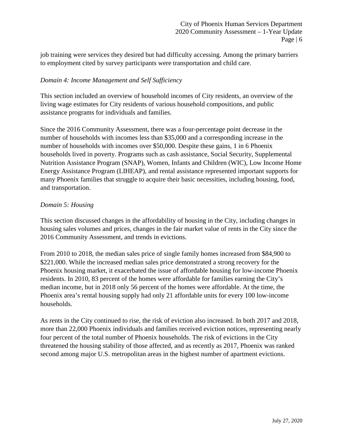job training were services they desired but had difficulty accessing. Among the primary barriers to employment cited by survey participants were transportation and child care.

## *Domain 4: Income Management and Self Sufficiency*

This section included an overview of household incomes of City residents, an overview of the living wage estimates for City residents of various household compositions, and public assistance programs for individuals and families.

Since the 2016 Community Assessment, there was a four-percentage point decrease in the number of households with incomes less than \$35,000 and a corresponding increase in the number of households with incomes over \$50,000. Despite these gains, 1 in 6 Phoenix households lived in poverty. Programs such as cash assistance, Social Security, Supplemental Nutrition Assistance Program (SNAP), Women, Infants and Children (WIC), Low Income Home Energy Assistance Program (LIHEAP), and rental assistance represented important supports for many Phoenix families that struggle to acquire their basic necessities, including housing, food, and transportation.

#### *Domain 5: Housing*

This section discussed changes in the affordability of housing in the City, including changes in housing sales volumes and prices, changes in the fair market value of rents in the City since the 2016 Community Assessment, and trends in evictions.

From 2010 to 2018, the median sales price of single family homes increased from \$84,900 to \$221,000. While the increased median sales price demonstrated a strong recovery for the Phoenix housing market, it exacerbated the issue of affordable housing for low-income Phoenix residents. In 2010, 83 percent of the homes were affordable for families earning the City's median income, but in 2018 only 56 percent of the homes were affordable. At the time, the Phoenix area's rental housing supply had only 21 affordable units for every 100 low-income households.

As rents in the City continued to rise, the risk of eviction also increased. In both 2017 and 2018, more than 22,000 Phoenix individuals and families received eviction notices, representing nearly four percent of the total number of Phoenix households. The risk of evictions in the City threatened the housing stability of those affected, and as recently as 2017, Phoenix was ranked second among major U.S. metropolitan areas in the highest number of apartment evictions.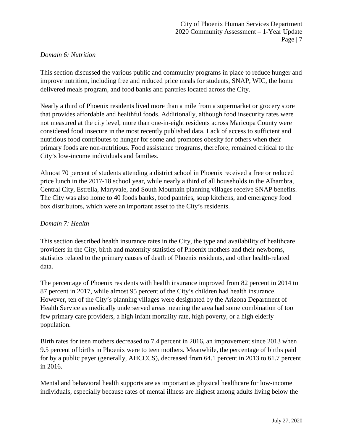#### *Domain 6: Nutrition*

This section discussed the various public and community programs in place to reduce hunger and improve nutrition, including free and reduced price meals for students, SNAP, WIC, the home delivered meals program, and food banks and pantries located across the City.

Nearly a third of Phoenix residents lived more than a mile from a supermarket or grocery store that provides affordable and healthful foods. Additionally, although food insecurity rates were not measured at the city level, more than one-in-eight residents across Maricopa County were considered food insecure in the most recently published data. Lack of access to sufficient and nutritious food contributes to hunger for some and promotes obesity for others when their primary foods are non-nutritious. Food assistance programs, therefore, remained critical to the City's low-income individuals and families.

Almost 70 percent of students attending a district school in Phoenix received a free or reduced price lunch in the 2017-18 school year, while nearly a third of all households in the Alhambra, Central City, Estrella, Maryvale, and South Mountain planning villages receive SNAP benefits. The City was also home to 40 foods banks, food pantries, soup kitchens, and emergency food box distributors, which were an important asset to the City's residents.

### *Domain 7: Health*

This section described health insurance rates in the City, the type and availability of healthcare providers in the City, birth and maternity statistics of Phoenix mothers and their newborns, statistics related to the primary causes of death of Phoenix residents, and other health-related data.

The percentage of Phoenix residents with health insurance improved from 82 percent in 2014 to 87 percent in 2017, while almost 95 percent of the City's children had health insurance. However, ten of the City's planning villages were designated by the Arizona Department of Health Service as medically underserved areas meaning the area had some combination of too few primary care providers, a high infant mortality rate, high poverty, or a high elderly population.

Birth rates for teen mothers decreased to 7.4 percent in 2016, an improvement since 2013 when 9.5 percent of births in Phoenix were to teen mothers. Meanwhile, the percentage of births paid for by a public payer (generally, AHCCCS), decreased from 64.1 percent in 2013 to 61.7 percent in 2016.

Mental and behavioral health supports are as important as physical healthcare for low-income individuals, especially because rates of mental illness are highest among adults living below the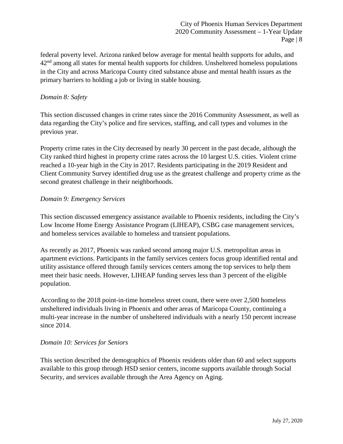federal poverty level. Arizona ranked below average for mental health supports for adults, and  $42<sup>nd</sup>$  among all states for mental health supports for children. Unsheltered homeless populations in the City and across Maricopa County cited substance abuse and mental health issues as the primary barriers to holding a job or living in stable housing.

### *Domain 8: Safety*

This section discussed changes in crime rates since the 2016 Community Assessment, as well as data regarding the City's police and fire services, staffing, and call types and volumes in the previous year.

Property crime rates in the City decreased by nearly 30 percent in the past decade, although the City ranked third highest in property crime rates across the 10 largest U.S. cities. Violent crime reached a 10-year high in the City in 2017. Residents participating in the 2019 Resident and Client Community Survey identified drug use as the greatest challenge and property crime as the second greatest challenge in their neighborhoods.

### *Domain 9: Emergency Services*

This section discussed emergency assistance available to Phoenix residents, including the City's Low Income Home Energy Assistance Program (LIHEAP), CSBG case management services, and homeless services available to homeless and transient populations.

As recently as 2017, Phoenix was ranked second among major U.S. metropolitan areas in apartment evictions. Participants in the family services centers focus group identified rental and utility assistance offered through family services centers among the top services to help them meet their basic needs. However, LIHEAP funding serves less than 3 percent of the eligible population.

According to the 2018 point-in-time homeless street count, there were over 2,500 homeless unsheltered individuals living in Phoenix and other areas of Maricopa County, continuing a multi-year increase in the number of unsheltered individuals with a nearly 150 percent increase since 2014.

## *Domain 10: Services for Seniors*

This section described the demographics of Phoenix residents older than 60 and select supports available to this group through HSD senior centers, income supports available through Social Security, and services available through the Area Agency on Aging.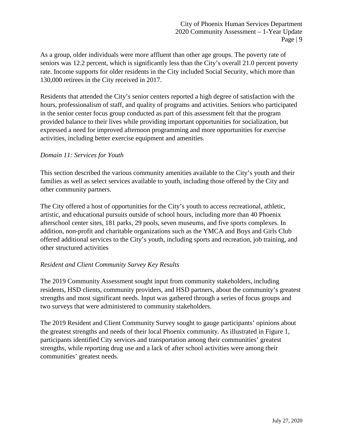As a group, older individuals were more affluent than other age groups. The poverty rate of seniors was 12.2 percent, which is significantly less than the City's overall 21.0 percent poverty rate. Income supports for older residents in the City included Social Security, which more than 130,000 retirees in the City received in 2017.

Residents that attended the City's senior centers reported a high degree of satisfaction with the hours, professionalism of staff, and quality of programs and activities. Seniors who participated in the senior center focus group conducted as part of this assessment felt that the program provided balance to their lives while providing important opportunities for socialization, but expressed a need for improved afternoon programming and more opportunities for exercise activities, including better exercise equipment and amenities.

### *Domain 11: Services for Youth*

This section described the various community amenities available to the City's youth and their families as well as select services available to youth, including those offered by the City and other community partners.

The City offered a host of opportunities for the City's youth to access recreational, athletic, artistic, and educational pursuits outside of school hours, including more than 40 Phoenix afterschool center sites, 181 parks, 29 pools, seven museums, and five sports complexes. In addition, non-profit and charitable organizations such as the YMCA and Boys and Girls Club offered additional services to the City's youth, including sports and recreation, job training, and other structured activities

#### *Resident and Client Community Survey Key Results*

The 2019 Community Assessment sought input from community stakeholders, including residents, HSD clients, community providers, and HSD partners, about the community's greatest strengths and most significant needs. Input was gathered through a series of focus groups and two surveys that were administered to community stakeholders.

The 2019 Resident and Client Community Survey sought to gauge participants' opinions about the greatest strengths and needs of their local Phoenix community. As illustrated in Figure 1, participants identified City services and transportation among their communities' greatest strengths, while reporting drug use and a lack of after school activities were among their communities' greatest needs.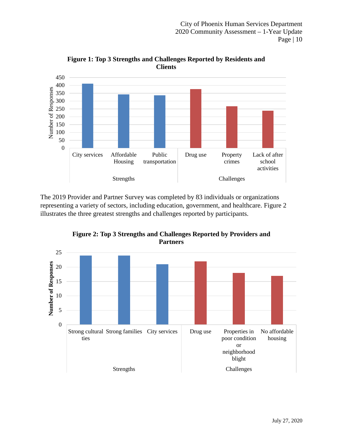

**Figure 1: Top 3 Strengths and Challenges Reported by Residents and Clients**

The 2019 Provider and Partner Survey was completed by 83 individuals or organizations representing a variety of sectors, including education, government, and healthcare. Figure 2 illustrates the three greatest strengths and challenges reported by participants.



**Figure 2: Top 3 Strengths and Challenges Reported by Providers and**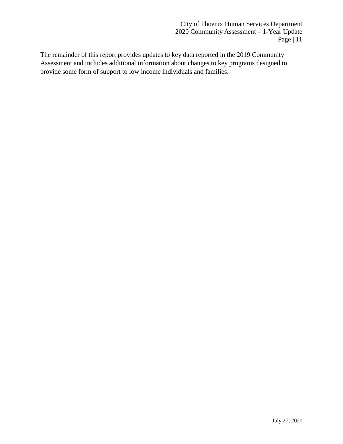The remainder of this report provides updates to key data reported in the 2019 Community Assessment and includes additional information about changes to key programs designed to provide some form of support to low income individuals and families.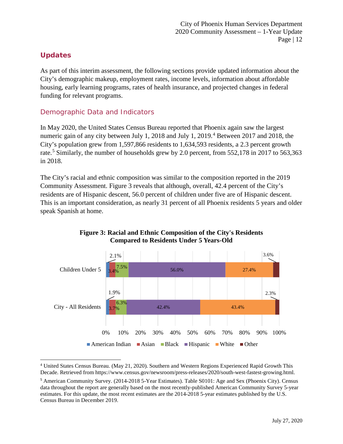## <span id="page-13-0"></span>**Updates**

 $\overline{\phantom{a}}$ 

As part of this interim assessment, the following sections provide updated information about the City's demographic makeup, employment rates, income levels, information about affordable housing, early learning programs, rates of health insurance, and projected changes in federal funding for relevant programs.

## <span id="page-13-1"></span>Demographic Data and Indicators

In May 2020, the United States Census Bureau reported that Phoenix again saw the largest numeric gain of any city between July 1, 2018 and July 1, 2019. [4](#page-13-2) Between 2017 and 2018, the City's population grew from 1,597,866 residents to 1,634,593 residents, a 2.3 percent growth rate.<sup>[5](#page-13-3)</sup> Similarly, the number of households grew by 2.0 percent, from 552,178 in 2017 to 563,363 in 2018.

The City's racial and ethnic composition was similar to the composition reported in the 2019 Community Assessment. Figure 3 reveals that although, overall, 42.4 percent of the City's residents are of Hispanic descent, 56.0 percent of children under five are of Hispanic descent. This is an important consideration, as nearly 31 percent of all Phoenix residents 5 years and older speak Spanish at home.



## **Figure 3: Racial and Ethnic Composition of the City's Residents Compared to Residents Under 5 Years-Old**

<span id="page-13-2"></span><sup>4</sup> United States Census Bureau. (May 21, 2020). Southern and Western Regions Experienced Rapid Growth This Decade. Retrieved from https://www.census.gov/newsroom/press-releases/2020/south-west-fastest-growing.html.

<span id="page-13-3"></span><sup>5</sup> American Community Survey. (2014-2018 5-Year Estimates). Table S0101: Age and Sex (Phoenix City). Census data throughout the report are generally based on the most recently-published American Community Survey 5-year estimates. For this update, the most recent estimates are the 2014-2018 5-year estimates published by the U.S. Census Bureau in December 2019.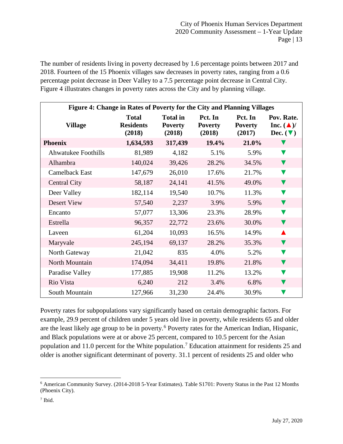The number of residents living in poverty decreased by 1.6 percentage points between 2017 and 2018. Fourteen of the 15 Phoenix villages saw decreases in poverty rates, ranging from a 0.6 percentage point decrease in Deer Valley to a 7.5 percentage point decrease in Central City. Figure 4 illustrates changes in poverty rates across the City and by planning village.

| Figure 4: Change in Rates of Poverty for the City and Planning Villages |                                            |                                             |                                     |                                     |                                                                   |  |  |  |  |  |  |  |  |
|-------------------------------------------------------------------------|--------------------------------------------|---------------------------------------------|-------------------------------------|-------------------------------------|-------------------------------------------------------------------|--|--|--|--|--|--|--|--|
| <b>Village</b>                                                          | <b>Total</b><br><b>Residents</b><br>(2018) | <b>Total in</b><br><b>Poverty</b><br>(2018) | Pct. In<br><b>Poverty</b><br>(2018) | Pct. In<br><b>Poverty</b><br>(2017) | Pov. Rate.<br>Inc. $(\triangle)$ /<br>Dec. $(\blacktriangledown)$ |  |  |  |  |  |  |  |  |
| <b>Phoenix</b>                                                          | 1,634,593                                  | 317,439                                     | $19.4\%$                            | 21.0%                               |                                                                   |  |  |  |  |  |  |  |  |
| <b>Ahwatukee Foothills</b>                                              | 81,989                                     | 4,182                                       | 5.1%                                | 5.9%                                |                                                                   |  |  |  |  |  |  |  |  |
| Alhambra                                                                | 140,024                                    | 39,426                                      | 28.2%                               | 34.5%                               | v                                                                 |  |  |  |  |  |  |  |  |
| Camelback East                                                          | 147,679                                    | 26,010                                      | 17.6%                               | 21.7%                               |                                                                   |  |  |  |  |  |  |  |  |
| <b>Central City</b>                                                     | 58,187                                     | 24,141                                      | 41.5%                               | 49.0%                               | v                                                                 |  |  |  |  |  |  |  |  |
| Deer Valley                                                             | 182,114                                    | 19,540                                      | 10.7%                               | 11.3%                               | V                                                                 |  |  |  |  |  |  |  |  |
| Desert View                                                             | 57,540                                     | 2,237                                       | 3.9%                                | 5.9%                                | V                                                                 |  |  |  |  |  |  |  |  |
| Encanto                                                                 | 57,077                                     | 13,306                                      | 23.3%                               | 28.9%                               | V                                                                 |  |  |  |  |  |  |  |  |
| Estrella                                                                | 96,357                                     | 22,772                                      | 23.6%                               | 30.0%                               | $\blacktriangledown$                                              |  |  |  |  |  |  |  |  |
| Laveen                                                                  | 61,204                                     | 10,093                                      | 16.5%                               | 14.9%                               |                                                                   |  |  |  |  |  |  |  |  |
| Maryvale                                                                | 245,194                                    | 69,137                                      | 28.2%                               | 35.3%                               | V                                                                 |  |  |  |  |  |  |  |  |
| North Gateway                                                           | 21,042                                     | 835                                         | 4.0%                                | 5.2%                                |                                                                   |  |  |  |  |  |  |  |  |
| North Mountain                                                          | 174,094                                    | 34,411                                      | 19.8%                               | 21.8%                               |                                                                   |  |  |  |  |  |  |  |  |
| Paradise Valley                                                         | 177,885                                    | 19,908                                      | 11.2%                               | 13.2%                               |                                                                   |  |  |  |  |  |  |  |  |
| Rio Vista                                                               | 6,240                                      | 212                                         | 3.4%                                | 6.8%                                |                                                                   |  |  |  |  |  |  |  |  |
| South Mountain                                                          | 127,966                                    | 31,230                                      | 24.4%                               | 30.9%                               |                                                                   |  |  |  |  |  |  |  |  |

Poverty rates for subpopulations vary significantly based on certain demographic factors. For example, 29.9 percent of children under 5 years old live in poverty, while residents 65 and older are the least likely age group to be in poverty.<sup>[6](#page-14-0)</sup> Poverty rates for the American Indian, Hispanic, and Black populations were at or above 25 percent, compared to 10.5 percent for the Asian population and 11.0 percent for the White population.[7](#page-14-1) Education attainment for residents 25 and older is another significant determinant of poverty. 31.1 percent of residents 25 and older who

<span id="page-14-0"></span> $\overline{\phantom{a}}$ <sup>6</sup> American Community Survey. (2014-2018 5-Year Estimates). Table S1701: Poverty Status in the Past 12 Months (Phoenix City).

<span id="page-14-1"></span><sup>7</sup> Ibid.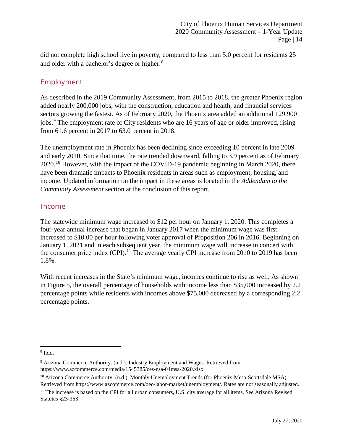did not complete high school live in poverty, compared to less than 5.0 percent for residents 25 and older with a bachelor's degree or higher.<sup>[8](#page-15-2)</sup>

## <span id="page-15-0"></span>Employment

As described in the 2019 Community Assessment, from 2015 to 2018, the greater Phoenix region added nearly 200,000 jobs, with the construction, education and health, and financial services sectors growing the fastest. As of February 2020, the Phoenix area added an additional 129,900 jobs.<sup>[9](#page-15-3)</sup> The employment rate of City residents who are 16 years of age or older improved, rising from 61.6 percent in 2017 to 63.0 percent in 2018.

The unemployment rate in Phoenix has been declining since exceeding 10 percent in late 2009 and early 2010. Since that time, the rate trended downward, falling to 3.9 percent as of February 2020.<sup>[10](#page-15-4)</sup> However, with the impact of the COVID-19 pandemic beginning in March 2020, there have been dramatic impacts to Phoenix residents in areas such as employment, housing, and income. Updated information on the impact in these areas is located in the *Addendum to the Community Assessment* section at the conclusion of this report.

## <span id="page-15-1"></span>Income

The statewide minimum wage increased to \$12 per hour on January 1, 2020. This completes a four-year annual increase that began in January 2017 when the minimum wage was first increased to \$10.00 per hour following voter approval of Proposition 206 in 2016. Beginning on January 1, 2021 and in each subsequent year, the minimum wage will increase in concert with the consumer price index  $(CPI)$ .<sup>[11](#page-15-5)</sup> The average yearly CPI increase from 2010 to 2019 has been 1.8%.

With recent increases in the State's minimum wage, incomes continue to rise as well. As shown in Figure 5, the overall percentage of households with income less than \$35,000 increased by 2.2 percentage points while residents with incomes above \$75,000 decreased by a corresponding 2.2 percentage points.

l

<span id="page-15-2"></span><sup>8</sup> Ibid.

<span id="page-15-3"></span><sup>9</sup> Arizona Commerce Authority. (n.d.). Industry Employment and Wages. Retrieved from https://www.azcommerce.com/media/1545385/ces-nsa-04msa-2020.xlsx.

<span id="page-15-4"></span><sup>10</sup> Arizona Commerce Authority. (n.d.). Monthly Unemployment Trends (for Phoenix-Mesa-Scottsdale MSA). Retrieved from https://www.azcommerce.com/oeo/labor-market/unemployment/. Rates are not seasonally adjusted.

<span id="page-15-5"></span><sup>&</sup>lt;sup>11</sup> The increase is based on the CPI for all urban consumers, U.S. city average for all items. See Arizona Revised Statutes §23-363.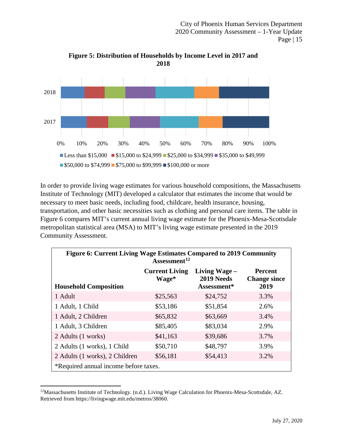

**Figure 5: Distribution of Households by Income Level in 2017 and 2018**

In order to provide living wage estimates for various household compositions, the Massachusetts Institute of Technology (MIT) developed a calculator that estimates the income that would be necessary to meet basic needs, including food, childcare, health insurance, housing, transportation, and other basic necessities such as clothing and personal care items. The table in Figure 6 compares MIT's current annual living wage estimate for the Phoenix-Mesa-Scottsdale metropolitan statistical area (MSA) to MIT's living wage estimate presented in the 2019 Community Assessment.

| <b>Figure 6: Current Living Wage Estimates Compared to 2019 Community</b><br>Assessment <sup>12</sup> |                                |                             |                                       |  |  |  |  |  |  |  |  |  |  |
|-------------------------------------------------------------------------------------------------------|--------------------------------|-----------------------------|---------------------------------------|--|--|--|--|--|--|--|--|--|--|
|                                                                                                       | <b>Current Living</b><br>Wage* | Living Wage –<br>2019 Needs | <b>Percent</b><br><b>Change since</b> |  |  |  |  |  |  |  |  |  |  |
| Assessment*<br>2019<br><b>Household Composition</b>                                                   |                                |                             |                                       |  |  |  |  |  |  |  |  |  |  |
| 3.3%<br>\$25,563<br>\$24,752<br>1 Adult                                                               |                                |                             |                                       |  |  |  |  |  |  |  |  |  |  |
| 1 Adult, 1 Child                                                                                      | \$53,186                       | \$51,854                    | 2.6%                                  |  |  |  |  |  |  |  |  |  |  |
| 1 Adult, 2 Children                                                                                   | \$65,832                       | \$63,669                    | 3.4%                                  |  |  |  |  |  |  |  |  |  |  |
| 1 Adult, 3 Children                                                                                   | \$85,405                       | \$83,034                    | 2.9%                                  |  |  |  |  |  |  |  |  |  |  |
| 2 Adults (1 works)                                                                                    | \$41,163                       | \$39,686                    | 3.7%                                  |  |  |  |  |  |  |  |  |  |  |
| 2 Adults (1 works), 1 Child                                                                           | \$50,710                       | \$48,797                    | 3.9%                                  |  |  |  |  |  |  |  |  |  |  |
| 2 Adults (1 works), 2 Children                                                                        | \$56,181                       | \$54,413                    | 3.2%                                  |  |  |  |  |  |  |  |  |  |  |
| *Required annual income before taxes.                                                                 |                                |                             |                                       |  |  |  |  |  |  |  |  |  |  |

<span id="page-16-0"></span><sup>12</sup>Massachusetts Institute of Technology. (n.d.). Living Wage Calculation for Phoenix-Mesa-Scottsdale, AZ. Retrieved from https://livingwage.mit.edu/metros/38060.

l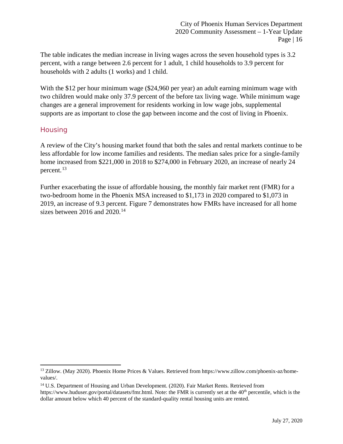The table indicates the median increase in living wages across the seven household types is 3.2 percent, with a range between 2.6 percent for 1 adult, 1 child households to 3.9 percent for households with 2 adults (1 works) and 1 child.

With the \$12 per hour minimum wage (\$24,960 per year) an adult earning minimum wage with two children would make only 37.9 percent of the before tax living wage. While minimum wage changes are a general improvement for residents working in low wage jobs, supplemental supports are as important to close the gap between income and the cost of living in Phoenix.

## <span id="page-17-0"></span>**Housing**

 $\overline{\phantom{a}}$ 

A review of the City's housing market found that both the sales and rental markets continue to be less affordable for low income families and residents. The median sales price for a single-family home increased from \$221,000 in 2018 to \$274,000 in February 2020, an increase of nearly 24 percent.[13](#page-17-1)

Further exacerbating the issue of affordable housing, the monthly fair market rent (FMR) for a two-bedroom home in the Phoenix MSA increased to \$1,173 in 2020 compared to \$1,073 in 2019, an increase of 9.3 percent. Figure 7 demonstrates how FMRs have increased for all home sizes between 2016 and 2020.<sup>[14](#page-17-2)</sup>

<span id="page-17-1"></span><sup>&</sup>lt;sup>13</sup> Zillow. (May 2020). Phoenix Home Prices & Values. Retrieved from https://www.zillow.com/phoenix-az/homevalues/.

<span id="page-17-2"></span><sup>&</sup>lt;sup>14</sup> U.S. Department of Housing and Urban Development. (2020). Fair Market Rents. Retrieved from

https://www.huduser.gov/portal/datasets/fmr.html. Note: the FMR is currently set at the 40<sup>th</sup> percentile, which is the dollar amount below which 40 percent of the standard-quality rental housing units are rented.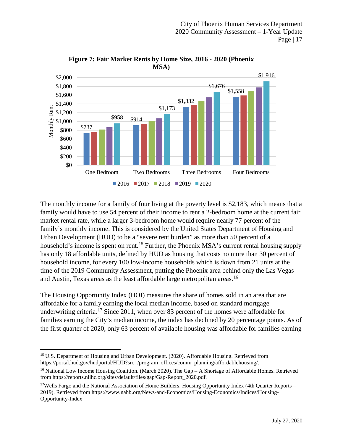

**Figure 7: Fair Market Rents by Home Size, 2016 - 2020 (Phoenix MSA)**

The monthly income for a family of four living at the poverty level is \$2,183, which means that a family would have to use 54 percent of their income to rent a 2-bedroom home at the current fair market rental rate, while a larger 3-bedroom home would require nearly 77 percent of the family's monthly income. This is considered by the United States Department of Housing and Urban Development (HUD) to be a "severe rent burden" as more than 50 percent of a household's income is spent on rent.<sup>[15](#page-18-0)</sup> Further, the Phoenix MSA's current rental housing supply has only 18 affordable units, defined by HUD as housing that costs no more than 30 percent of household income, for every 100 low-income households which is down from 21 units at the time of the 2019 Community Assessment, putting the Phoenix area behind only the Las Vegas and Austin, Texas areas as the least affordable large metropolitan areas. [16](#page-18-1)

The Housing Opportunity Index (HOI) measures the share of homes sold in an area that are affordable for a family earning the local median income, based on standard mortgage underwriting criteria.<sup>[17](#page-18-2)</sup> Since 2011, when over 83 percent of the homes were affordable for families earning the City's median income, the index has declined by 20 percentage points. As of the first quarter of 2020, only 63 percent of available housing was affordable for families earning

<span id="page-18-0"></span><sup>&</sup>lt;sup>15</sup> U.S. Department of Housing and Urban Development. (2020). Affordable Housing. Retrieved from [https://portal.hud.gov/hudportal/HUD?src=/program\\_offices/comm\\_planning/affordablehousing/.](https://portal.hud.gov/hudportal/HUD?src=/program_offices/comm_planning/affordablehousing/)

<span id="page-18-1"></span><sup>&</sup>lt;sup>16</sup> National Low Income Housing Coalition. (March 2020). The Gap  $- A$  Shortage of Affordable Homes. Retrieved from https://reports.nlihc.org/sites/default/files/gap/Gap-Report\_2020.pdf.

<span id="page-18-2"></span><sup>&</sup>lt;sup>17</sup>Wells Fargo and the National Association of Home Builders. Housing Opportunity Index (4th Quarter Reports – 2019). Retrieved from https://www.nahb.org/News-and-Economics/Housing-Economics/Indices/Housing-Opportunity-Index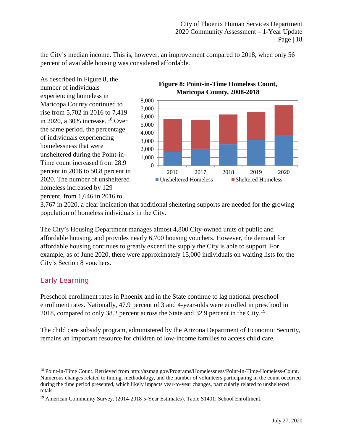the City's median income. This is, however, an improvement compared to 2018, when only 56 percent of available housing was considered affordable.

As described in Figure 8, the number of individuals experiencing homeless in Maricopa County continued to rise from 5,702 in 2016 to 7,419 in 2020, a 30% increase. [18](#page-19-1) Over the same period, the percentage of individuals experiencing homelessness that were unsheltered during the Point-in-Time count increased from 28.9 percent in 2016 to 50.8 percent in 2020. The number of unsheltered homeless increased by 129 percent, from 1,646 in 2016 to



**Figure 8: Point-in-Time Homeless Count,** 

3,767 in 2020, a clear indication that additional sheltering supports are needed for the growing population of homeless individuals in the City.

The City's Housing Department manages almost 4,800 City-owned units of public and affordable housing, and provides nearly 6,700 housing vouchers. However, the demand for affordable housing continues to greatly exceed the supply the City is able to support. For example, as of June 2020, there were approximately 15,000 individuals on waiting lists for the City's Section 8 vouchers.

## <span id="page-19-0"></span>Early Learning

 $\overline{\phantom{a}}$ 

Preschool enrollment rates in Phoenix and in the State continue to lag national preschool enrollment rates. Nationally, 47.9 percent of 3 and 4-year-olds were enrolled in preschool in 2018, compared to only 38.2 percent across the State and 32.9 percent in the City.[19](#page-19-2)

The child care subsidy program, administered by the Arizona Department of Economic Security, remains an important resource for children of low-income families to access child care.

<span id="page-19-1"></span><sup>18</sup> Point-in-Time Count. Retrieved from http://azmag.gov/Programs/Homelessness/Point-In-Time-Homeless-Count. Numerous changes related to timing, methodology, and the number of volunteers participating in the count occurred during the time period presented, which likely impacts year-to-year changes, particularly related to unsheltered totals.

<span id="page-19-2"></span><sup>19</sup> American Community Survey. (2014-2018 5-Year Estimates). Table S1401: School Enrollment.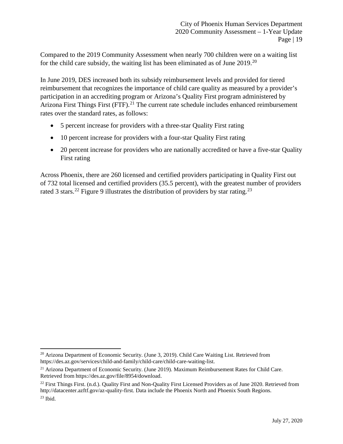Compared to the 2019 Community Assessment when nearly 700 children were on a waiting list for the child care subsidy, the waiting list has been eliminated as of June 2019.[20](#page-20-0)

In June 2019, DES increased both its subsidy reimbursement levels and provided for tiered reimbursement that recognizes the importance of child care quality as measured by a provider's participation in an accrediting program or Arizona's Quality First program administered by Arizona First Things First (FTF).<sup>[21](#page-20-1)</sup> The current rate schedule includes enhanced reimbursement rates over the standard rates, as follows:

- 5 percent increase for providers with a three-star Quality First rating
- 10 percent increase for providers with a four-star Quality First rating
- 20 percent increase for providers who are nationally accredited or have a five-star Quality First rating

Across Phoenix, there are 260 licensed and certified providers participating in Quality First out of 732 total licensed and certified providers (35.5 percent), with the greatest number of providers rated 3 stars.<sup>[22](#page-20-2)</sup> Figure 9 illustrates the distribution of providers by star rating.<sup>[23](#page-20-3)</sup>

l

<span id="page-20-0"></span><sup>&</sup>lt;sup>20</sup> Arizona Department of Economic Security. (June 3, 2019). Child Care Waiting List. Retrieved from https://des.az.gov/services/child-and-family/child-care/child-care-waiting-list.

<span id="page-20-1"></span> $21$  Arizona Department of Economic Security. (June 2019). Maximum Reimbursement Rates for Child Care. Retrieved from https://des.az.gov/file/8954/download.

<span id="page-20-3"></span><span id="page-20-2"></span><sup>&</sup>lt;sup>22</sup> First Things First. (n.d.). Quality First and Non-Quality First Licensed Providers as of June 2020. Retrieved from http://datacenter.azftf.gov/az-quality-first. Data include the Phoenix North and Phoenix South Regions.  $23$  Ibid.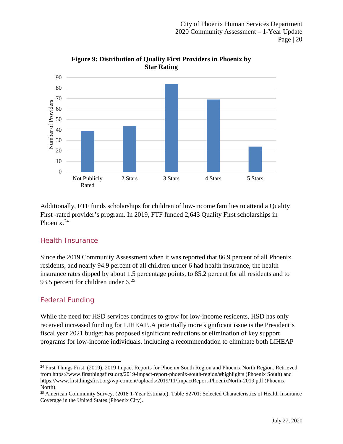

**Figure 9: Distribution of Quality First Providers in Phoenix by Star Rating**

Additionally, FTF funds scholarships for children of low-income families to attend a Quality First -rated provider's program. In 2019, FTF funded 2,643 Quality First scholarships in Phoenix.<sup>[24](#page-21-2)</sup>

## <span id="page-21-0"></span>Health Insurance

Since the 2019 Community Assessment when it was reported that 86.9 percent of all Phoenix residents, and nearly 94.9 percent of all children under 6 had health insurance, the health insurance rates dipped by about 1.5 percentage points, to 85.2 percent for all residents and to 93.5 percent for children under  $6^{25}$  $6^{25}$  $6^{25}$ 

## <span id="page-21-1"></span>Federal Funding

 $\overline{\phantom{a}}$ 

While the need for HSD services continues to grow for low-income residents, HSD has only received increased funding for LIHEAP..A potentially more significant issue is the President's fiscal year 2021 budget has proposed significant reductions or elimination of key support programs for low-income individuals, including a recommendation to eliminate both LIHEAP

<span id="page-21-2"></span><sup>&</sup>lt;sup>24</sup> First Things First. (2019). 2019 Impact Reports for Phoenix South Region and Phoenix North Region. Retrieved from https://www.firstthingsfirst.org/2019-impact-report-phoenix-south-region/#highlights (Phoenix South) and https://www.firstthingsfirst.org/wp-content/uploads/2019/11/ImpactReport-PhoenixNorth-2019.pdf (Phoenix North).

<span id="page-21-3"></span><sup>&</sup>lt;sup>25</sup> American Community Survey. (2018 1-Year Estimate). Table S2701: Selected Characteristics of Health Insurance Coverage in the United States (Phoenix City).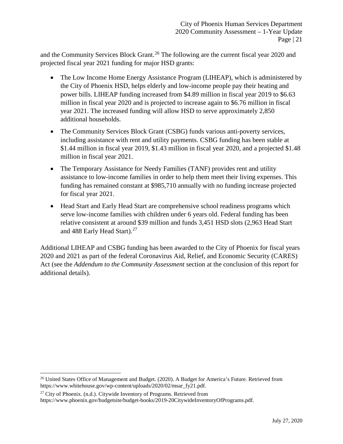and the Community Services Block Grant.<sup>[26](#page-22-0)</sup> The following are the current fiscal year 2020 and projected fiscal year 2021 funding for major HSD grants:

- The Low Income Home Energy Assistance Program (LIHEAP), which is administered by the City of Phoenix HSD, helps elderly and low-income people pay their heating and power bills. LIHEAP funding increased from \$4.89 million in fiscal year 2019 to \$6.63 million in fiscal year 2020 and is projected to increase again to \$6.76 million in fiscal year 2021. The increased funding will allow HSD to serve approximately 2,850 additional households.
- The Community Services Block Grant (CSBG) funds various anti-poverty services, including assistance with rent and utility payments. CSBG funding has been stable at \$1.44 million in fiscal year 2019, \$1.43 million in fiscal year 2020, and a projected \$1.48 million in fiscal year 2021.
- The Temporary Assistance for Needy Families (TANF) provides rent and utility assistance to low-income families in order to help them meet their living expenses. This funding has remained constant at \$985,710 annually with no funding increase projected for fiscal year 2021.
- Head Start and Early Head Start are comprehensive school readiness programs which serve low-income families with children under 6 years old. Federal funding has been relative consistent at around \$39 million and funds 3,451 HSD slots (2,963 Head Start and 488 Early Head Start).<sup>[27](#page-22-1)</sup>

Additional LIHEAP and CSBG funding has been awarded to the City of Phoenix for fiscal years 2020 and 2021 as part of the federal Coronavirus Aid, Relief, and Economic Security (CARES) Act (see the *Addendum to the Community Assessment* section at the conclusion of this report for additional details).

l

<span id="page-22-0"></span><sup>&</sup>lt;sup>26</sup> United States Office of Management and Budget. (2020). A Budget for America's Future. Retrieved from https://www.whitehouse.gov/wp-content/uploads/2020/02/msar\_fy21.pdf.

<span id="page-22-1"></span> $27$  City of Phoenix. (n.d.). Citywide Inventory of Programs. Retrieved from https://www.phoenix.gov/budgetsite/budget-books/2019-20CitywideInventoryOfPrograms.pdf.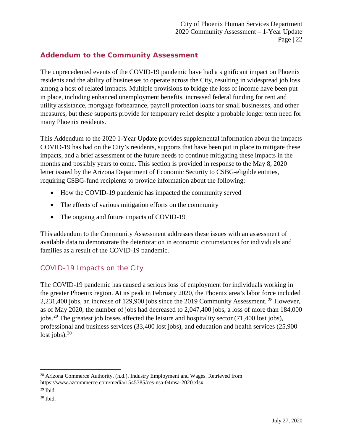## <span id="page-23-0"></span>**Addendum to the Community Assessment**

The unprecedented events of the COVID-19 pandemic have had a significant impact on Phoenix residents and the ability of businesses to operate across the City, resulting in widespread job loss among a host of related impacts. Multiple provisions to bridge the loss of income have been put in place, including enhanced unemployment benefits, increased federal funding for rent and utility assistance, mortgage forbearance, payroll protection loans for small businesses, and other measures, but these supports provide for temporary relief despite a probable longer term need for many Phoenix residents.

This Addendum to the 2020 1-Year Update provides supplemental information about the impacts COVID-19 has had on the City's residents, supports that have been put in place to mitigate these impacts, and a brief assessment of the future needs to continue mitigating these impacts in the months and possibly years to come. This section is provided in response to the May 8, 2020 letter issued by the Arizona Department of Economic Security to CSBG-eligible entities, requiring CSBG-fund recipients to provide information about the following:

- How the COVID-19 pandemic has impacted the community served
- The effects of various mitigation efforts on the community
- The ongoing and future impacts of COVID-19

This addendum to the Community Assessment addresses these issues with an assessment of available data to demonstrate the deterioration in economic circumstances for individuals and families as a result of the COVID-19 pandemic.

## <span id="page-23-1"></span>COVID-19 Impacts on the City

The COVID-19 pandemic has caused a serious loss of employment for individuals working in the greater Phoenix region. At its peak in February 2020, the Phoenix area's labor force included 2,231,400 jobs, an increase of 129,900 jobs since the 2019 Community Assessment. [28](#page-23-2) However, as of May 2020, the number of jobs had decreased to 2,047,400 jobs, a loss of more than 184,000 jobs.<sup>[29](#page-23-3)</sup> The greatest job losses affected the leisure and hospitality sector (71,400 lost jobs), professional and business services (33,400 lost jobs), and education and health services (25,900 lost jobs). $30$ 

l

<span id="page-23-2"></span><sup>&</sup>lt;sup>28</sup> Arizona Commerce Authority. (n.d.). Industry Employment and Wages. Retrieved from https://www.azcommerce.com/media/1545385/ces-nsa-04msa-2020.xlsx.

<span id="page-23-3"></span> $29$  Ibid.

<span id="page-23-4"></span><sup>30</sup> Ibid.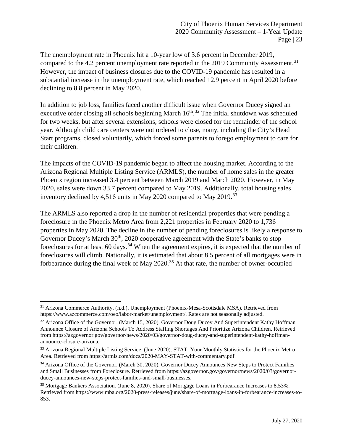The unemployment rate in Phoenix hit a 10-year low of 3.6 percent in December 2019, compared to the 4.2 percent unemployment rate reported in the 2019 Community Assessment.<sup>[31](#page-24-0)</sup> However, the impact of business closures due to the COVID-19 pandemic has resulted in a substantial increase in the unemployment rate, which reached 12.9 percent in April 2020 before declining to 8.8 percent in May 2020.

In addition to job loss, families faced another difficult issue when Governor Ducey signed an executive order closing all schools beginning March  $16<sup>th</sup>$ .<sup>[32](#page-24-1)</sup> The initial shutdown was scheduled for two weeks, but after several extensions, schools were closed for the remainder of the school year. Although child care centers were not ordered to close, many, including the City's Head Start programs, closed voluntarily, which forced some parents to forego employment to care for their children.

The impacts of the COVID-19 pandemic began to affect the housing market. According to the Arizona Regional Multiple Listing Service (ARMLS), the number of home sales in the greater Phoenix region increased 3.4 percent between March 2019 and March 2020. However, in May 2020, sales were down 33.7 percent compared to May 2019. Additionally, total housing sales inventory declined by 4,516 units in May 2020 compared to May 2019.<sup>[33](#page-24-2)</sup>

The ARMLS also reported a drop in the number of residential properties that were pending a foreclosure in the Phoenix Metro Area from 2,221 properties in February 2020 to 1,736 properties in May 2020. The decline in the number of pending foreclosures is likely a response to Governor Ducey's March 30<sup>th</sup>, 2020 cooperative agreement with the State's banks to stop foreclosures for at least 60 days.<sup>[34](#page-24-3)</sup> When the agreement expires, it is expected that the number of foreclosures will climb. Nationally, it is estimated that about 8.5 percent of all mortgages were in forbearance during the final week of May  $2020$ .<sup>[35](#page-24-4)</sup> At that rate, the number of owner-occupied

 $\overline{\phantom{a}}$ 

<span id="page-24-0"></span><sup>31</sup> Arizona Commerce Authority. (n.d.). Unemployment (Phoenix-Mesa-Scottsdale MSA). Retrieved from https://www.azcommerce.com/oeo/labor-market/unemployment/. Rates are not seasonally adjusted.

<span id="page-24-1"></span><sup>&</sup>lt;sup>32</sup> Arizona Office of the Governor. (March 15, 2020). Governor Doug Ducey And Superintendent Kathy Hoffman Announce Closure of Arizona Schools To Address Staffing Shortages And Prioritize Arizona Children. Retrieved from https://azgovernor.gov/governor/news/2020/03/governor-doug-ducey-and-superintendent-kathy-hoffmanannounce-closure-arizona.

<span id="page-24-2"></span><sup>&</sup>lt;sup>33</sup> Arizona Regional Multiple Listing Service. (June 2020). STAT: Your Monthly Statistics for the Phoenix Metro Area. Retrieved from https://armls.com/docs/2020-MAY-STAT-with-commentary.pdf.

<span id="page-24-3"></span><sup>&</sup>lt;sup>34</sup> Arizona Office of the Governor. (March 30, 2020). Governor Ducey Announces New Steps to Protect Families and Small Businesses from Foreclosure. Retrieved from https://azgovernor.gov/governor/news/2020/03/governorducey-announces-new-steps-protect-families-and-small-businesses.

<span id="page-24-4"></span><sup>35</sup> Mortgage Bankers Association. (June 8, 2020). Share of Mortgage Loans in Forbearance Increases to 8.53%. Retrieved from https://www.mba.org/2020-press-releases/june/share-of-mortgage-loans-in-forbearance-increases-to-853.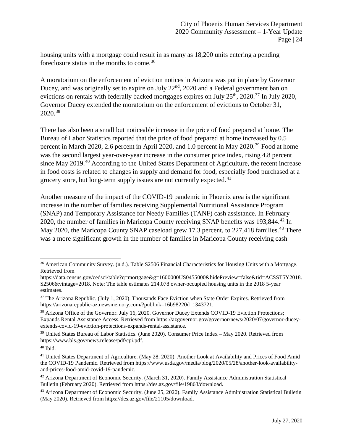housing units with a mortgage could result in as many as 18,200 units entering a pending foreclosure status in the months to come.[36](#page-25-0)

A moratorium on the enforcement of eviction notices in Arizona was put in place by Governor Ducey, and was originally set to expire on July 22<sup>nd</sup>, 2020 and a Federal government ban on evictions on rentals with federally backed mortgages expires on July  $25<sup>th</sup>$ ,  $2020.<sup>37</sup>$  $2020.<sup>37</sup>$  $2020.<sup>37</sup>$  In July 2020, Governor Ducey extended the moratorium on the enforcement of evictions to October 31, 2020.[38](#page-25-2)

There has also been a small but noticeable increase in the price of food prepared at home. The Bureau of Labor Statistics reported that the price of food prepared at home increased by 0.5 percent in March 2020, 2.6 percent in April 2020, and 1.0 percent in May 2020.<sup>[39](#page-25-3)</sup> Food at home was the second largest year-over-year increase in the consumer price index, rising 4.8 percent since May 2019.<sup>[40](#page-25-4)</sup> According to the United States Department of Agriculture, the recent increase in food costs is related to changes in supply and demand for food, especially food purchased at a grocery store, but long-term supply issues are not currently expected.<sup>[41](#page-25-5)</sup>

Another measure of the impact of the COVID-19 pandemic in Phoenix area is the significant increase in the number of families receiving Supplemental Nutritional Assistance Program (SNAP) and Temporary Assistance for Needy Families (TANF) cash assistance. In February 2020, the number of families in Maricopa County receiving SNAP benefits was 193,844.<sup>[42](#page-25-6)</sup> In May 2020, the Maricopa County SNAP caseload grew 17.3 percent, to 227,418 families.<sup>[43](#page-25-7)</sup> There was a more significant growth in the number of families in Maricopa County receiving cash

 $\overline{\phantom{a}}$ 

<span id="page-25-0"></span><sup>&</sup>lt;sup>36</sup> American Community Survey. (n.d.). Table S2506 Financial Characteristics for Housing Units with a Mortgage. Retrieved from

https://data.census.gov/cedsci/table?q=mortgage&g=1600000US0455000&hidePreview=false&tid=ACSST5Y2018. S2506&vintage=2018. Note: The table estimates 214,078 owner-occupied housing units in the 2018 5-year estimates.

<span id="page-25-1"></span><sup>&</sup>lt;sup>37</sup> The Arizona Republic. (July 1, 2020). Thousands Face Eviction when State Order Expires. Retrieved from https://arizonarepublic-az.newsmemory.com/?publink=16b98220d\_1343721.

<span id="page-25-2"></span><sup>&</sup>lt;sup>38</sup> Arizona Office of the Governor. July 16, 2020. Governor Ducey Extends COVID-19 Eviction Protections; Expands Rental Assistance Access. Retrieved from [https://azgovernor.gov/governor/news/2020/07/governor-ducey](https://azgovernor.gov/governor/news/2020/07/governor-ducey-extends-covid-19-eviction-protections-expands-rental-assistance)[extends-covid-19-eviction-protections-expands-rental-assistance.](https://azgovernor.gov/governor/news/2020/07/governor-ducey-extends-covid-19-eviction-protections-expands-rental-assistance)

<span id="page-25-3"></span><sup>39</sup> United States Bureau of Labor Statistics. (June 2020). Consumer Price Index – May 2020. Retrieved from https://www.bls.gov/news.release/pdf/cpi.pdf.

<span id="page-25-4"></span> $40$  Ibid.

<span id="page-25-5"></span><sup>&</sup>lt;sup>41</sup> United States Department of Agriculture. (May 28, 2020). Another Look at Availability and Prices of Food Amid the COVID-19 Pandemic. Retrieved from https://www.usda.gov/media/blog/2020/05/28/another-look-availabilityand-prices-food-amid-covid-19-pandemic.

<span id="page-25-6"></span><sup>42</sup> Arizona Department of Economic Security. (March 31, 2020). Family Assistance Administration Statistical Bulletin (February 2020). Retrieved from https://des.az.gov/file/19863/download.

<span id="page-25-7"></span><sup>&</sup>lt;sup>43</sup> Arizona Department of Economic Security. (June 25, 2020). Family Assistance Administration Statistical Bulletin (May 2020). Retrieved from https://des.az.gov/file/21105/download.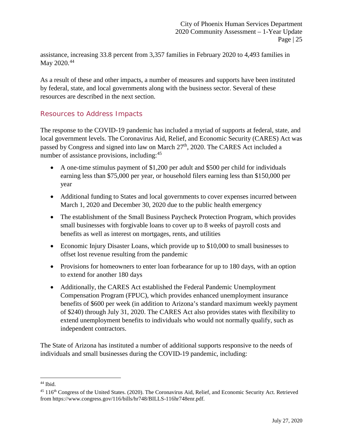assistance, increasing 33.8 percent from 3,357 families in February 2020 to 4,493 families in May 2020.<sup>[44](#page-26-1)</sup>

As a result of these and other impacts, a number of measures and supports have been instituted by federal, state, and local governments along with the business sector. Several of these resources are described in the next section.

## <span id="page-26-0"></span>Resources to Address Impacts

The response to the COVID-19 pandemic has included a myriad of supports at federal, state, and local government levels. The Coronavirus Aid, Relief, and Economic Security (CARES) Act was passed by Congress and signed into law on March  $27<sup>th</sup>$ , 2020. The CARES Act included a number of assistance provisions, including:<sup>[45](#page-26-2)</sup>

- A one-time stimulus payment of \$1,200 per adult and \$500 per child for individuals earning less than \$75,000 per year, or household filers earning less than \$150,000 per year
- Additional funding to States and local governments to cover expenses incurred between March 1, 2020 and December 30, 2020 due to the public health emergency
- The establishment of the Small Business Paycheck Protection Program, which provides small businesses with forgivable loans to cover up to 8 weeks of payroll costs and benefits as well as interest on mortgages, rents, and utilities
- Economic Injury Disaster Loans, which provide up to \$10,000 to small businesses to offset lost revenue resulting from the pandemic
- Provisions for homeowners to enter loan forbearance for up to 180 days, with an option to extend for another 180 days
- Additionally, the CARES Act established the Federal Pandemic Unemployment Compensation Program (FPUC), which provides enhanced unemployment insurance benefits of \$600 per week (in addition to Arizona's standard maximum weekly payment of \$240) through July 31, 2020. The CARES Act also provides states with flexibility to extend unemployment benefits to individuals who would not normally qualify, such as independent contractors.

The State of Arizona has instituted a number of additional supports responsive to the needs of individuals and small businesses during the COVID-19 pandemic, including:

 $\overline{\phantom{a}}$ <sup>44</sup> Ibid.

<span id="page-26-2"></span><span id="page-26-1"></span><sup>&</sup>lt;sup>45</sup> 116<sup>th</sup> Congress of the United States. (2020). The Coronavirus Aid, Relief, and Economic Security Act. Retrieved from https://www.congress.gov/116/bills/hr748/BILLS-116hr748enr.pdf.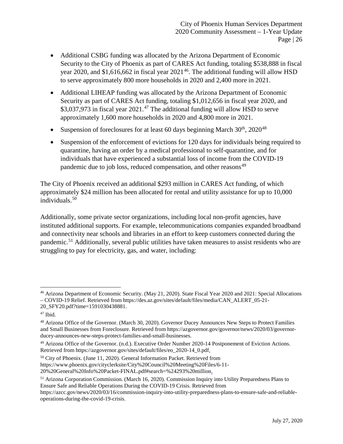- Additional CSBG funding was allocated by the Arizona Department of Economic Security to the City of Phoenix as part of CARES Act funding, totaling \$538,888 in fiscal year 2020, and \$1,616,662 in fiscal year  $2021^{46}$ . The additional funding will allow HSD to serve approximately 800 more households in 2020 and 2,400 more in 2021.
- Additional LIHEAP funding was allocated by the Arizona Department of Economic Security as part of CARES Act funding, totaling \$1,012,656 in fiscal year 2020, and \$3,037,973 in fiscal year  $2021<sup>47</sup>$  $2021<sup>47</sup>$  $2021<sup>47</sup>$  The additional funding will allow HSD to serve approximately 1,600 more households in 2020 and 4,800 more in 2021.
- Suspension of foreclosures for at least 60 days beginning March  $30<sup>th</sup>$ ,  $2020<sup>48</sup>$  $2020<sup>48</sup>$  $2020<sup>48</sup>$
- Suspension of the enforcement of evictions for 120 days for individuals being required to quarantine, having an order by a medical professional to self-quarantine, and for individuals that have experienced a substantial loss of income from the COVID-19 pandemic due to job loss, reduced compensation, and other reasons<sup>[49](#page-27-3)</sup>

The City of Phoenix received an additional \$293 million in CARES Act funding, of which approximately \$24 million has been allocated for rental and utility assistance for up to 10,000 individuals. [50](#page-27-4)

Additionally, some private sector organizations, including local non-profit agencies, have instituted additional supports. For example, telecommunications companies expanded broadband and connectivity near schools and libraries in an effort to keep customers connected during the pandemic.<sup>[51](#page-27-5)</sup> Additionally, several public utilities have taken measures to assist residents who are struggling to pay for electricity, gas, and water, including:

l

<span id="page-27-0"></span><sup>46</sup> Arizona Department of Economic Security. (May 21, 2020). State Fiscal Year 2020 and 2021: Special Allocations – COVID-19 Relief. Retrieved from https://des.az.gov/sites/default/files/media/CAN\_ALERT\_05-21- 20 SFY20.pdf?time=1591030438881.

<span id="page-27-1"></span><sup>47</sup> Ibid.

<span id="page-27-2"></span><sup>48</sup> Arizona Office of the Governor. (March 30, 2020). Governor Ducey Announces New Steps to Protect Families and Small Businesses from Foreclosure. Retrieved from https://azgovernor.gov/governor/news/2020/03/governorducey-announces-new-steps-protect-families-and-small-businesses.

<span id="page-27-3"></span><sup>49</sup> Arizona Office of the Governor. (n.d.). Executive Order Number 2020-14 Postponement of Eviction Actions. Retrieved from https://azgovernor.gov/sites/default/files/eo\_2020-14\_0.pdf.

<span id="page-27-4"></span><sup>50</sup> City of Phoenix. (June 11, 2020). General Information Packet. Retrieved from https://www.phoenix.gov/cityclerksite/City%20Council%20Meeting%20Files/6-11- 20%20General%20Info%20Packet-FINAL.pdf#search=%24293%20million.

<span id="page-27-5"></span><sup>51</sup> Arizona Corporation Commission. (March 16, 2020). Commission Inquiry into Utility Preparedness Plans to Ensure Safe and Reliable Operations During the COVID-19 Crisis. Retrieved from

https://azcc.gov/news/2020/03/16/commission-inquiry-into-utility-preparedness-plans-to-ensure-safe-and-reliableoperations-during-the-covid-19-crisis.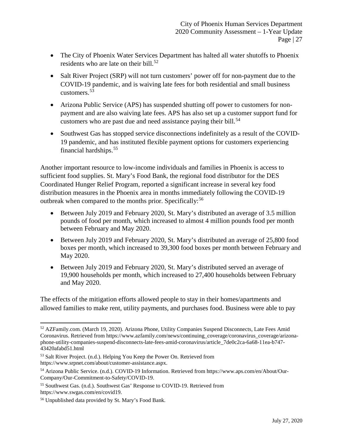- The City of Phoenix Water Services Department has halted all water shutoffs to Phoenix residents who are late on their bill.<sup>[52](#page-28-0)</sup>
- Salt River Project (SRP) will not turn customers' power off for non-payment due to the COVID-19 pandemic, and is waiving late fees for both residential and small business customers.[53](#page-28-1)
- Arizona Public Service (APS) has suspended shutting off power to customers for nonpayment and are also waiving late fees. APS has also set up a customer support fund for customers who are past due and need assistance paying their bill.<sup>[54](#page-28-2)</sup>
- Southwest Gas has stopped service disconnections indefinitely as a result of the COVID-19 pandemic, and has instituted flexible payment options for customers experiencing financial hardships.[55](#page-28-3)

Another important resource to low-income individuals and families in Phoenix is access to sufficient food supplies. St. Mary's Food Bank, the regional food distributor for the DES Coordinated Hunger Relief Program, reported a significant increase in several key food distribution measures in the Phoenix area in months immediately following the COVID-19 outbreak when compared to the months prior. Specifically:<sup>[56](#page-28-4)</sup>

- Between July 2019 and February 2020, St. Mary's distributed an average of 3.5 million pounds of food per month, which increased to almost 4 million pounds food per month between February and May 2020.
- Between July 2019 and February 2020, St. Mary's distributed an average of 25,800 food boxes per month, which increased to 39,300 food boxes per month between February and May 2020.
- Between July 2019 and February 2020, St. Mary's distributed served an average of 19,900 households per month, which increased to 27,400 households between February and May 2020.

The effects of the mitigation efforts allowed people to stay in their homes/apartments and allowed families to make rent, utility payments, and purchases food. Business were able to pay

 $\overline{\phantom{a}}$ 

<span id="page-28-0"></span><sup>52</sup> AZFamily.com. (March 19, 2020). Arizona Phone, Utility Companies Suspend Disconnects, Late Fees Amid Coronavirus. Retrieved from https://www.azfamily.com/news/continuing\_coverage/coronavirus\_coverage/arizonaphone-utility-companies-suspend-disconnects-late-fees-amid-coronavirus/article\_7de0c2ca-6a68-11ea-b747- 43420afabd51.html

<span id="page-28-1"></span><sup>53</sup> Salt River Project. (n.d.). Helping You Keep the Power On. Retrieved from https://www.srpnet.com/about/customer-assistance.aspx.

<span id="page-28-2"></span><sup>54</sup> Arizona Public Service. (n.d.). COVID-19 Information. Retrieved from https://www.aps.com/en/About/Our-Company/Our-Commitment-to-Safety/COVID-19.

<span id="page-28-3"></span><sup>55</sup> Southwest Gas. (n.d.). Southwest Gas' Response to COVID-19. Retrieved from https://www.swgas.com/en/covid19.

<span id="page-28-4"></span><sup>56</sup> Unpublished data provided by St. Mary's Food Bank.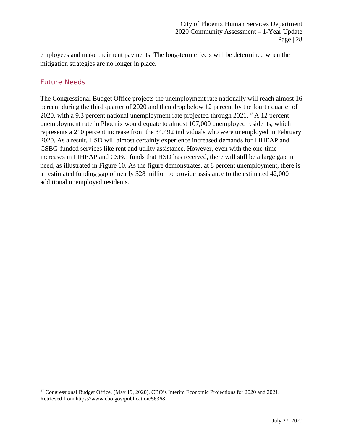employees and make their rent payments. The long-term effects will be determined when the mitigation strategies are no longer in place.

## <span id="page-29-0"></span>Future Needs

l

The Congressional Budget Office projects the unemployment rate nationally will reach almost 16 percent during the third quarter of 2020 and then drop below 12 percent by the fourth quarter of 2020, with a 9.3 percent national unemployment rate projected through  $2021$ .<sup>[57](#page-29-1)</sup> A 12 percent unemployment rate in Phoenix would equate to almost 107,000 unemployed residents, which represents a 210 percent increase from the 34,492 individuals who were unemployed in February 2020. As a result, HSD will almost certainly experience increased demands for LIHEAP and CSBG-funded services like rent and utility assistance. However, even with the one-time increases in LIHEAP and CSBG funds that HSD has received, there will still be a large gap in need, as illustrated in Figure 10. As the figure demonstrates, at 8 percent unemployment, there is an estimated funding gap of nearly \$28 million to provide assistance to the estimated 42,000 additional unemployed residents.

<span id="page-29-1"></span><sup>57</sup> Congressional Budget Office. (May 19, 2020). CBO's Interim Economic Projections for 2020 and 2021. Retrieved from https://www.cbo.gov/publication/56368.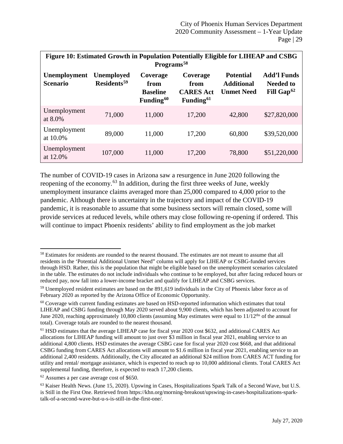| Figure 10: Estimated Growth in Population Potentially Eligible for LIHEAP and CSBG<br>Programs <sup>58</sup> |                                       |                                                              |                                                               |                                                            |                                                                  |  |  |  |  |  |  |  |  |
|--------------------------------------------------------------------------------------------------------------|---------------------------------------|--------------------------------------------------------------|---------------------------------------------------------------|------------------------------------------------------------|------------------------------------------------------------------|--|--|--|--|--|--|--|--|
| <b>Unemployment</b><br><b>Scenario</b>                                                                       | Unemployed<br>Residents <sup>59</sup> | Coverage<br>from<br><b>Baseline</b><br>Funding <sup>60</sup> | Coverage<br>from<br><b>CARES</b> Act<br>Funding <sup>61</sup> | <b>Potential</b><br><b>Additional</b><br><b>Unmet Need</b> | <b>Add'l Funds</b><br><b>Needed to</b><br>Fill Gap <sup>62</sup> |  |  |  |  |  |  |  |  |
| Unemployment<br>at 8.0%                                                                                      | 71,000                                | 11,000                                                       | 17,200                                                        | 42,800                                                     | \$27,820,000                                                     |  |  |  |  |  |  |  |  |
| Unemployment<br>at 10.0%                                                                                     | 89,000                                | 11,000                                                       | 17,200                                                        | 60,800                                                     | \$39,520,000                                                     |  |  |  |  |  |  |  |  |
| Unemployment<br>at 12.0%                                                                                     | 107,000                               | 11,000                                                       | 17,200                                                        | 78,800                                                     | \$51,220,000                                                     |  |  |  |  |  |  |  |  |

The number of COVID-19 cases in Arizona saw a resurgence in June 2020 following the reopening of the economy.<sup>[63](#page-30-5)</sup> In addition, during the first three weeks of June, weekly unemployment insurance claims averaged more than 25,000 compared to 4,000 prior to the pandemic. Although there is uncertainty in the trajectory and impact of the COVID-19 pandemic, it is reasonable to assume that some business sectors will remain closed, some will provide services at reduced levels, while others may close following re-opening if ordered. This will continue to impact Phoenix residents' ability to find employment as the job market

l

<span id="page-30-0"></span><sup>&</sup>lt;sup>58</sup> Estimates for residents are rounded to the nearest thousand. The estimates are not meant to assume that all residents in the 'Potential Additional Unmet Need" column will apply for LIHEAP or CSBG-funded services through HSD. Rather, this is the population that might be eligible based on the unemployment scenarios calculated in the table. The estimates do not include individuals who continue to be employed, but after facing reduced hours or reduced pay, now fall into a lower-income bracket and qualify for LIHEAP and CSBG services.

<span id="page-30-1"></span><sup>59</sup> Unemployed resident estimates are based on the 891,619 individuals in the City of Phoenix labor force as of February 2020 as reported by the Arizona Office of Economic Opportunity.

<span id="page-30-2"></span> $60$  Coverage with current funding estimates are based on HSD-reported information which estimates that total LIHEAP and CSBG funding through May 2020 served about 9,900 clients, which has been adjusted to account for June 2020, reaching approximately 10,800 clients (assuming May estimates were equal to 11/12<sup>ths</sup> of the annual total). Coverage totals are rounded to the nearest thousand.

<span id="page-30-3"></span><sup>61</sup> HSD estimates that the average LIHEAP case for fiscal year 2020 cost \$632, and additional CARES Act allocations for LIHEAP funding will amount to just over \$3 million in fiscal year 2021, enabling service to an additional 4,800 clients. HSD estimates the average CSBG case for fiscal year 2020 cost \$668, and that additional CSBG funding from CARES Act allocations will amount to \$1.6 million in fiscal year 2021, enabling service to an additional 2,400 residents. Additionally, the City allocated an additional \$24 million from CARES ACT funding for utility and rental/ mortgage assistance, which is expected to reach up to 10,000 additional clients. Total CARES Act supplemental funding, therefore, is expected to reach 17,200 clients.

<span id="page-30-4"></span><sup>62</sup> Assumes a per case average cost of \$650.

<span id="page-30-5"></span><sup>&</sup>lt;sup>63</sup> Kaiser Health News. (June 15, 2020). Upswing in Cases, Hospitalizations Spark Talk of a Second Wave, but U.S. is Still in the First One. Retrieved from https://khn.org/morning-breakout/upswing-in-cases-hospitalizations-sparktalk-of-a-second-wave-but-u-s-is-still-in-the-first-one/.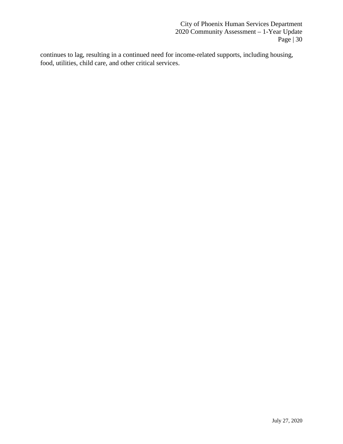continues to lag, resulting in a continued need for income-related supports, including housing, food, utilities, child care, and other critical services.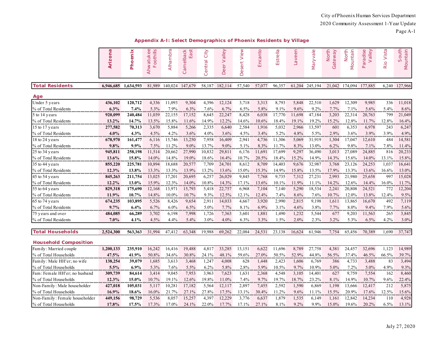|                              | $\boldsymbol{\varpi}$<br>Arizon | Phoenix   | $\circ$<br>oothills<br>hwatuke<br>LL.<br>$\prec$ | Alhambra | amelback<br>East<br>$\circ$ | City<br>Central | Valley<br>Deer | View<br>Desert | Encanto | Estrella | Laveen    | Maryvale  | North<br>teway<br>Ga | <b>North</b><br>Mountain | alley<br>Paradise<br>$\geq$ | Vista<br>Rio   | South<br>Mountain |
|------------------------------|---------------------------------|-----------|--------------------------------------------------|----------|-----------------------------|-----------------|----------------|----------------|---------|----------|-----------|-----------|----------------------|--------------------------|-----------------------------|----------------|-------------------|
| <b>Total Residents</b>       | 6,946,685                       | 1.634.593 | 81.989                                           | 140,024  | 147,679                     | 58,187          | 182.114        | 57,540         | 57,077  | 96,357   | 61.204    | 245,194   | 21.042               | 174,094                  | 177,885                     | 6,240          | 127,966           |
| Age                          |                                 |           |                                                  |          |                             |                 |                |                |         |          |           |           |                      |                          |                             |                |                   |
| Under 5 years                | 436,102                         | 120,712   | 4,336                                            | 11,093   | 9,304                       | 4,396           | 12,124         | 3,718          | 3,313   | 8,793    | 5,848     | 22,510    | 1,629                | 12,309                   | 9,985                       | 336            | 11,018            |
| % of Total Residents         | 6.3%<br>                        | 7.4%<br>. | 5.3%<br>                                         | 7.9%     | 6.3%                        | 7.6%            | 6.7%           | 6.5%           | 5.8%    | 9.1%     | 9.6%<br>. | 9.2%<br>. | 7.7%                 | 7.1%                     | 5.6%                        | 5.4%<br>       | 8.6%              |
| 5 to 14 years                | 920,099                         | 240,484   | 11,039                                           | 22,155   | 17,152                      | 8,645           | 22,247         | 8,428          | 6,038   | 17,770   | 11,698    | 47,184    | 3,203                | 22,314                   | 20,763                      | 799            | 21,049            |
| % of Total Residents         | 13.2%                           | 14.7%     | 13.5%                                            | 15.8%    | 11.6%                       | 14.9%           | 12.2%          | 14.6%          | 10.6%   | 18.4%    | 19.1%     | 19.2%     | 15.2%                | 12.8%                    | 11.7%                       | 12.8%          | 16.4%             |
| 15 to 17 years               | 277,582                         | 70,313    | 3,670                                            | 5,884    | 5,266                       | 2,335           | 6,640          | 2,584          | 1,916   | 5,032    | 2,966     | 13,597    | 601                  | 6,353                    | 6,978                       | 243            | 6,247             |
| % of Total Residents         | 4.0%                            | 4.3%      | 4.5%                                             | 4.2%     | 3.6%                        | 4.0%            | 3.6%           | 4.5%           | 3.4%    | 5.2%     | 4.8%      | 5.5%      | 2.9%                 | 3.6%                     | 3.9%                        | 3.9%           | 4.9%              |
| 18 to 24 years               | 678,970                         | 161,477   | 6,116                                            | 15,746   | 13,250                      | 7,958           | 16,409         | 2,941          | 4,736   | 11,306   | 5,069     | 31,919    | 1,304                | 17,047                   | 12,610                      | 484            | 14,581            |
| % of Total Residents         | $9.8\%$                         | $9.9\%$   | 7.5%<br>                                         | 11.2%    | $9.0\%$                     | 13.7%           | $9.0\%$        | 5.1%<br>       | 8.3%    | 11.7%    | 8.3%<br>  | 13.0%     | 6.2%                 | 9.8%                     | 7.1%                        | 7.8%<br>       | 11.4%             |
| 25 to 34 years               | 945,811                         | 258,198   | 11,514                                           | 20,662   | 27,990                      | 10,832          | 29,811         | 6,176          | 11,691  | 17,699   | 9,297     | 36,490    | 3,013                | 27,089                   | 24,885                      | 816            | 20,233            |
| % of Total Residents         | 13.6%                           | 15.8%     | 14.0%                                            | 14.8%    | 19.0%                       | 18.6%           | 16.4%          | 10.7%          | 20.5%   | 18.4%    | 15.2%     | 14.9%     | 14.3%                | 15.6%                    | 14.0%                       | 13.1%          | 15.8%             |
| 35 to 44 years               | 855,220                         | 225,781   | 10,894                                           | 18,688   | 20,577                      | 7,709           | 24,701         | 8,612          | 8,709   | 14,403   | 9,676     | 32,987    | 3,768                | 23,126                   | 24,253                      | 1,037          | 16,641            |
| % of Total Residents         | 12.3%                           | 13.8%     | 13.3%                                            | 13.3%    | 13.9%                       | 13.2%           | 13.6%          | 15.0%          | 15.3%   | 14.9%    | 15.8%     | 13.5%     | 17.9%                | 13.3%                    | 13.6%                       | 16.6%          | 13.0%             |
| 45 to 54 years               | 845,263                         | 211,754   | 13,025                                           | 17,201   | 20,695                      | 6,257           | 26,029         | 9,845          | 7,768   | 9,735    | 7,312     | 27,231    | 2,993                | 21,980                   | 25,658                      | 997            | 15,028            |
| % of Total Residents         | 12.2%                           | 13.0%     | 15.9%<br>                                        | 12.3%    | 14.0%                       | 10.8%           | 14.3%          | 17.1%          | 13.6%   | 10.1%    | 11.9%     | 11.1%     | 14.2%                | 12.6%                    | 14.4%                       | 16.0%<br>minin | 11.7%<br>         |
| 55 to 64 years               | 829,318                         | 175,690   | 12,168                                           | 13,971   | 15,793                      | 5,418           | 22,757         | 6,968          | 7,104   | 7,140    | 5,290     | 18,534    | 2,241                | 20,808                   | 24,521                      | 772            | 12,204            |
| % of Total Residents         | 11.9%                           | 10.7%     | 14.8%                                            | 10.0%    | 10.7%                       | 9.3%            | 12.5%          | 12.1%          | 12.4%   | 7.4%     | 8.6%      | 7.6%      | 10.7%                | 12.0%                    | 13.8%                       | 12.4%          | 9.5%              |
| 65 to 74 years               | 674,235                         | 103,895   | 5,526                                            | 8,426    | 9,654                       | 2,911           | 14,033         | 4,667          | 3,920   | 2,990    | 2,815     | 9,198     | 1,611                | 13,865                   | 16,670                      | 492            | 7,119             |
| % of Total Residents         | 9.7%                            | 6.4%      | 6.7%                                             | 6.0%     | 6.5%                        | 5.0%            | 7.7%           | 8.1%           | 6.9%    | 3.1%     | 4.6%      | 3.8%      | 7.7%                 | 8.0%                     | 9.4%                        | 7.9%           | 5.6%              |
| 75 years and over            | 484,085                         | 66,289    | 3,702                                            | 6,198    | 7,998                       | 1,726           | 7,363          | 3,601          | 1,881   | 1,490    | 1,232     | 5,544     | 677                  | 9,203                    | 11,563                      | 265            | 3,845             |
| % of Total Residents         | 7.0%                            | 4.1%      | 4.5%                                             | 4.4%     | 5.4%                        | $3.0\%$         | 4.0%           | 6.3%           | 3.3%    | 1.5%     | 2.0%      | 2.3%      | 3.2%                 | 5.3%                     | 6.5%                        | 4.2%           | 3.0%              |
| <b>Total Households</b>      | 2,524,300                       | 563,363   | 31,994                                           | 47,412   | 63,348                      | 19,988          | 69,262         | 22,084         | 24,531  | 23,138   | 16,624    | 61,946    | 7,754                | 65,456                   | 70,389                      | 1,690          | 37,747            |
| <b>Household Composition</b> |                                 |           |                                                  |          |                             |                 |                |                |         |          |           |           |                      |                          |                             |                |                   |
| Family: Married couple       | 1,200,133                       | 235,910   | 16,242                                           | 16.416   | 19.488                      | 4,817           | 33,285         | 13,151         | 6,622   | 11.696   | 8,789     | 27,758    | 4,381                | 24,457                   | 32,696                      | 1,123          | 14,989            |
| % of Total Households        | 47.5%                           | 41.9%     | 50.8%                                            | 34.6%    | 30.8%                       | 24.1%           | 48.1%          | 59.6%          | 27.0%   | 50.5%    | 52.9%     | 44.8%     | 56.5%                | 37.4%                    | 46.5%                       | 66.5%          | 39.7%             |

**Appendix A-I: Select Demographics of Phoenix Residents by Village**

| Family: Married couple         | 1.200.133 | 235,910  | 16.242 | 16.416   | 19.488  | 4.817    | 33,285 | 13.151   | 6,622 | 1.696   | 8,789   | 27.758 | 4.381    | 24.457 | 32,696  | 1,123    | 14.989 |
|--------------------------------|-----------|----------|--------|----------|---------|----------|--------|----------|-------|---------|---------|--------|----------|--------|---------|----------|--------|
| % of Total Households          | 47.5%     | 41.9%    | 50.8%  | 34.6%    | 30.8%   | 24.1%    | 48.1%  | $59.6\%$ | 27.0% | 50.5%   | 52.9%   | 44.8%  | 56.5%    | 37.4%  | 46.5%   | 66.5%    | 39.7%  |
| Family: Male HH'er; no wife    | 138,254   | 39,079   | .685   | 3.613    | 3.468   | .247     | 4.008  | 628      | .448  | 2.423   | 1,606   | 6.769  | 386      | 4.733  | 3,488   | 83       | 3.494  |
| % of Total Households          | 5.5%      | $6.9\%$  | 5.3%   | $7.6\%$  | $5.5\%$ | $6.2\%$  | 5.8%   | 2.8%     | 5.9%  | 10.5%   | $9.7\%$ | 10.9%  | 5.0%     | $.2\%$ | $5.0\%$ | 4.9%     | 9.3%   |
| Fam: Female HH'er; no husband  | 309,739   | 84,614   | 3.414  | 9.045    | 7.953   | 3,963    | 7,623  | .631     | 2,368 | 4.548   | 3,105   | 14.401 | 627      | 9.759  | 7,554   | 162      | 8.460  |
| % of Total Households          | 12.3%     | $15.0\%$ | 10.7%  | $19.1\%$ | 12.6%   | 19.8%    | 11.0%  | 7.4%     | 9.7%  | 19.7%   | 18.7%   | 23.2%  | 8.1%     | 14.9%  | 10.7%   | $9.6\%$  | 22.4%  |
| Non-Family: Male householder   | 427,018   | 105.031  | 5.117  | 10.281   | 17.182  | 5.564    | 12.117 | 2.897    | 455.  | 2,592   | 1.590   | 6.869  | .198     | 13.666 | 12.417  | 212      | 5.875  |
| % of Total Households          | $16.9\%$  | 18.6%    | 16.0%  | 21.7%    | 27.1%   | 27.8%    | 17.5%  | 13.1%    | 30.4% | $1.2\%$ | $9.6\%$ | 11.1%  | 15.5%    | 20.9%  | 17.6%   | $12.5\%$ | 15.6%  |
| Non-Family: Female householder | 449,156   | 98,729   | 5,536  | 8.057    | 15.257  | 4,397    | 12.229 | 3.776    | 6,637 | .879    | 1,535   | 6.149  | 1.161    | 12,842 | 14.234  | 110      | 4.928  |
| % of Total Households          | 17.8%     | $17.5\%$ | 17.3%  | 7.0%     | 24.1%   | $22.0\%$ | 17.7%  | $17.1\%$ | 27.1% | 8.1%    | $9.2\%$ | 9.9%   | $15.0\%$ | 19.6%  | 20.2%   | $6.5\%$  | 13.1%  |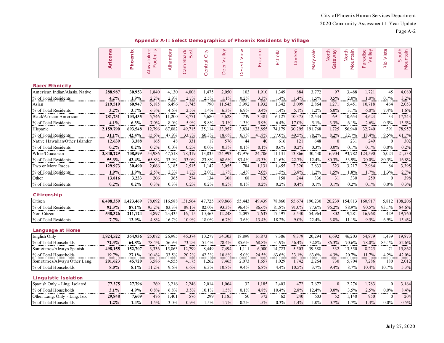|  |  |  |  | Appendix A-I: Select Demographics of Phoenix Residents by Village |  |
|--|--|--|--|-------------------------------------------------------------------|--|
|  |  |  |  |                                                                   |  |

|                                | Arizona   | Phoenix   | Ahwatukee<br>oothills<br>LL. | Alhambra | Camelback<br>East | City<br>Central | Valley<br>Deer | View<br>Desert | Encanto | Estrella      | Laveen | Maryvale | North<br>Gateway | North<br>Mountain | Paradise<br>Valley | Rio Vista        | South<br>Mountain |
|--------------------------------|-----------|-----------|------------------------------|----------|-------------------|-----------------|----------------|----------------|---------|---------------|--------|----------|------------------|-------------------|--------------------|------------------|-------------------|
| Race/Ethnicity                 |           |           |                              |          |                   |                 |                |                |         |               |        |          |                  |                   |                    |                  |                   |
| American Indian/Alaska Native  | 288,987   | 30,953    | 1,840                        | 4,130    | 4,008             | 1,475           | 2,050          | 103            | 1,910   | 1,349         | 884    | 3,772    | 97               | 3,488             | 1,721              | 45               | 4,080             |
| % of Total Residents           | 4.2%      | 1.9%      | 2.2%                         | 2.9%     | 2.7%              | 2.5%            | 1.1%           | 0.2%           | 3.3%    | 1.4%          | 1.4%   | 1.5%     | 0.5%             | 2.0%              | 1.0%               | 0.7%             | 3.2%              |
| Asian                          | 219,519   | 60,947    | 5,185                        | 6,496    | 3,745             | 790             | 11,545         | 3,992          | 1,932   | 1,342         | 3,099  | 2,864    | 1,271            | 5,451             | 10,718             | 464              | 2,053             |
| % of Total Residents           | $3.2\%$   | 3.7%      | 6.3%                         | 4.6%     | 2.5%              | 1.4%            | 6.3%           | 6.9%           | 3.4%    | 1.4%<br>minin | 5.1%   | 1.2%     | $6.0\%$          | 3.1%              | $6.0\%$<br>.       | 7.4%<br>         | 1.6%              |
| Black/African American         | 281,731   | 103,435   | 5,746                        | 11,200   | 8,771             | 5,680           | 5,628          | 739            | 3,381   | 6,127         | 10,375 | 12,544   | 691              | 10,654            | 4,624              | 33               | 17,243            |
| % of Total Residents           | 4.1%      | 6.3%      | 7.0%                         | 8.0%     | 5.9%              | 9.8%            | 3.1%           | 1.3%           | 5.9%    | 6.4%          | 17.0%  | 5.1%     | 3.3%             | 6.1%              | 2.6%               | 0.5%             | 13.5%             |
| Hispanic                       | 2,159,790 | 693,548   | 12,796                       | 67,082   | 49.715            | 35,114          | 33,957         | 3,834          | 23,855  | 74,179        | 30,295 | 191,768  | 1,725            | 56,940            | 32,740             | 591              | 78,957            |
| % of Total Residents           | 31.1%     | 42.4%     | 15.6%                        | 47.9%    | 33.7%             | 60.3%           | 18.6%          | 6.7%           | 41.8%   | 77.0%         | 49.5%  | 78.2%    | 8.2%             | 32.7%             | 18.4%              | 9.5%             | 61.7%             |
| Native Hawaiian/Other Islander | 12,639    | 3,388     | 165                          | 48       | 331               | 17              | 576            | 44             | 40      | 616           | 121    | 648      | $\theta$         | 231               | 249                | $\theta$         | 302               |
| % of Total Residents           | $0.2\%$   | 0.2%      | 0.2%                         | $0.0\%$  | 0.2%              | $0.0\%$         | 0.3%           | 0.1%           | 0.1%    | 0.6%          | 0.2%   | 0.3%     | $0.0\%$          | 0.1%              | 0.1%               | $0.0\%$          | 0.2%              |
| White/Caucasian                | 3,840,229 | 708,599   | 53,986                       | 47,518   | 78,319            | 13,835          | 124,993        | 47,976         | 24,706  | 11,131        | 13,866 | 30,430   | 16,904           | 93,782            | 124,590            | 5,024            | 21,538            |
| % of Total Residents           | 55.3%     | 43.4%     | 65.8%                        | 33.9%    | 53.0%             | 23.8%           | 68.6%          | 83.4%          | 43.3%   | 11.6%         | 22.7%  | 12.4%    | 80.3%            | 53.9%             | $70.0\%$           | 80.5%            | 16.8%             |
| Two or More Races              | 129,973   | 30,490    | 2,066                        | 3,185    | 2,515             | 1,142           | 3,055          | 784            | 1,131   | 1,455         | 2,320  | 2,833    | 323              | 3,217             | 2,984              | 84               | 3,395             |
| % of Total Residents           | 1.9%      | 1.9%      | 2.5%                         | 2.3%     | 1.7%              | 2.0%            | 1.7%           | 1.4%           | 2.0%    | 1.5%          | 3.8%   | 1.2%     | 1.5%             | 1.8%              | 1.7%               | 1.3%             | 2.7%              |
| Other                          | 13,816    | 3,233     | 206                          | 365      | 274               | 134             | 308            | 68             | 120     | 158           | 244    | 336      | 31               | 330               | 259                | $\theta$         | 398               |
| % of Total Residents           | $0.2\%$   | 0.2%      | 0.3%                         | $0.3\%$  | 0.2%              | 0.2%            | 0.2%           | 0.1%           | 0.2%    | 0.2%          | 0.4%   | 0.1%     | 0.1%             | 0.2%              | 0.1%               | $0.0\%$          | 0.3%              |
| Citizenship                    |           |           |                              |          |                   |                 |                |                |         |               |        |          |                  |                   |                    |                  |                   |
| Citizen                        | 6,408,359 | 1,423,469 | 78,092                       | 116,588  | 131,564           | 47,725          | 169,866        | 55,443         | 49,439  | 78,860        | 55,674 | 190,230  | 20,239           | 154,813           | 160,917            | 5,812            | 108,206           |
| % of Total Residents           | 92.3%     | 87.1%     | 95.2%                        | 83.3%    | 89.1%             | 82.0%           | 93.3%          | 96.4%          | 86.6%   | 81.8%         | 91.0%  | 77.6%    | 96.2%            | 88.9%             | 90.5%              | 93.1%            | 84.6%             |
| Non-Citizen                    | 538,326   | 211,124   | 3,897                        | 23,435   | 16,115            | 10,463          | 12,248         | 2,097          | 7,637   | 17,497        | 5,530  | 54,964   | 802              | 19,281            | 16,968             | 429              | 19,760            |
| % of Total Residents           | 7.7%      | 12.9%     | 4.8%                         | 16.7%    | 10.9%             | 18.0%           | 6.7%           | 3.6%           | 13.4%   | 18.2%         | 9.0%   | 22.4%    | 3.8%             | 11.1%             | 9.5%               | 6.9%             | 15.4%             |
| Language at Home               |           |           |                              |          |                   |                 |                |                |         |               |        |          |                  |                   |                    |                  |                   |
| English Only                   | 1,824,522 | 364,936   | 25,072                       | 26,995   | 46,374            | 10,277          | 54,303         | 18,899         | 16,873  | 7,386         | 9,379  | 20,294   | 6,692            | 46,203            | 54,879             | 1,439            | 19,873            |
| % of Total Households          | 72.3%     | 64.8%     | 78.4%                        | 56.9%    | 73.2%             | 51.4%           | 78.4%          | 85.6%          | 68.8%   | 31.9%         | 56.4%  | 32.8%    | 86.3%            | 70.6%             | 78.0%              | 85.1%            | 52.6%             |
| Sometimes/Always Spanish       | 498,155   | 152,707   | 3,336                        | 15,863   | 12,799            | 8,449           | 7,494          | 1,111          | 6,000   | 14,723        | 5,503  | 39,388   | 332              | 13,550            | 8,225              | 71               | 15,862            |
| % of Total Households          | 19.7%     | 27.1%     | 10.4%                        | 33.5%    | 20.2%             | 42.3%           | 10.8%          | 5.0%           | 24.5%   | 63.6%         | 33.1%  | 63.6%    | 4.3%             | 20.7%             | 11.7%              | 4.2%             | 42.0%             |
| Sometimes/Always Other Lang.   | 201,623   | 45,720    | 3,586                        | 4,555    | 4,175             | 1,262           | 7,465          | 2,073          | 1,657   | 1,029         | 1,742  | 2,264    | 730              | 5,704             | 7,286              | 180              | 2,012             |
| % of Total Households          | $8.0\%$   | 8.1%      | 11.2%                        | 9.6%     | 6.6%              | 6.3%            | 10.8%          | 9.4%           | 6.8%    | 4.4%          | 10.5%  | 3.7%     | 9.4%             | 8.7%              | 10.4%              | 10.7%            | 5.3%              |
| <b>Linguistic Isolation</b>    |           |           |                              |          |                   |                 |                |                |         |               |        |          |                  |                   |                    |                  |                   |
| Spanish Only - Ling. Isolated  | 77,375    | 27,796    | 269                          | 3,216    | 2,246             | 2,014           | 1,064          | 32             | 1,185   | 2,403         | 472    | 7,672    | $\boldsymbol{0}$ | 2,276             | 1,783              | $\boldsymbol{0}$ | 3,164             |
| % of Total Households          | 3.1%      | 4.9%      | $0.8\%$                      | 6.8%     | 3.5%              | 10.1%           | 1.5%           | 0.1%           | 4.8%    | 10.4%         | 2.8%   | 12.4%    | $0.0\%$          | 3.5%              | 2.5%               | $0.0\%$          | 8.4%              |
| Other Lang. Only - Ling. Iso.  | 29,848    | 7,609     | 476                          | 1,401    | <br>576           | 299             | 1,185          | 50             | 372     | 62            | 240    | .<br>603 | 52               | 1,140             | 950                | $\theta$         | 204               |
| % of Total Households          | 1.2%      | 1.4%      | 1.5%                         | 3.0%     | $0.9\%$           | 1.5%            | 1.7%           | $0.2\%$        | 1.5%    | 0.3%          | 1.4%   | 1.0%     | 0.7%             | 1.7%              | 1.3%               | $0.0\%$          | 0.5%              |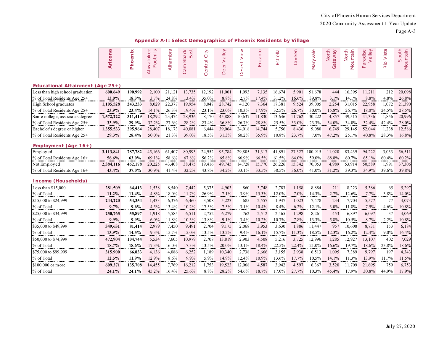|  |  | Appendix A-I: Select Demographics of Phoenix Residents by Village |  |  |
|--|--|-------------------------------------------------------------------|--|--|
|  |  |                                                                   |  |  |

|                                     | Arizona   | Phoenix | $\mathbb O$<br>Foothills<br>Ahwatuke | Alhambra | Camelback<br>East | City<br>entral<br>$\circ$ | Valley<br>Deer | View<br>Desert | Encanto | Estrella | Laveen | Maryvale | North<br>Gateway | Mountain<br>North | Paradise<br>Valley | Vista<br>Rio | South<br>Mountain |
|-------------------------------------|-----------|---------|--------------------------------------|----------|-------------------|---------------------------|----------------|----------------|---------|----------|--------|----------|------------------|-------------------|--------------------|--------------|-------------------|
| Educational Attainment (Age $25+$ ) |           |         |                                      |          |                   |                           |                |                |         |          |        |          |                  |                   |                    |              |                   |
| Less than high school graduation    | 600,649   | 190,992 | 2,100                                | 21.121   | 13,735            | 12,192                    | 11,001         | 1,093          | 7,135   | 16,674   | 5,901  | 51,678   | 444              | 16,395            | 11,211             | 212          | 20,098            |
| % of Total Residents Age 25+        | 13.0%     | 18.3%   | 3.7%                                 | 24.8%    | 13.4%             | 35.0%                     | 8.8%           | 2.7%           | 17.4%   | 31.2%    | 16.6%  | 39.8%    | 3.1%             | 14.1%             | 8.8%               | 4.8%         | 26.8%             |
| High School graduates               | 1,105,528 | 243,233 | 8,029                                | 22,377   | 19,954            | 8,047                     | 28,742         | 4,120          | 7,364   | 17,381   | 9,524  | 39,005   | 2,254            | 31,015            | 22,958             | 1,072        | 21,390            |
| % of Total Residents Age 25+        | 23.9%     | 23.4%   | 14.1%                                | 26.3%    | 19.4%             | 23.1%                     | 23.0%          | 10.3%          | 17.9%   | 32.5%    | 26.7%  | 30.0%    | 15.8%            | 26.7%             | 18.0%              | 24.5%        | 28.5%             |
| Some college, associates degree     | 1,572,222 | 311,419 | 18,292                               | 23,474   | 28,936            | 8,170                     | 45,888         | 10,637         | 11,830  | 13,646   | 11,762 | 30,222   | 4,857            | 39,515            | 41,336             | 1,856        | 20,996            |
| % of Total Residents Age 25+        | 33.9%     | 29.9%   | 32.2%                                | 27.6%    | 28.2%             | 23.4%                     | 36.8%          | 26.7%          | 28.8%   | 25.5%    | 33.0%  | 23.3%    | 34.0%            | 34.0%             | 32.4%              | 42.4%        | 28.0%             |
| Bachelor's degree or higher         | 1,355,533 | 295,964 | 28,407                               | 18,173   | 40,081            | 6,444                     | 39,064         | 24,018         | 14,744  | 5,756    | 8,436  | 9,080    | 6,749            | 29,145            | 52,044             | 1,238        | 12,586            |
| % of Total Residents Age 25+        | 29.3%     | 28.4%   | 50.0%                                | 21.3%    | 39.0%             | 18.5%                     | 31.3%          | 60.2%          | 35.9%   | 10.8%    | 23.7%  | 7.0%     | 47.2%            | 25.1%             | 40.8%              | 28.3%        | 16.8%             |
| Employment (Age $16+$ )             |           |         |                                      |          |                   |                           |                |                |         |          |        |          |                  |                   |                    |              |                   |
| Employed                            | 3,113,841 | 787,782 | 45,166                               | 61,407   | 80,993            | 24,952                    | 95,784         | 29,805         | 31,317  | 41,891   | 27,327 | 100,915  | 11,020           | 83,439            | 94,222             | 3,033        | 56,511            |
| % of Total Residents Age 16+        | 56.6%     | 63.0%   | 69.1%                                | 58.6%    | 67.8%             | 56.2%                     | 65.8%          | 66.9%          | 66.5%   | 61.5%    | 64.0%  | 59.0%    | 68.8%            | 60.7%             | 65.1%              | 60.4%        | 60.2%             |
| Not Employed                        | 2,384,116 | 462,178 | 20,225                               | 43,408   | 38,475            | 19,416                    | 49,745         | 14,728         | 15,770  | 26,226   | 15,342 | 70,053   | 4,989            | 53,914            | 50,589             | 1,991        | 37,306            |
| % of Total Residents Age 16+        | 43.4%     | 37.0%   | 30.9%                                | 41.4%    | 32.2%             | 43.8%                     | 34.2%          | 33.1%          | 33.5%   | 38.5%    | 36.0%  | 41.0%    | 31.2%            | 39.3%             | 34.9%              | 39.6%        | 39.8%             |
| <b>Income (Households)</b>          |           |         |                                      |          |                   |                           |                |                |         |          |        |          |                  |                   |                    |              |                   |
| Less than \$15,000                  | 281,509   | 64,413  | 1,538                                | 8,540    | 7,442             | 5,375                     | 4,903          | 860            | 3,748   | 2,783    | 1,158  | 8,884    | 211              | 8,223             | 5,386              | 65           | 5,297             |
| % of Total                          | 11.2%     | 11.4%   | 4.8%                                 | 18.0%    | 11.7%             | 26.9%                     | 7.1%           | 3.9%           | 15.3%   | 12.0%    | 7.0%   | 14.3%    | 2.7%             | 12.6%             | 7.7%               | 3.8%         | 14.0%             |
| \$15,000 to \$24,999                | 244,220   | 54,354  | 1,433                                | 6,376    | 6,460             | 3,508                     | 5,223          | 685            | 2,557   | 1,947    | 1,023  | 7,478    | 234              | 7,704             | 5,577              | 77           | 4,073             |
| % of Total                          | 9.7%      | 9.6%    | 4.5%                                 | 13.4%    | 10.2%             | 17.5%                     | 7.5%           | 3.1%           | 10.4%   | 8.4%     | 6.2%   | 12.1%    | $3.0\%$          | 11.8%             | 7.9%               | 4.6%         | 10.8%             |
| \$25,000 to \$34,999                | 250,765   | 55,897  | 1,918                                | 5,585    | 6,511             | 2,752                     | 6,279          | 762            | 2,512   | 2,465    | 1,298  | 8,261    | 453              | 6,897             | 6,097              | 37           | 4,069             |
| % of Total                          | 9.9%      | 9.9%    | 6.0%                                 | 11.8%    | 10.3%             | 13.8%                     | 9.1%           | 3.4%           | 10.2%   | 10.7%    | 7.8%   | 13.3%    | 5.8%             | 10.5%             | 8.7%               | 2.2%         | 10.8%             |
| \$35,000 to \$49,999                | 349,631   | 81,414  | 2,979                                | 7,450    | 9,491             | 2,704                     | 9,175          | 2,068          | 3,953   | 3,630    | 1,886  | 11,447   | 957              | 10,608            | 8,731              | 153          | 6,184             |
| % of Total                          | 13.9%     | 14.5%   | 9.3%                                 | 15.7%    | 15.0%             | 13.5%                     | 13.2%          | 9.4%           | 16.1%   | 15.7%    | 11.3%  | 18.5%    | 12.3%            | 16.2%             | 12.4%              | 9.0%         | 16.4%             |
| \$50,000 to \$74,999                | 472,904   | 104,744 | 5,534                                | 7,605    | 10,979            | 2,708                     | 13,819         | 2,903          | 4,508   | 5,216    | 3,725  | 12,996   | 1,285            | 12,927            | 13,107             | 402          | 7,029             |
| % of Total                          | 18.7%     | 18.6%   | 17.3%                                | 16.0%    | 17.3%             | 13.5%                     | 20.0%          | 13.1%          | 18.4%   | 22.5%    | 22.4%  | 21.0%    | 16.6%            | 19.7%             | 18.6%              | 23.8%        | 18.6%             |
| \$75,000 to \$99,999                | 315,900   | 66,833  | 4,136                                | 4,086    | 6,252             | 1,189                     | 10,340         | 2,738          | 2,666   | 3,155    | 2,938  | 6,513    | 1,095            | 7,389             | 9,797              | 197          | 4,343             |
| % of Total                          | 12.5%     | 11.9%   | 12.9%                                | 8.6%     | 9.9%              | 5.9%                      | 14.9%          | 12.4%          | 10.9%   | 13.6%    | 17.7%  | 10.5%    | 14.1%            | 11.3%             | 13.9%              | 11.7%        | 11.5%             |
| \$100,000 or more                   | 609,371   | 135,708 | 14,455                               | 7,769    | 16,212            | 1,753                     | 19,523         | 12,068         | 4,587   | 3,942    | 4,597  | 6,367    | 3,520            | 11,709            | 21,695             | 759          | 6,753             |
| % of Total                          | 24.1%     | 24.1%   | 45.2%                                | 16.4%    | 25.6%             | 8.8%                      | 28.2%          | 54.6%          | 18.7%   | 17.0%    | 27.7%  | 10.3%    | 45.4%            | 17.9%             | 30.8%              | 44.9%        | 17.9%             |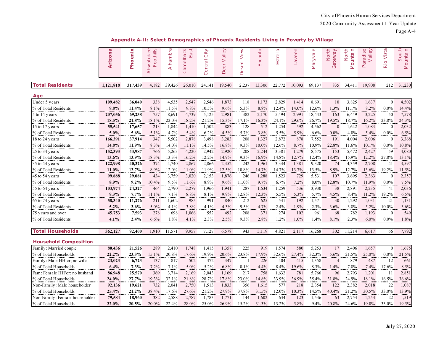Page A-4

|                                | Arizona   | Phoenix | Ahwatukee<br>oothills<br>Щ | Alhambra | East<br>Camelback | City<br>entral<br>$\circ$ | Valley<br>Deer | View<br>Desert | Encanto | Estrella | Laveen    | Maryvale  | North<br>Gateway         | North<br>Mountain | Paradise<br>Valley | Rio Vista      | South<br>Mountain |
|--------------------------------|-----------|---------|----------------------------|----------|-------------------|---------------------------|----------------|----------------|---------|----------|-----------|-----------|--------------------------|-------------------|--------------------|----------------|-------------------|
| <b>Total Residents</b>         | 1,121,818 | 317,439 | 4,182                      | 39.426   | 26,010            | 24,141                    | 19,540         | 2,237          | 13,306  | 22,772   | 10.093    | 69,137    | 835                      | 34,411            | 19,908             | 212            | 31,230            |
| Aqe                            |           |         |                            |          |                   |                           |                |                |         |          |           |           |                          |                   |                    |                |                   |
| Under 5 years                  | 109,482   | 36,040  | 338                        | 4,535    | 2,547             | 2,546                     | 1,873          | 118            | 1,173   | 2,829    | 1,414     | 8,691     | 10                       | 3,825             | 1,637              | $\overline{0}$ | 4,502             |
| % of Total Residents           | 9.8%      | 11.4%   | 8.1%                       | 11.5%    | 9.8%              | 10.5%                     | 9.6%           | 5.3%           | 8.8%    | 12.4%    | 14.0%     | 12.6%     | 1.3%                     | 11.1%             | 8.2%               | $0.0\%$        | 14.4%             |
| 5 to 14 years                  | 207,056   | 69,238  | 757                        | 8,691    | 4,739             | 5,125                     | 2,981          | 382            | 2,170   | 5,494    | 2,991     | 18,443    | 163                      | 6,449             | 3,225              | 50             | 7,578             |
| % of Total Residents           | 18.5%     | 21.8%   | 18.1%                      | 22.0%    | 18.2%             | 21.2%                     | 15.3%          | 17.1%          | 16.3%   | 24.1%    | 29.6%     | 26.7%     | 19.5%                    | 18.7%             | 16.2%              | 23.8%          | 24.3%             |
| 15 to 17 years                 | 55,541    | 17,657  | 213                        | 1,844    | 1,410             | 1,502                     | 883            | 128            | 512     | 1,254    | 592       | 4,562     | $\mathbf{0}$             | 1,642             | 1,083              | $\mathbf{0}$   | 2,032             |
| % of Total Residents           | $5.0\%$   | 5.6%    | 5.1%                       | 4.7%     | 5.4%              | 6.2%                      | 4.5%           | 5.7%           | 3.8%    | 5.5%     | 5.9%      | 6.6%      | $0.0\%$                  | 4.8%              | 5.4%               | $0.0\%$        | 6.5%              |
| 18 to 24 years                 | 166,391   | 37,914  | 347                        | 5,502    | 2,878             | 3,498                     | 3,283          | 208            | 1,327   | 2,872    | 878       | 7,552     | 191                      | 4,004             | 2,006              | $\mathbf{0}$   | 3,368             |
| % of Total Residents           | 14.8%     | 11.9%   | 8.3%                       | 14.0%    | 11.1%             | 14.5%                     | 16.8%          | 9.3%           | 10.0%   | 12.6%    | 8.7%      | 10.9%     | 22.8%                    | 11.6%             | 10.1%              | $0.0\%$        | 10.8%             |
| 25 to 34 years                 | 152,393   | 43,987  | 766                        | 5,263    | 4,220             | 2,942                     | 2,920          | 208            | 2,244   | 3,381    | 1,279     | 8,575     | 153                      | 5,472             | 2,427              | 59             | 4,080             |
| % of Total Residents           | $13.6\%$  | 13.9%   | 18.3%                      | 13.3%    | 16.2%             | 12.2%<br>.                | 14.9%          | 9.3%<br>.      | 16.9%   | 14.8%    | 12.7%     | 12.4%     | 18.4%                    | 15.9%             | 12.2%              | 27.8%          | 13.1%             |
| 35 to 44 years                 | 122,998   | 40,326  | 374                        | 4,740    | 2,867             | 2,866                     | 2,452          | 242            | 1,961   | 3,344    | 1,381     | 9,320     | 74                       | 4,359             | 2,708              | 41             | 3,597             |
| % of Total Residents           | 11.0%     | 12.7%   | 8.9%                       | 12.0%    | 11.0%             | 11.9%                     | 12.5%          | 10.8%          | 14.7%   | 14.7%    | 13.7%     | 13.5%     | 8.9%                     | 12.7%             | 13.6%              | 19.2%          | 11.5%             |
| 45 to 54 years                 | 99,888    | 29,081  | 434                        | 3,759    | 3,020             | 2,153                     | 1,876          | 246            | 1,288   | 1,523    | 729       | 5,531     | 107                      | 3,695             | 2,363              | $\mathbf{0}$   | 2,357             |
| % of Total Residents           | 8.9%      | 9.2%    | 10.4%                      | 9.5%     | 11.6%             | 8.9%                      | 9.6%           | 11.0%          | 9.7%    | 6.7%     | 7.2%      | $8.0\%$   | 12.8%                    | 10.7%             | 11.9%              | $0.0\%$        | 7.5%              |
| 55 to 64 years                 | 103,974   | 24,327  | 464                        | 2,790    | 2,279             | 1,966                     | 1,941          | 287            | 1,634   | 1,259    | 536       | 3,930     | 38                       | 2,891             | 2,235              | 41             | 2,036             |
| % of Total Residents           | 9.3%      | 7.7%    | 11.1%                      | 7.1%     | 8.8%              | 8.1%<br>                  | 9.9%<br>.      | 12.8%<br>.     | 12.3%   | 5.5%     | 5.3%<br>. | 5.7%<br>. | 4.5%                     | 8.4%              | 11.2%              | 19.2%          | 6.5%<br>.         |
| 65 to 74 years                 | 58,340    | 11,276  | 211                        | 1,602    | 985               | 991                       | 840            | 212            | 625     | 541      | 192       | 1,571     | 30                       | 1,292             | 1,031              | 21             | 1,131             |
| % of Total Residents           | $5.2\%$   | 3.6%    | 5.0%                       | 4.1%     | 3.8%              | 4.1%                      | 4.3%           | 9.5%           | 4.7%    | 2.4%     | 1.9%      | 2.3%      | 3.6%                     | 3.8%              | 5.2%               | 10.0%          | 3.6%              |
| 75 years and over              | 45,753    | 7,593   | 278                        | 698      | 1,066             | 552                       | 492            | 208            | 371     | 274      | 102       | 961       | 68                       | 782               | 1,193              | $\mathbf{0}$   | 549               |
| % of Total Residents           | 4.1%      | 2.4%    | 6.6%                       | 1.8%     | 4.1%              | 2.3%                      | 2.5%           | 9.3%           | 2.8%    | 1.2%     | 1.0%      | 1.4%      | 8.1%                     | 2.3%              | 6.0%               | $0.0\%$        | 1.8%              |
|                                |           |         |                            |          |                   |                           |                |                |         |          |           |           |                          |                   |                    |                |                   |
| <b>Total Households</b>        | 362,127   | 92,400  | 1,910                      | 11,571   | 9,957             | 7,127                     | 6,578          | 943            | 5,119   | 4,821    | 2,117     | 16,268    | 302                      | 11,214            | 6,617              | 66             | 7,792             |
| <b>Household Composition</b>   |           |         |                            |          |                   |                           |                |                |         |          |           |           |                          |                   |                    |                |                   |
| Family: Married couple         | 80,436    | 21,526  | 289                        | 2,410    | 1,748             | 1,415                     | 1,357          | 225            | 919     | 1,574    | 580       | 5,253     | 17                       | 2,406             | 1,657              | $\mathbf{0}$   | 1,675             |
| % of Total Households          | 22.2%     | 23.3%   | 15.1%                      | 20.8%    | 17.6%             | 19.9%                     | 20.6%          | 23.8%          | 17.9%   | 32.6%    | 27.4%     | 32.3%     | 5.6%                     | 21.5%             | 25.0%              | 0.0%           | 21.5%             |
| Family: Male HH'er; no wife    | 23,023    | 6,723   | 137                        | 817      | 502               | 372                       | 447            |                | 226     | 404      | 415       | 1,358     | $\overline{\mathcal{A}}$ | 879               | 487                | 12             | 661               |
| % of Total Households          | 6.4%      | $7.3\%$ | 7.2%                       | 7.1%     | 5.0%              | 5.2%                      | 6.8%           | 0.1%           | 4.4%    | 8.4%     | 19.6%     | 8.3%      | 1.4%                     | 7.8%              | 7.4%               | 17.6%          | 8.5%              |
| Fam: Female HH'er; no husband  | 86,948    | 25,570  | 369                        | 3,714    | 2,169             | 2,043                     | 1,169          | 217            | 758     | 1,632    | 781       | 5,766     | 96                       | 2,793             | 1,201              | 11             | 2,851             |
| % of Total Households          | 24.0%     | 27.7%   | 19.3%                      | 32.1%    | 21.8%             | 28.7%                     | 17.8%          | 23.0%          | 14.8%   | 33.9%    | 36.9%     | 35.4%     | 31.8%                    | 24.9%             | 18.1%              | 16.5%          | 36.6%             |
| Non-Family: Male householder   | 92,136    | 19,621  | 732                        | 2,041    | 2,750             | 1,513                     | 1,833          | 356            | 1,615   | 577      | 218       | 2,354     | 122                      | 2,382             | 2,018              | 22             | 1,087             |
| % of Total Households          | 25.4%     | 21.2%   | 38.4%                      | 17.6%    | 27.6%             | 21.2%                     | 27.9%          | 37.8%          | 31.5%   | 12.0%    | 10.3%     | 14.5%     | 40.4%                    | 21.2%             | 30.5%              | 33.0%          | 13.9%             |
| Non-Family: Female householder | 79,584    | 18,960  | 382                        | 2,588    | 2,787             | 1,783                     | 1,771          | 144            | 1,602   | 634      | 123       | 1,536     | 63                       | 2,754             | 1,254              | 22             | 1,519             |
| % of Total Households          | 22.0%     | 20.5%   | 20.0%                      | 22.4%    | 28.0%             | 25.0%                     | 26.9%          | 15.2%          | 31.3%   | 13.2%    | 5.8%      | 9.4%      | 20.8%                    | 24.6%             | 19.0%              | 33.0%          | 19.5%             |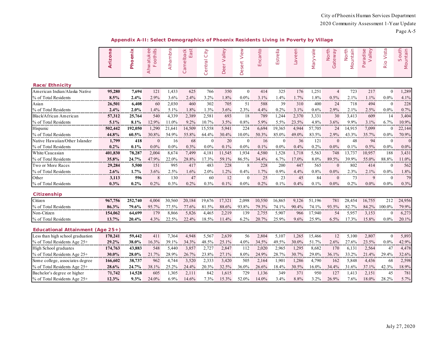Page A-5

**Appendix A-II: Select Demographics of Phoenix Residents Living in Poverty by Village**

|                                    | S<br>5<br><b>Ariz</b> | Phoenix    | Ahwatukee<br>Foothills | Alhambra  | Camelback<br>East | City<br>Central | Valley<br>$\overleftarrow{\Theta}$<br><b>De</b> | View<br>Desert | Encanto | Estrella | Laveen    | Maryvale | North<br>Gateway | North<br>Mountain | aradise<br>Valley<br>$\square$ | Rio Vista      | South<br>Mountain |
|------------------------------------|-----------------------|------------|------------------------|-----------|-------------------|-----------------|-------------------------------------------------|----------------|---------|----------|-----------|----------|------------------|-------------------|--------------------------------|----------------|-------------------|
| Race/Ethnicity                     |                       |            |                        |           |                   |                 |                                                 |                |         |          |           |          |                  |                   |                                |                |                   |
| American Indian/Alaska Native      | 95,280                | 7,694      | 121                    | 1,433     | 625               | 766             | 350                                             | $\mathbf{0}$   | 414     | 325      | 176       | 1,251    | $\overline{4}$   | 723               | 217                            | $\mathbf{0}$   | 1,289             |
| % of Total Residents               | 8.5%                  | 2.4%       | 2.9%                   | 3.6%      | 2.4%              | 3.2%            | 1.8%                                            | $0.0\%$        | 3.1%    | 1.4%     | 1.7%      | 1.8%     | 0.5%             | 2.1%              | 1.1%                           | $0.0\%$        | 4.1%              |
| Asian                              | 26,501                | 6,408      | 60                     | 2,030     | 460               | 302             | 705                                             | 51             | 588     | 39       | 310       | 400      | 24               | 718               | 494                            | $\theta$       | 228               |
| % of Total Residents               | 2.4%                  | 2.0%       | 1.4%                   | 5.1%      | 1.8%              | 1.3%            | 3.6%                                            | 2.3%           | 4.4%    | 0.2%     | 3.1%      | 0.6%     | 2.9%             | 2.1%              | 2.5%                           | $0.0\%$        | 0.7%              |
| Black/African American             | 57,312                | 25,764     | 540                    | 4,339     | 2,389             | 2,581           | 693                                             | 18             | 789     | 1,244    | 2,370     | 3,331    | 30               | 3,413             | 609                            | 14             | 3,404             |
| % of Total Residents               | $5.1\%$               | 8.1%       | 12.9%                  | 11.0%     | 9.2%              | 10.7%           | 3.5%                                            | 0.8%           | 5.9%    | 5.5%     | 23.5%     | 4.8%     | 3.6%             | 9.9%              | 3.1%<br>                       | 6.7%           | 10.9%             |
| Hispanic                           | 502,442               | 192,050    | 1,290                  | 21,641    | 14,509            | 15,558          | 5,941                                           | 224            | 6,694   | 19,365   | 4,944     | 57,705   | 24               | 14,915            | 7,099                          | $\Omega$       | 22,144            |
| % of Total Residents               | 44.8%                 | 60.5%      | 30.8%                  | 54.9%     | 55.8%             | 64.4%           | 30.4%                                           | 10.0%          | 50.3%   | 85.0%    | 49.0%     | 83.5%    | 2.9%             | 43.3%             | 35.7%                          | $0.0\%$        | 70.9%             |
| Native Hawaiian/Other Islander     | 1,799                 | 418        | $\theta$               | 16        | 68                | $\theta$        | 20                                              | $\mathbf{0}$   | 16      | $\theta$ | 36        | 121      | $\mathbf{0}$     | 48                | 94                             | $\Omega$       | $\theta$          |
| % of Total Residents               | 0.2%                  | 0.1%       | $0.0\%$                | $0.0\%$   | 0.3%              | 0.0%            | 0.1%                                            | $0.0\%$        | 0.1%    | 0.0%     | 0.4%      | 0.2%     | 0.0%             | 0.1%              | 0.5%                           | $0.0\%$        | $0.0\%$           |
| White/Caucasian                    | 401,830               | 78,287     | 2,004                  | 8,674     | 7,499             | 4,181           | 11,545                                          | 1,934          | 4,580   | 1,528    | 1,718     | 5,563    | 748              | 13,737            | 10,957                         | 188            | 3,431             |
| % of Total Residents               | 35.8%                 | 24.7%      | 47.9%                  | 22.0%     | 28.8%             | 17.3%           | 59.1%                                           | 86.5%          | 34.4%   | 6.7%     | 17.0%     | 8.0%     | 89.5%            | 39.9%             | 55.0%                          | 88.8%          | 11.0%             |
| Two or More Races                  | 29,284                | 5,500      | 151                    | 995       | 417               | 483             | 228                                             | 8              | 228     | 200      | 447       | 565      | $\bf{0}$         | 802               | 414                            | $\Omega$       | 562               |
| % of Total Residents               | 2.6%                  | 1.7%       | 3.6%                   | 2.5%      | 1.6%              | 2.0%            | 1.2%                                            | 0.4%           | 1.7%    | 0.9%     | 4.4%      | 0.8%     | 0.0%             | 2.3%              | 2.1%                           | $0.0\%$        | 1.8%              |
| Other                              | 3,113                 | 596        | 8                      | 130       | 47                | 60              | 12                                              | $\mathbf{0}$   | 25      | 23       | 45        | 84       | $\boldsymbol{0}$ | 73                | 9                              | $\Omega$       | 79                |
| % of Total Residents               | 0.3%                  | $0.2\%$    | 0.2%                   | 0.3%      | 0.2%              | 0.3%            | 0.1%                                            | $0.0\%$        | 0.2%    | 0.1%     | 0.4%      | 0.1%     | $0.0\%$          | 0.2%              | $0.0\%$                        | $0.0\%$        | 0.3%              |
| Citizenship                        |                       |            |                        |           |                   |                 |                                                 |                |         |          |           |          |                  |                   |                                |                |                   |
| Citizen                            | 967,756               | 252,740    | 4,004                  | 30,560    | 20,184            | 19,676          | 17,321                                          | 2,098          | 10,550  | 16,865   | 9,126     | 51,196   | 781              | 28,454            | 16,755                         | 212            | 24,956            |
| % of Total Residents               | 86.3%                 | 79.6%      | 95.7%                  | 77.5%     | 77.6%             | 81.5%           | 88.6%                                           | 93.8%          | 79.3%   | 74.1%    | 90.4%     | 74.1%    | 93.5%            | 82.7%             | 84.2%                          | 100.0%         | 79.9%             |
| Non-Citizen                        | 154,062               | 64,699     | 179                    | 8,866     | 5,826             | 4,465           | 2,219                                           | 139            | 2,755   | 5,907    | 966       | 17,940   | 54               | 5,957             | 3,153                          | $\theta$       | 6,273             |
| % of Total Residents               | 13.7%                 | 20.4%      | 4.3%                   | 22.5%     | 22.4%             | 18.5%           | 11.4%                                           | 6.2%           | 20.7%   | 25.9%    | 9.6%      | 25.9%    | 6.5%             | 17.3%             | 15.8%                          | $0.0\%$        | 20.1%             |
| Educational Attainment (Age $25+)$ |                       |            |                        |           |                   |                 |                                                 |                |         |          |           |          |                  |                   |                                |                |                   |
| Less than high school graduation   | 170,241               | 59,442     | 411                    | 7,364     | 4,948             | 5,567           | 2,639                                           | 56             | 2,804   | 5,107    | 1,265     | 15,466   | 12               | 5,100             | 2,807                          | $\overline{0}$ | 5,893             |
| % of Total Residents Age 25+       | 29.2%                 | 38.0%      | 16.3%                  | 39.1%     | 34.3%             | 48.5%           | 25.1%                                           | 4.0%           | 34.5%   | 49.5%    | 30.0%     | 51.7%    | 2.6%             | 27.6%             | 23.5%                          | $0.0\%$        | 42.9%             |
| High School graduates              | 174,763               | 43,883     | 548                    | 5,440     | 3,857             | 2,727           | 2,847                                           | 112            | 2,020   | 2,965    | 1,295     | 8,682    | 170              | 6,131             | 2,564                          | 47             | 4,478             |
| % of Total Residents Age 25+       | 30.0%                 | $28.0\%$   | 21.7%                  | 28.9%     | 26.7%             | 23.8%           | 27.1%                                           | 8.0%           | 24.9%   | 28.7%    | 30.7%     | $29.0\%$ | 36.1%            | 33.2%             | 21.4%                          | 29.4%          | 32.6%             |
| Some college, associates degree    | 166,602               | 38,737     | 962                    | 4,744     | 3,520             | 2,333           | 3,420                                           | 505            | 2,164   | 1,901    | 1,286     | 4,790    | 162              | 5,848             | 4,436                          | 68             | 2,598             |
| % of Total Residents Age 25+       | 28.6%                 | 24.7%<br>. | 38.1%<br>.             | 25.2%<br> | 24.4%             | 20.3%<br>       | 32.5%<br>.                                      | 36.0%          | 26.6%   | 18.4%    | 30.5%<br> | 16.0%    | 34.4%            | 31.6%             | 37.1%<br>.                     | 42.3%<br>.     | 18.9%<br>         |
| Bachelor's degree or higher        | 71,742                | 14,528     | 605                    | 1,305     | 2,111             | 842             | 1,615                                           | 729            | 1,136   | 349      | 371       | 950      | 127              | 1,413             | 2,151                          | 45             | 781               |
| % of Total Residents Age 25+       | 12.3%                 | 9.3%       | 24.0%                  | 6.9%      | 14.6%             | 7.3%            | 15.3%                                           | 52.0%          | 14.0%   | 3.4%     | 8.8%      | 3.2%     | 26.9%            | 7.6%              | 18.0%                          | 28.2%          | 5.7%              |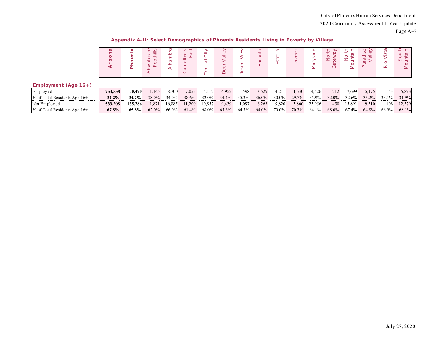| Appendix A-II: Select Demographics of Phoenix Residents Living in Poverty by Village |
|--------------------------------------------------------------------------------------|
|--------------------------------------------------------------------------------------|

|                                | $\boldsymbol{\varpi}$ | Δ        | $\stackrel{\sim}{=}$<br>$\circ$<br>g<br>$\circ$<br>⋖ |        | <b>Iback</b><br>ist<br>$\circ$<br>m<br>$\circ$ | ≧<br>$\circ$ | dlley<br>$\overline{\omega}$ |       | ш     | $\frac{a}{b}$<br>Estr | $\omega$ | $rac{e}{a}$ | ∠     | ş<br>Σ | þ<br>$\sigma$<br>$\sigma$ .<br>S<br>$\Delta$ | ista<br><u>ه.</u><br>$\simeq$ | $\circ$<br>$\omega =$<br>Σ |
|--------------------------------|-----------------------|----------|------------------------------------------------------|--------|------------------------------------------------|--------------|------------------------------|-------|-------|-----------------------|----------|-------------|-------|--------|----------------------------------------------|-------------------------------|----------------------------|
| Employment (Age $16+$ )        |                       |          |                                                      |        |                                                |              |                              |       |       |                       |          |             |       |        |                                              |                               |                            |
| Employed                       | 253,558               | 70,490   | 1,145                                                | 8.700  | 7,055                                          | 5.112        | 4,952                        | 598   | 3,529 | 4,211                 | 1,630    | 14,526      | 212   | 7,699  | 5,175                                        | 53                            | 5,893                      |
| $%$ of Total Residents Age 16+ | $32.2\%$              | $34.2\%$ | 38.0%                                                | 34.0%  | 38.6%                                          | 32.0%        | 34.4%                        | 35.3% | 36.0% | 30.0%                 | 29.7%    | 35.9%       | 32.0% | 32.6%  | 35.2%                                        | 33.1%                         | 31.9%                      |
| Not Employed                   | 533,208               | 135,786  | 1,871                                                | 16,885 | 11,200                                         | 10,857       | 9,439                        | 1,097 | 6,263 | 9,820                 | 3,860    | 25,956      | 450   | 15,891 | 9,510                                        | 108                           | 12,579                     |
| $%$ of Total Residents Age 16+ | $67.8\%$              | 65.8%    | 62.0%                                                | 66.0%  | 61.4%                                          | 68.0%        | 65.6%                        | 64.7% | 64.0% | 70.0%                 | 70.3%    | 64.1%       | 68.0% | 67.4%  | 64.8%                                        | 66.9%                         | 68.1%                      |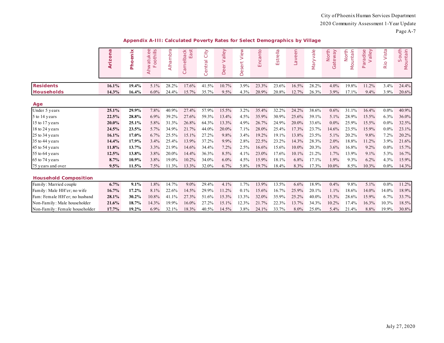|                               | Arizona | enix<br>Pho | $\omega$ $\omega$<br>oothills<br>tuke<br>Ahwa <sup>-</sup><br>LL. | Alhambra | East<br>melback<br>$\sigma$<br>$\circ$ | City<br>Central | alley<br>><br>ă<br>Dè | View<br>sert<br>ق | Encanto | Estrella | Laveen | Maryvale | North<br>teway<br>$\sigma$<br>$\circ$ | North<br>untain<br>$\overline{\mathsf{S}}$ | alley<br>aradise<br>௨ | Vista<br>Rio | South<br>Mountain |
|-------------------------------|---------|-------------|-------------------------------------------------------------------|----------|----------------------------------------|-----------------|-----------------------|-------------------|---------|----------|--------|----------|---------------------------------------|--------------------------------------------|-----------------------|--------------|-------------------|
| <b>Residents</b>              | 16.1%   | 19.4%       | 5.1%                                                              | 28.2%    | 17.6%                                  | 41.5%           | 10.7%                 | 3.9%              | 23.3%   | 23.6%    | 16.5%  | 28.2%    | 4.0%                                  | 19.8%                                      | 11.2%                 | 3.4%         | 24.4%             |
| <b>Households</b>             | 14.3%   | 16.4%       | $6.0\%$                                                           | 24.4%    | 15.7%                                  | 35.7%           | 9.5%                  | 4.3%              | 20.9%   | 20.8%    | 12.7%  | 26.3%    | 3.9%                                  | 17.1%                                      | 9.4%                  | 3.9%         | 20.6%             |
| Age                           |         |             |                                                                   |          |                                        |                 |                       |                   |         |          |        |          |                                       |                                            |                       |              |                   |
| Under 5 years                 | 25.1%   | 29.9%       | 7.8%                                                              | 40.9%    | 27.4%                                  | 57.9%           | 15.5%                 | 3.2%              | 35.4%   | 32.2%    | 24.2%  | 38.6%    | 0.6%                                  | 31.1%                                      | 16.4%                 | $0.0\%$      | 40.9%             |
| 5 to 14 years                 | 22.5%   | 28.8%       | 6.9%                                                              | 39.2%    | 27.6%                                  | 59.3%           | 13.4%                 | 4.5%              | 35.9%   | 30.9%    | 25.6%  | 39.1%    | 5.1%                                  | 28.9%                                      | 15.5%                 | 6.3%         | 36.0%             |
| 15 to 17 years                | 20.0%   | 25.1%       | 5.8%                                                              | 31.3%    | 26.8%                                  | 64.3%           | 13.3%                 | 4.9%              | 26.7%   | 24.9%    | 20.0%  | 33.6%    | $0.0\%$                               | 25.9%                                      | 15.5%                 | $0.0\%$      | 32.5%             |
| 18 to 24 years                | 24.5%   | 23.5%       | 5.7%                                                              | 34.9%    | 21.7%                                  | 44.0%           | 20.0%                 | 7.1%              | 28.0%   | 25.4%    | 17.3%  | 23.7%    | 14.6%                                 | 23.5%                                      | 15.9%                 | $0.0\%$      | 23.1%             |
| 25 to 34 years                | 16.1%   | 17.0%       | 6.7%                                                              | 25.5%    | 15.1%                                  | 27.2%           | 9.8%                  | 3.4%              | 19.2%   | 19.1%    | 13.8%  | 23.5%    | 5.1%                                  | 20.2%                                      | 9.8%                  | 7.2%         | 20.2%             |
| 35 to 44 years                | 14.4%   | 17.9%       | 3.4%                                                              | 25.4%    | 13.9%                                  | 37.2%           | 9.9%                  | 2.8%              | 22.5%   | 23.2%    | 14.3%  | 28.3%    | 2.0%                                  | 18.8%                                      | 11.2%                 | 3.9%         | 21.6%             |
| 45 to 54 years                | 11.8%   | 13.7%       | 3.3%                                                              | 21.9%    | 14.6%                                  | 34.4%           | 7.2%                  | 2.5%              | 16.6%   | 15.6%    | 10.0%  | 20.3%    | 3.6%                                  | 16.8%                                      | 9.2%                  | $0.0\%$      | 15.7%             |
| 55 to 64 years                | 12.5%   | 13.8%       | 3.8%                                                              | 20.0%    | 14.4%                                  | 36.3%           | 8.5%                  | 4.1%              | 23.0%   | 17.6%    | 10.1%  | 21.2%    | 1.7%                                  | 13.9%                                      | 9.1%                  | 5.3%         | 16.7%             |
| 65 to 74 years                | 8.7%    | 10.9%       | 3.8%                                                              | 19.0%    | 10.2%                                  | 34.0%           | $6.0\%$               | 4.5%              | 15.9%   | 18.1%    | 6.8%   | 17.1%    | 1.9%                                  | 9.3%                                       | 6.2%                  | 4.3%         | 15.9%             |
| 75 years and over             | 9.5%    | 11.5%       | 7.5%                                                              | 11.3%    | 13.3%                                  | 32.0%           | 6.7%                  | 5.8%              | 19.7%   | 18.4%    | 8.3%   | 17.3%    | 10.0%                                 | 8.5%                                       | 10.3%                 | $0.0\%$      | 14.3%             |
| <b>Household Composition</b>  |         |             |                                                                   |          |                                        |                 |                       |                   |         |          |        |          |                                       |                                            |                       |              |                   |
| Family: Married couple        | 6.7%    | 9.1%        | 1.8%                                                              | 14.7%    | $9.0\%$                                | 29.4%           | 4.1%                  | 1.7%              | 13.9%   | 13.5%    | 6.6%   | 18.9%    | 0.4%                                  | 9.8%                                       | 5.1%                  | $0.0\%$      | 11.2%             |
| Family: Male HH'er; no wife   | 16.7%   | 17.2%       | 8.1%                                                              | 22.6%    | 14.5%                                  | 29.9%           | 11.2%                 | $0.1\%$           | 15.6%   | 16.7%    | 25.9%  | 20.1%    | 1.1%                                  | 18.6%                                      | 14.0%                 | 14.0%        | 18.9%             |
| Fam: Female HH'er; no husband | 28.1%   | 30.2%       | 10.8%                                                             | 41.1%    | 27.3%                                  | 51.6%           | 15.3%                 | 13.3%             | 32.0%   | 35.9%    | 25.2%  | 40.0%    | 15.3%                                 | 28.6%                                      | 15.9%                 | 6.7%         | 33.7%             |
| Non-Family: Male householder  | 21.6%   | 18.7%       | 14.3%                                                             | 19.9%    | 16.0%                                  | 27.2%           | 15.1%                 | 12.3%             | 21.7%   | 22.3%    | 13.7%  | 34.3%    | 10.2%                                 | 17.4%                                      | 16.3%                 | 10.3%        | 18.5%             |

Non-Family : Female householder **17.7% 19.2%** 6.9% 32.1% 18.3% 40.5% 14.5% 3.8% 24.1% 33.7% 8.0% 25.0% 5.4% 21.4% 8.8% 19.9% 30.8%

**Appendix A-III: Calculated Poverty Rates for Select Demographics by Village**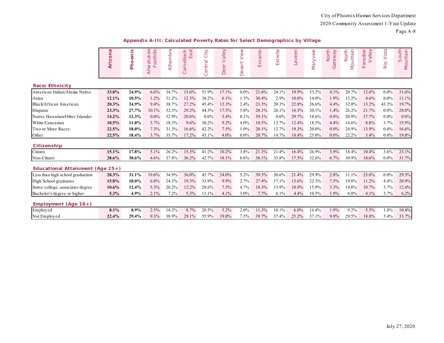Page A-8

| Appendix A-III: Calculated Poverty Rates for Select Demographics by Village |  |  |
|-----------------------------------------------------------------------------|--|--|
|                                                                             |  |  |

|                                     | Arizona | Phoenix | $\omega$<br>oothills<br>Ahwatuke<br>$\sqcup$ | Alhambra | amelback<br>East<br>$\circ$ | City<br>entral<br>$\circ$ | alley<br>$\geq$<br>eer<br>$\Box$ | View<br>sert<br>$\ddot{\omega}$<br>Õ | Encanto | Estrella | Laveen | Maryvale | North<br>Gateway | Mountain<br>North | Valley<br>Paradise | Vista<br>Rio | South<br>Mountain |
|-------------------------------------|---------|---------|----------------------------------------------|----------|-----------------------------|---------------------------|----------------------------------|--------------------------------------|---------|----------|--------|----------|------------------|-------------------|--------------------|--------------|-------------------|
| Race/Ethnicity                      |         |         |                                              |          |                             |                           |                                  |                                      |         |          |        |          |                  |                   |                    |              |                   |
| American Indian/Alaska Native       | 33.0%   | 24.9%   | 6.6%                                         | 34.7%    | 15.6%                       | 51.9%                     | 17.1%                            | $0.0\%$                              | 21.6%   | 24.1%    | 19.9%  | 33.2%    | 4.1%             | 20.7%             | 12.6%              | $0.0\%$      | 31.6%             |
| Asian                               | 12.1%   | 10.5%   | 1.2%                                         | 31.2%    | 12.3%                       | 38.2%                     | 6.1%                             | 1.3%                                 | 30.4%   | 2.9%     | 10.0%  | 14.0%    | 1.9%             | 13.2%             | 4.6%               | $0.0\%$      | 11.1%             |
| Black/African American              | 20.3%   | 24.9%   | 9.4%                                         | 38.7%    | 27.2%                       | 45.4%                     | 12.3%                            | 2.4%                                 | 23.3%   | 20.3%    | 22.8%  | 26.6%    | 4.4%             | 32.0%             | 13.2%              | 43.3%        | 19.7%             |
| Hispanic                            | 23.3%   | 27.7%   | 10.1%                                        | 32.3%    | 29.2%                       | 44.3%                     | 17.5%                            | 5.8%                                 | 28.1%   | 26.1%    | 16.3%  | 30.1%    | 1.4%             | 26.2%             | 21.7%              | $0.0\%$      | 28.0%             |
| Native Hawaiian/Other Islander      | 14.2%   | 12.3%   | $0.0\%$                                      | 32.9%    | 20.6%                       | $0.0\%$                   | 3.4%                             | 0.1%                                 | 39.1%   | $0.0\%$  | 29.7%  | 18.6%    | $0.0\%$          | 20.9%             | 37.7%              | $0.0\%$      | $0.0\%$           |
| White/Caucasian                     | 10.5%   | 11.0%   | 3.7%                                         | 18.3%    | 9.6%                        | 30.2%                     | 9.2%                             | 4.0%                                 | 18.5%   | 13.7%    | 12.4%  | 18.3%    | 4.4%             | 14.6%             | 8.8%               | 3.7%         | 15.9%             |
| Two or More Races                   | 22.5%   | 18.0%   | 7.3%                                         | 31.3%    | 16.6%                       | 42.2%                     | 7.5%                             | 1.0%                                 | 20.1%   | 13.7%    | 19.3%  | 20.0%    | $0.0\%$          | 24.9%             | 13.9%              | $0.0\%$      | 16.6%             |
| Other                               | 22.5%   | 18.4%   | 3.7%                                         | 35.7%    | 17.2%                       | 45.1%                     | 4.0%                             | $0.0\%$                              | 20.7%   | 14.7%    | 18.4%  | 25.0%    | $0.0\%$          | 22.2%             | 3.4%               | $0.0\%$      | 19.8%             |
| Citizenship                         |         |         |                                              |          |                             |                           |                                  |                                      |         |          |        |          |                  |                   |                    |              |                   |
| Citizen                             | 15.1%   | 17.8%   | 5.1%                                         | 26.2%    | 15.3%                       | 41.2%                     | 10.2%                            | 3.8%                                 | 21.3%   | 21.4%    | 16.4%  | 26.9%    | 3.9%             | 18.4%             | 10.4%              | 3.6%         | 23.1%             |
| Non-Citizen                         | 28.6%   | 30.6%   | 4.6%                                         | 37.8%    | 36.2%                       | 42.7%                     | 18.1%                            | 6.6%                                 | 36.1%   | 33.8%    | 17.5%  | 32.6%    | 6.7%             | 30.9%             | 18.6%              | $0.0\%$      | 31.7%             |
| Educational Attainment (Age $25+$ ) |         |         |                                              |          |                             |                           |                                  |                                      |         |          |        |          |                  |                   |                    |              |                   |
| Less than high school graduation    | 28.3%   | 31.1%   | 19.6%                                        | 34.9%    | 36.0%                       | 45.7%                     | 24.0%                            | 5.2%                                 | 39.3%   | 30.6%    | 21.4%  | 29.9%    | 2.8%             | 31.1%             | 25.0%              | $0.0\%$      | 29.3%             |
| High School graduates               | 15.8%   | 18.0%   | 6.8%                                         | 24.3%    | 19.3%                       | 33.9%                     | 9.9%                             | 2.7%                                 | 27.4%   | 17.1%    | 13.6%  | 22.3%    | 7.5%             | 19.8%             | 11.2%              | 4.4%         | 20.9%             |
| Some college, associates degree     | 10.6%   | 12.4%   | 5.3%                                         | 20.2%    | 12.2%                       | 28.6%                     | 7.5%                             | 4.7%                                 | 18.3%   | 13.9%    | 10.9%  | 15.9%    | 3.3%             | 14.8%             | 10.7%              | 3.7%         | 12.4%             |
| Bachelor's degree or higher         | $5.3\%$ | 4.9%    | 2.1%                                         | 7.2%     | 5.3%                        | 13.1%                     | 4.1%                             | 3.0%                                 | 7.7%    | 6.1%     | 4.4%   | 10.5%    | 1.9%             | 4.8%              | 4.1%               | 3.7%         | 6.2%              |
| Employment (Age $16+$ )             |         |         |                                              |          |                             |                           |                                  |                                      |         |          |        |          |                  |                   |                    |              |                   |
| $\operatorname{Employed}$           | 8.1%    | 8.9%    | 2.5%                                         | 14.2%    | 8.7%                        | 20.5%                     | 5.2%                             | 2.0%                                 | 11.3%   | 10.1%    | 6.0%   | 14.4%    | 1.9%             | 9.2%              | 5.5%               | 1.8%         | 10.4%             |
| Not Employed                        | 22.4%   | 29.4%   | 9.3%                                         | 38.9%    | 29.1%                       | 55.9%                     | 19.0%                            | 7.5%                                 | 39.7%   | 37.4%    | 25.2%  | 37.1%    | $9.0\%$          | 29.5%             | 18.8%              | 5.4%         | 33.7%             |
|                                     |         |         |                                              |          |                             |                           |                                  |                                      |         |          |        |          |                  |                   |                    |              |                   |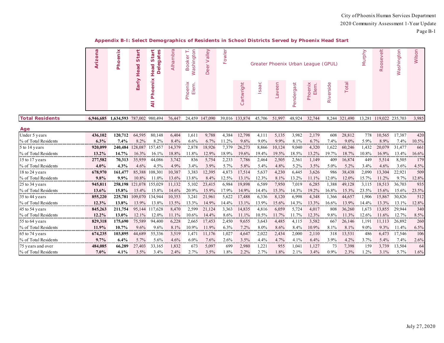|                        | Arizona   | Phoenix   | Start<br>Start<br>8<br>gat<br>ω<br>Head<br>Head<br>$\overline{\Phi}$<br>≏ |                 |        | Washington<br>ooker<br>൶ | alley<br>$\rm{>}$<br>Deer | owler<br>Щ |            |          |        |            | Greater Phoenix Urban League (GPUL) |           |               | Murphy  | Roosevelt       | Washington | Wilson     |
|------------------------|-----------|-----------|---------------------------------------------------------------------------|-----------------|--------|--------------------------|---------------------------|------------|------------|----------|--------|------------|-------------------------------------|-----------|---------------|---------|-----------------|------------|------------|
|                        |           |           | Early                                                                     | Phoenix<br>₹    |        | Elem.<br>Phoenix         |                           |            | Cartwright | Isaac    | Laveen | Pendergast | Phoenix<br>Elem.                    | Riverside | Total         |         |                 |            |            |
| <b>Total Residents</b> | 6,946,685 | 1,634,593 |                                                                           | 787,002 980,494 | 76,447 | 24,459                   | 147,090                   | 39,016     | 133,874    | 45,706   | 51,997 | 48,924     | 32,744                              |           | 8,244 321,490 | 13,281  | 119,022 235,703 |            | 3,985      |
| Age                    |           |           |                                                                           |                 |        |                          |                           |            |            |          |        |            |                                     |           |               |         |                 |            |            |
| Under 5 years          | 436,102   | 120,712   | 64,595                                                                    | 80.148          | 6,404  | 1,611                    | 9,788                     | 4,384      | 12,798     | 4,111    | 5,135  | 3,982      | 2,179                               | 608       | 28,812        | 778     | 10,565          | 17,387     | 420        |
| % of Total Residents   | 6.3%      | 7.4%      | 8.2%                                                                      | 8.2%            | 8.4%   | 6.6%                     | 6.7%                      | 11.2%      | 9.6%       | $9.0\%$  | 9.9%   | 8.1%       | 6.7%                                | 7.4%      | $9.0\%$       | 5.9%    | 8.9%            | 7.4%       | 10.5%      |
| 5 to 14 years          | 920,099   | 240,484   | 128,087 157,457                                                           |                 | 14,379 | 2,878                    | 18,926                    | 7,379      | 26,273     | 8,866    | 10,124 | 9,040      | 4,320                               | 1,622     | 60,246        | 1,432   | 20,079          | 31,477     | 661        |
| % of Total Residents   | 13.2%     | 14.7%     | 16.3%                                                                     | 16.1%           | 18.8%  | 11.8%                    | 12.9%                     | 18.9%      | 19.6%      | 19.4%    | 19.5%  | 18.5%      | 13.2%                               | 19.7%     | 18.7%         | 10.8%   | 16.9%           | 13.4%      | 16.6%      |
| 15 to 17 years         | 277,582   | 70,313    | 35,959                                                                    | 44,086          | 3,742  | 836                      | 5,754                     | 2,233      | 7,786      | 2,464    | 2,505  | 2,561      | 1,149                               | 409       | 16,874        | 449     | 5,514           | 8,505      | 179        |
| % of Total Residents   | 4.0%      | 4.3%      | 4.6%                                                                      | 4.5%            | 4.9%   | 3.4%                     | 3.9%                      | 5.7%       | 5.8%       | 5.4%     | 4.8%   | 5.2%       | 3.5%                                | 5.0%      | 5.2%          | 3.4%    | 4.6%            | 3.6%       | 4.5%<br>   |
| 18 to 24 years         | 678,970   | 161,477   | 85,388                                                                    | 108,301         | 10,387 | 3,383                    | 12,395                    | 4,873      | 17,514     | 5,637    | 4,230  | 6,445      | 3,626                               | 986       | 38,438        | 2,090   | 13,304          | 22,921     | 509        |
| % of Total Residents   | 9.8%      | 9.9%      | 10.8%                                                                     | 11.0%           | 13.6%  | 13.8%                    | 8.4%                      | 12.5%      | 13.1%      | 12.3%    | 8.1%   | 13.2%      | 11.1%                               | 12.0%     | 12.0%         | 15.7%   | 11.2%           | 9.7%       | 12.8%      |
| 25 to 34 years         | 945,811   | 258,198   | 121,078 155,029                                                           |                 | 11,132 | 5,102                    | 23,415                    | 6,984      | 19,898     | 6,589    | 7,950  | 7,019      | 6,285                               | 1,388     | 49,128        | 3,115   | 18,513          | 36,703     | 935        |
| % of Total Residents   | 13.6%     | 15.8%     | 15.4%                                                                     | 15.8%           | 14.6%  | 20.9%                    | 15.9%                     | 17.9%      | 14.9%      | 14.4%    | 15.3%  | 14.3%      | 19.2%                               | 16.8%     | 15.3%         | 23.5%   | 15.6%           | 15.6%      | 23.5%      |
| 35 to 44 years         | 855,220   | 225,781   | 109,070                                                                   | 134,944         | 10,353 | 3,241                    | 21,961                    | 5,622      | 17,488     | 6,336    | 8,120  | 6,998      | 4,348                               | 1,366     | 44,657        | 1,906   | 15,867          | 30,826     | 512        |
| % of Total Residents   | 12.3%     | 13.8%     | 13.9%                                                                     | 13.8%           | 13.5%  | 13.3%                    | 14.9%                     | 14.4%      | 13.1%      | 13.9%    | 15.6%  | 14.3%      | 13.3%                               | 16.6%     | 13.9%         | 14.4%   | 13.3%           | 13.1%      | 12.8%<br>. |
| 45 to 54 years         | 845,263   | 211,754   |                                                                           | 95,144 117,628  | 8,470  | 2,599                    | 21,124                    | 3,363      | 14,835     | 4,816    | 6,059  | 5,724      | 4,017                               | 808       | 36,260        | 1,673   | 13,855          | 29,944     | 340        |
| % of Total Residents   | 12.2%     | 13.0%     | 12.1%                                                                     | 12.0%           | 11.1%  | 10.6%                    | 14.4%                     | 8.6%       | 11.1%      | 10.5%    | 11.7%  | 11.7%      | 12.3%                               | 9.8%      | 11.3%         | 12.6%   | 11.6%           | 12.7%      | 8.5%<br>.  |
| 55 to 64 years         | 829,318   | 175,690   | 75,589                                                                    | 94,400          | 6,228  | 2,665                    | 17,453                    | 2,450      | 9,655      | 3,643    | 4,485  | 4,115      | 3,582                               | 667       | 26,146        | 1,191   | 11,113          | 26,892     | 260        |
| % of Total Residents   | 11.9%     | 10.7%     | 9.6%                                                                      | 9.6%            | 8.1%   | 10.9%                    | 11.9%                     | 6.3%       | 7.2%       | 8.0%     | 8.6%   | 8.4%       | 10.9%                               | 8.1%      | 8.1%          | $9.0\%$ | 9.3%            | 11.4%      | 6.5%<br>.  |
| 65 to 74 years         | 674,235   | 103,895   | 44,689                                                                    | 55,336          | 3,519  | 1.471                    | 11,176                    | 1,027      | 4,647      | 2,022    | 2,434  | 2,000      | 2,110                               | 318       | 13,531        | 486     | 6,473           | 17,546     | 106        |
| % of Total Residents   | 9.7%      | 6.4%      | 5.7%                                                                      | 5.6%            | 4.6%   | $6.0\%$                  | 7.6%                      | 2.6%       | 3.5%       | 4.4%<br> | 4.7%   | 4.1%       | 6.4%                                | 3.9%      | 4.2%          | 3.7%    | 5.4%            | 7.4%<br>.  | 2.6%<br>   |
| 75 years and over      | 484,085   | 66,289    | 27,403                                                                    | 33,165          | 1,832  | 673                      | 5,097                     | 699        | 2,980      | 1,221    | 955    | 1,041      | 1,127                               | 73        | 7,398         | 159     | 3,739           | 13,504     | 64         |
| % of Total Residents   | 7.0%      | 4.1%      | 3.5%                                                                      | 3.4%            | 2.4%   | 2.7%                     | 3.5%                      | 1.8%       | 2.2%       | 2.7%     | 1.8%   | 2.1%       | 3.4%                                | 0.9%      | 2.3%          | 1.2%    | 3.1%            | 5.7%       | 1.6%       |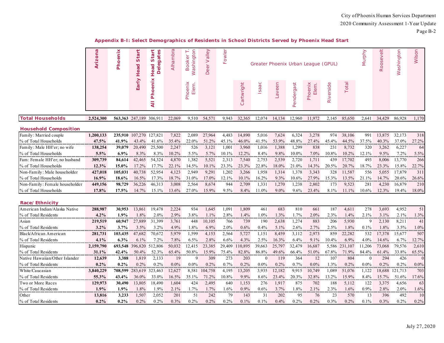#### **Appendix B-I: Select Demographics of Residents in School Districts Served by Phoenix Head Start**

|                                 | Arizona   | Phoenix   | art<br>5<br>Head | Start<br>gates<br><b>Deleg</b><br>Head | Alhambra    | Washington<br>⊢<br><b>Booker</b> | Deer Valley | Fowler     |            |            |         |            | Greater Phoenix Urban League (GPUL) |            |         | Murphy     | Roosevelt | Washington  | Wilson                  |
|---------------------------------|-----------|-----------|------------------|----------------------------------------|-------------|----------------------------------|-------------|------------|------------|------------|---------|------------|-------------------------------------|------------|---------|------------|-----------|-------------|-------------------------|
|                                 |           |           | Early            | Phoenix<br>₹                           |             | Phoenix<br>Elem.                 |             |            | Cartwright | Isaac      | Laveen  | Pendergast | Phoenix<br>Elem.                    | Riverside  | Total   |            |           |             |                         |
| <b>Total Households</b>         | 2,524,300 | 563,363   | 247,189          | 306,91                                 | 22,069      | 9,510                            | 54,571      | 9.943      | 32,365     | 12,074     | 14,134  | 12,960     | 11,972                              | 2,145      | 85,650  | 2,641      | 34,429    | 86,928      | 1,170                   |
| <b>Household Composition</b>    |           |           |                  |                                        |             |                                  |             |            |            |            |         |            |                                     |            |         |            |           |             |                         |
| Family: Married couple          | 1,200,133 | 235,910   | 107,270          | 127,821                                | 7,822       | 2,089                            | 27,964      | 4,483      | 14,890     | 5,016      | 7,624   | 6,324      | 3,278                               | 974        | 38,106  | 991        | 13,875    | 32,173      | 318                     |
| % of Total Households           | 47.5%     | 41.9%     | 43.4%            | 41.6%                                  | 35.4%       | 22.0%                            | 51.2%       | 45.1%      | 46.0%      | 41.5%      | 53.9%   | 48.8%      | 27.4%                               | 45.4%      | 44.5%   | 37.5%      | 40.3%     | 37.0%       | 27.2%                   |
| Family: Male HH'er; no wife     | 138,254   | 39,079    | 20,490           | 25,500                                 | 2,247       | 526                              | 3,121       | 1,001      | 3,960      | 1,016      | 1,388   | 1,299      | 838                                 | 231        | 8,732   | 320        | 3,262     | 6,227       | -64                     |
| % of Total Households           | 5.5%      | 6.9%      | 8.3%             | 8.3%                                   | 10.2%       | 5.5%                             | 5.7%        | 10.1%      | 12.2%      | 8.4%       | 9.8%    | 10.0%      | 7.0%                                | 10.8%      | 10.2%   | 12.1%      | 9.5%      | 7.2%        | 5.5%                    |
| Fam: Female HH'er; no husband   | 309,739   | 84,614    | 42,465           | 54.324                                 | 4,870       | 1,382                            | 5,521       | 2,313      | 7,540      | 2,753      | 2,539   | 2.720      | 1,711                               | 439        | 17.702  | 493        | 8.006     | 13,770      | 266                     |
| % of Total Households           | 12.3%     | 15.0%     | 17.2%            | 17.7%                                  | 22.1%       | 14.5%                            | 10.1%       | 23.3%      | 23.3%      | 22.8%      | 18.0%   | 21.0%      | 14.3%                               | 20.5%      | 20.7%   | 18.7%      | 23.3%     | 15.8%       | 22.7%<br>.              |
| Non-Family : Male householder   | 427,018   | 105,031   | 40,738           | 52,954                                 | 4,123       | 2,949                            | 9,291       | 1,202      | 3,266      | 1,958      | 1,314   | 1,378      | 3,343                               | 328        | 11,587  | 556        | 5,055     | 17,879      | 31                      |
| % of Total Households           | 16.9%     | 18.6%     | 16.5%            | 17.3%                                  | 18.7%       | 31.0%                            | 17.0%       | 12.1%      | 10.1%      | 16.2%      | 9.3%    | 10.6%      | 27.9%                               | 15.3%      | 13.5%   | 21.1%      | 14.7%     | 20.6%       | 26.6%                   |
| Non-Family : Female householder | 449,156   | 98,729    | 36,226           | 46,313                                 | 3,008       | 2,564                            | 8,674       | 944        | 2,709      | 1,331      | 1,270   | 1,238      | 2,802                               | 173        | 9,523   | 281        | 4,230     | 16,879      | 210                     |
| % of Total Households           | 17.8%     | 17.5%     | 14.7%            | 15.1%                                  | 13.6%       | 27.0%                            | 15.9%       | 9.5%       | 8.4%       | 11.0%      | $9.0\%$ | 9.6%       | 23.4%                               | 8.1%       | 11.1%   | 10.6%      | 12.3%     | 19.4%       | 18.0%                   |
| Race/Ethnicity                  |           |           |                  |                                        |             |                                  |             |            |            |            |         |            |                                     |            |         |            |           |             |                         |
| American Indian/Alaska Native   | 288,987   | 30,953    | 13,861           | 19,478                                 | 2,224       | 934                              | 1,645       | 1,091      | 1,809      | 461        | 683     | 810        | 661                                 | 187        | 4,611   | 278        | 3,693     | 4,952       | 51                      |
| % of Total Residents            | 4.2%      | 1.9%      | 1.8%             | 2.0%                                   | 2.9%        | 3.8%                             | 1.1%        | 2.8%       | 1.4%       | 1.0%       | 1.3%    | 1.7%       | 2.0%                                | 2.3%       | 1.4%    | 2.1%       | 3.1%      | 2.1%        | 1.3%                    |
| Asian                           | 219,519   | 60,947    | 27,889           | 31,399                                 | 3,761       | 448                              | 10.105      | 766        | 739        | 190        | 2,638   | 1,274      | 883                                 | 206        | 5,930   | 9          | 2,130     | 8,211       | 41                      |
| % of Total Residents            | 3.2%      | 3.7%      | 3.5%             | 3.2%                                   | 4.9%        | 1.8%                             | 6.9%        | 2.0%       | 0.6%       | 0.4%       | 5.1%    | 2.6%       | 2.7%                                | 2.5%       | 1.8%    | 0.1%       | 1.8%      | 3.5%        | $1.0\%$                 |
| Black/African American          | 281,731   | 103,435   | 47,682           | 70,672                                 | 5,979       | 1,599                            | 4,153       | 2,564      | 5,727      | 1,151      | 8,459   | 3,112      | 2,973                               | 859        | 22,282  | 532        | 17,378    | 15,677      | 507                     |
| % of Total Residents<br>.       | 4.1%      | 6.3%<br>. | 6.1%             | 7.2%                                   | 7.8%        | 6.5%                             | 2.8%        | 6.6%       | 4.3%       | 2.5%       | 16.3%   | 6.4%       | 9.1%                                | 10.4%      | 6.9%    | 4.0%       | 14.6%     | 6.7%        | 12.7%<br><b>ALCOHOL</b> |
| Hispanic                        | 2,159,790 | 693,548   | 396,820          | 512,806                                | 50,032      | 12,415                           | 23,385      | 29,409     | 10,895     | 39,663     | 25,797  | 32,479     | 16,687                              | 5,586      | 231,107 | 1,206      | 73,068    | 79,576      | 2,610                   |
| % of Total Residents            | 31.1%     | 42.4%     | 50.4%            | 52.3%                                  | 65.4%       | 50.8%                            | 15.9%       | 75.4%      | 82.8%      | 86.8%      | 49.6%   | 66.4%      | 51.0%                               | 67.8%      | 71.9%   | 84.4%      | 61.4%     | 33.8%       | 65.5%                   |
| Native Hawaiian/Other Islander  | 12,639    | 3,388     | 1,819            | 2,133                                  | 19          | 9                                | 309         | 273        | 203        | $\Omega$   | 119     | 364        | 12                                  | 107        | 804     | $\theta$   | 294       | 426         |                         |
| % of Total Residents            | 0.2%      | $0.2\%$   | 0.2%             | 0.2%                                   | $0.0\%$     | $0.0\%$                          | 0.2%        | 0.7%       | 0.2%       | $0.0\%$    | 0.2%    | 0.7%       | $0.0\%$                             | 1.3%       | 0.2%    | $0.0\%$    | 0.2%      | 0.2%        | $0.0\%$                 |
| White/Caucasian                 | 3,840,229 | 708,599   | 283,619          | 323,463                                | 12,627      | 8,581                            | 104,758     | 4,195      | 13,205     | 3,935      | 12,182  | 9,915      | 10,749                              | 1,089      | 51,076  | 1,122      | 18,688    | 121,713     | 703                     |
| % of Total Residents            | 55.3%     | 43.4%     | 36.0%            | 33.0%                                  | 16.5%       | 35.1%                            | 71.2%       | 10.8%      | $9.9\%$    | 8.6%       | 23.4%   | 20.3%      | 32.8%                               | 13.2%      | 15.9%   | 8.4%       | 15.7%     | 51.6%       | 17.6%<br>               |
| Two or More Races               | 129,973   | 30,490    | 13,805           | 18,490                                 | 1,604       | 424                              | 2,495       | 640        | 1,153      | 276        | 1,917   | 875        | 702                                 | 188        | 5,112   | 122        | 3,375     | 4,656       | 63                      |
| % of Total Residents            | $1.9\%$   | $1.9\%$   | 1.8%             | 1.9%                                   | 2.1%        | 1.7%                             | 1.7%        | 1.6%       | 0.9%       | 0.6%       | 3.7%    | 1.8%       | 2.1%                                | 2.3%       | 1.6%    | 0.9%       | 2.8%      | 2.0%        | 1.6%                    |
| Other                           | 13,816    | 3,233     | 1,507<br>0.2%    | 2,052<br>0.2%                          | 201<br>0.3% | 51<br>0.2%                       | 242         | 79<br>0.2% | 143        | 31<br>0.1% | 202     | 95         | 76<br>0.2%                          | 23<br>0.3% | 570     | 13<br>0.1% | 396       | 492<br>0.2% | -10                     |
| % of Total Residents            | 0.2%      | $0.2\%$   |                  |                                        |             |                                  | 0.2%        |            | 0.1%       |            | 0.4%    | 0.2%       |                                     |            | 0.2%    |            | $0.3\%$   |             | 0.2%                    |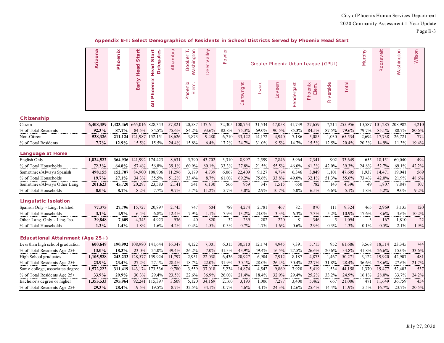|  |  |  | Appendix B-I: Select Demographics of Residents in School Districts Served by Phoenix Head Start |
|--|--|--|-------------------------------------------------------------------------------------------------|
|  |  |  |                                                                                                 |

|                                    | Arizona   | Phoenix    | Start<br>Head           | Start<br><b>es</b><br>gat<br>ω<br>Head<br>$\overline{\Phi}$<br>$\Box$ | Alhambra | Washington<br><b>Booker</b> | Deer Valley | Fowler<br>Greater Phoenix Urban League (GPUL) |            |        |         |            |                  | Murphy    | Roosevelt | Washington | Wilson  |         |             |
|------------------------------------|-----------|------------|-------------------------|-----------------------------------------------------------------------|----------|-----------------------------|-------------|-----------------------------------------------|------------|--------|---------|------------|------------------|-----------|-----------|------------|---------|---------|-------------|
|                                    |           |            | Early                   | Phoenix<br>$\overline{a}$                                             |          | Elem.<br>Phoenix            |             |                                               | Cartwright | Isaac  | Laveen  | Pendergast | Phoenix<br>Elem. | Riverside | Total     |            |         |         |             |
| Citizenship                        |           |            |                         |                                                                       |          |                             |             |                                               |            |        |         |            |                  |           |           |            |         |         |             |
| Citizen                            | 6,408,359 | 1,423,469  | 665,016 828,343         |                                                                       | 57,821   | 20,587                      | 137,611     | 32,305                                        | 100,753    | 31,534 | 47,058  | 41,739     | 27,659           | 7,214     | 255,956   | 10,587     | 101.285 | 208,982 | 3,210       |
| % of Total Residents               | 92.3%     | 87.1%      | 84.5%                   | 84.5%                                                                 | 75.6%    | 84.2%                       | 93.6%       | 82.8%                                         | 75.3%      | 69.0%  | 90.5%   | 85.3%      | 84.5%            | 87.5%     | 79.6%     | 79.7%      | 85.1%   | 88.7%   | 80.6%<br>.  |
| Non-Citizen                        | 538,326   | 211,124    | 121,987                 | 152,151                                                               | 18,626   | 3,873                       | 9,480       | 6,710                                         | 33,122     | 14,172 | 4,940   | 7,186      | 5,085            | 1,030     | 65,534    | 2,694      | 17,738  | 26,721  | 774         |
| % of Total Residents               | 7.7%      | 12.9%      | 15.5%                   | 15.5%                                                                 | 24.4%    | 15.8%                       | $6.4\%$     | 17.2%                                         | 24.7%      | 31.0%  | 9.5%    | 14.7%      | 15.5%            | 12.5%     | 20.4%     | 20.3%      | 14.9%   | 11.3%   | 19.4%       |
| Language at Home                   |           |            |                         |                                                                       |          |                             |             |                                               |            |        |         |            |                  |           |           |            |         |         |             |
| English Only                       | 1,824,522 |            | 364,936 141,992 174,423 |                                                                       | 8,631    | 5,790                       | 43,702      | 3,310                                         | 8,997      | 2,599  | 7,846   | 5,964      | 7,341            | 902       | 33,649    | 655        | 18,151  | 60,040  | 494         |
| % of Total Households<br>.         | 72.3%     | 64.8%<br>. | 57.4%                   | 56.8%                                                                 | 39.1%    | 60.9%                       | 80.1%       | 33.3%                                         | 27.8%      | 21.5%  | 55.5%   | 46.0%      | 61.3%            | 42.0%     | 39.3%     | 24.8%      | 52.7%   |         | 69.1% 42.2% |
| Sometimes/Always Spanish           | 498,155   | 152,707    |                         | 84,900 108,906                                                        | 11,296   | 3,179                       | 4,739       | 6,067                                         | 22,409     | 9,127  | 4,774   | 6,346      | 3,849            | 1,101     | 47,605    | 1,937      | 14,471  | 19,041  | 569         |
| % of Total Households              | 19.7%     | 27.1%      | 34.3%                   | 35.5%                                                                 | 51.2%    | 33.4%                       | 8.7%        | 61.0%                                         | 69.2%      | 75.6%  | 33.8%   | 49.0%      | 32.1%            | 51.3%     | 55.6%     | 73.4%      | 42.0%   | 21.9%   | 48.6%       |
| Sometimes/Always Other Lang.       | 201,623   | 45,720     | 20,297                  | 23,583                                                                | 2,141    | 541                         | 6,130       | 566                                           | 959        | 347    | 1,515   | 650        | 782              | 143       | 4,396     | 49         | 1,807   | 7,847   | 107         |
| % of Total Households              | 8.0%      | 8.1%       | 8.2%                    | 7.7%                                                                  | 9.7%     | 5.7%                        | 11.2%       | 5.7%                                          | 3.0%       | 2.9%   | 10.7%   | 5.0%       | 6.5%             | 6.6%      | 5.1%      | 1.8%       | 5.2%    | $9.0\%$ | 9.2%        |
| Linguistic Isolation               |           |            |                         |                                                                       |          |                             |             |                                               |            |        |         |            |                  |           |           |            |         |         |             |
| Spanish Only - Ling. Isolated      | 77,375    | 27,796     | 15,727                  | 20,897                                                                | 2,745    | 747                         | 604         | 789                                           | 4,274      | 2,781  | 467     | 821        | 870              | 111       | 9,324     | 465        | 2,969   | 3,135   | 120         |
| % of Total Households              | 3.1%      | 4.9%       | 6.4%                    | 6.8%                                                                  | 12.4%    | 7.9%                        | 1.1%        | 7.9%                                          | 13.2%      | 23.0%  | 3.3%    | 6.3%       | 7.3%             | 5.2%      | 10.9%     | 17.6%      | 8.6%    | 3.6%    | 10.2%       |
| Other Lang. Only - Ling. Iso.      | 29,848    | 7,609      | 4,345                   | 4,923                                                                 | 936      | 40                          | 820         | 32                                            | 239        | 202    | 220     | 81         | 346              | 5         | 1,094     | 3          | 167     | 1,810   | 22          |
| % of Total Households              | 1.2%      | 1.4%       | 1.8%                    | 1.6%                                                                  | 4.2%     | 0.4%                        | 1.5%        | 0.3%                                          | 0.7%       | 1.7%   | $1.6\%$ | 0.6%       | 2.9%             | 0.3%      | 1.3%      | 0.1%       | 0.5%    | 2.1%    | 1.9%        |
| Educational Attainment (Age $25+)$ |           |            |                         |                                                                       |          |                             |             |                                               |            |        |         |            |                  |           |           |            |         |         |             |
| Less than high school graduation   | 600,649   | 190,992    | 108,980                 | 141,644                                                               | 16,347   | 4,122                       | 7,001       | 6,315                                         | 30,510     | 12,174 | 4,945   | 7,391      | 5,715            | 952       | 61,686    | 3,568      | 18,514  | 23,345  | 744         |
| % of Total Residents Age 25+       | 13.0%     | 18.3%      | 23.0%                   | 24.0%                                                                 | 39.4%    | 26.2%                       | 7.0%        | 31.3%                                         | 43.9%      | 49.4%  | 16.5%   | 27.5%      | 26.6%            | 20.6%     | 34.8%     | 41.8%      | 26.6%   | 15.0%   | 33.6%       |
| High School graduates              | 1,105,528 | 243,233    | 128,577 159,924         |                                                                       | 11,797   | 2,951                       | 22,038      | 6,436                                         | 20,927     | 6,904  | 7,912   | 8,187      | 4,873            | 1,467     | 50,271    | 3,122      | 19,920  | 42,907  | 481         |
| % of Total Residents Age 25+       | 23.9%     | 23.4%      | 27.2%                   | 27.1%                                                                 | 28.4%    | 18.7%                       | 22.0%       | 31.9%                                         | 30.1%      | 28.0%  | 26.4%   | 30.4%      | 22.7%            | 31.8%     | 28.4%     | 36.6%      | 28.6%   | 27.6%   | 21.7%       |
| Some college, associates degree    | 1,572,222 | 311,419    | 143, 174 173, 536       |                                                                       | 9,780    | 3,559                       | 37,018      | 5,234                                         | 14,874     | 4,542  | 9,869   | 7,920      | 5,419            | 1,534     | 44,158    | 1,370      | 19,477  | 52,403  | 537         |
| % of Total Residents Age 25+       | 33.9%     | 29.9%      | 30.3%                   | 29.4%                                                                 | 23.5%    | 22.6%                       | 36.9%       | 26.0%                                         | 21.4%      | 18.4%  | 32.9%   | 29.4%      | 25.2%            | 33.2%     | 24.9%     | 16.1%      | 28.0%   | 33.7%   | 24.2%       |
| Bachelor's degree or higher        | 1,355,533 | 295,964    | 92,241                  | 115,397                                                               | 3,609    | 5,120                       | 34,169      | 2,160                                         | 3,193      | 1,006  | 7,277   | 3,400      | 5,462            | 667       | 21,006    | 471        | 11,649  | 36,759  | 454         |
| % of Total Residents Age 25+       | 29.3%     | 28.4%      | 19.5%                   | 19.5%                                                                 | 8.7%     | 32.5%                       | 34.1%       | 10.7%                                         | 4.6%       | 4.1%   | 24.3%   | 12.6%      | 25.4%            | 14.4%     | 11.9%     | 5.5%       | 16.7%   | 23.7%   | 20.5%       |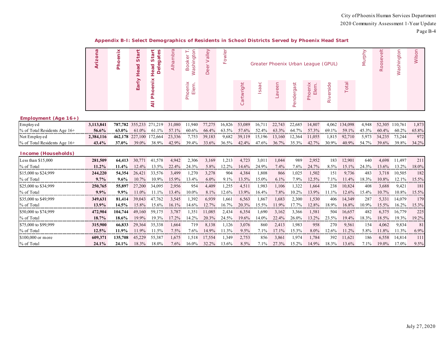|  |  |  | Appendix B-I: Select Demographics of Residents in School Districts Served by Phoenix Head Start |  |
|--|--|--|-------------------------------------------------------------------------------------------------|--|
|  |  |  |                                                                                                 |  |

| $\frac{1}{2}$ | Star<br>pe         | Star<br>ā<br>ead<br>க | Alhambr | $\overline{\circ}$<br>īs               | $\frac{1}{a}$<br>Deer | ш |             |       |            |               | Greater Phoenix Urban League (GPUL)              |               |      | 등<br><b>Roos</b> | ngtor<br>lse. | Wilsor |
|---------------|--------------------|-----------------------|---------|----------------------------------------|-----------------------|---|-------------|-------|------------|---------------|--------------------------------------------------|---------------|------|------------------|---------------|--------|
|               | $\bar{\mathbb{E}}$ | ×                     |         | ≚<br>읊<br>Ō<br>$\overline{\mathbf{r}}$ |                       |   | right<br>Ca | Isaac | reen<br>λě | dergast<br>C. | peni<br>$\frac{\overline{d}}{\overline{d}}$<br>ᅕ | bis<br>$\sim$ | otal |                  |               |        |

#### *Employment (Age 16+)*

| Employed                        |       |       |       | 787,782 355,233 271,219 31,080                                                       |       |       |                                     |  | 11,940 77,275 16,826 53,089 16,711 22,743 22,685 14,807 |  | 4,062 134,098           | 4.948       | 52,305 110,761 |                            | 1.873 |
|---------------------------------|-------|-------|-------|--------------------------------------------------------------------------------------|-------|-------|-------------------------------------|--|---------------------------------------------------------|--|-------------------------|-------------|----------------|----------------------------|-------|
| $\%$ of Total Residents Age 16+ | 56 6% | 63.0% |       | $61.0\%$ $61.1\%$ 57.1%                                                              |       | 60.6% |                                     |  | 66.4% 63.5% 57.6% 52.4% 63.3%                           |  | 64.7% 57.3% 69.1% 59.1% | 45.3%       |                | $60.4\%$ $60.2\%$ $65.8\%$ |       |
| Not Employed                    |       |       |       | 462,178 227,100 172,664 23,336 7,753 39,183 9,682 39,119 15,196 13,160 12,364 11,055 |       |       |                                     |  |                                                         |  | $1.815$ 92.710 5.973    |             | 34.235 73.244  |                            | 9721  |
| $\%$ of Total Residents Age 16+ |       | 37.0% | 39.0% | 38.9%                                                                                | 42.9% | 39.4% | $33.6\%$ $36.5\%$ $42.4\%$ $47.6\%$ |  | 36.7% 35.3% 42.7% 30.9%                                 |  |                         | 40.9% 54.7% | 39.6% 39.8%    |                            | 34.2% |

#### *Income (Households)*

| Less than $$15,000$  | 281,509  | 64,413  | 30,771   | 41.578   | 4.942    | 2,306 | 3,169    | 1.213    | 4,723    | 3,011 | 1,044   | 989      | 2,952   | 183     | 12,901 | 640   | 4.698 | 11.497   | 211 <sup>1</sup> |
|----------------------|----------|---------|----------|----------|----------|-------|----------|----------|----------|-------|---------|----------|---------|---------|--------|-------|-------|----------|------------------|
| % of Total           | $11.2\%$ | 11.4%   | $12.4\%$ | $13.5\%$ | $22.4\%$ | 24.3% | 5.8%     | $2.2\%$  | $14.6\%$ | 24.9% | $7.4\%$ | 7.6%     | 24.7%   | 8.5%    | 15.1%  | 24.3% | 13.6% | 13.2%    | 18.0%            |
| S15,000 to \$24,999  | 244,220  | 54,354  | 26,421   | 33,576   | 3.499    | .270  | 3,278    | 904      | 4.384    | 1.808 | 866     | 1.025    | 1,502   | 151     | 9.736  | 483   | 3.718 | 10.505   | 182              |
| % of Total           | $9.7\%$  | $9.6\%$ | $10.7\%$ | $10.9\%$ | 15.9%    | 13.4% | $6.0\%$  | $9.1\%$  | 13.5%    | 15.0% | $6.1\%$ | $7.9\%$  | 12.5%   | 7.1%    | 11.4%  | 18.3% | 10.8% | $12.1\%$ | $15.5\%$         |
| \$25,000 to \$34,999 | 250,765  | 55,897  | 27,200   | 34,095   | 2,956    | 954   | 4,409    | 1,255    | 4,511    | 1.983 | 1,106   | 1,322    | 1,664   | 238     | 10,824 | 408   | 3,688 | 9,421    | 181              |
| % of Total           | $9.9\%$  | $9.9\%$ | $11.0\%$ | $1.1\%$  | 13.4%    | 10.0% | 8.1%     | 12.6%    | 13.9%    | 16.4% | 7.8%    | 10.2%    | 13.9%   | $1.1\%$ | 12.6%  | 5.4%  | 10.7% | 10.8%    | 15.5%            |
| \$35,000 to \$49,999 | 349.631  | 81.414  | 39,043   | 47.762   | 3,545    | 1.392 | 6,939    | 1,661    | 6,563    | 1,867 | 1,683   | 2,300    | 1,530   | 406     | 14,349 | 287   | 5,331 | 14,079   | 179              |
| % of Total           | 13.9%    | 14.5%   | 15.8%    | $15.6\%$ | $16.1\%$ | 14.6% | 12.7%    | $16.7\%$ | 20.3%    | 15.5% | 1.9%    |          | 12.8%   | 18.9%   | 16.8%  | 10.9% | 15.5% | $16.2\%$ | 15.3%            |
| \$50,000 to \$74,999 | 472,904  | 104,744 | 49.160   | 59,175   | 3.787    | 1.351 | 11.085   | 2.434    | 6,354    | 1.690 | 3.162   | 3.366    | 1,581   | 504     | 16.657 | 482   | 6.375 | 16,779   | 225              |
| % of Total           | 18.7%    | 18.6%   | $19.9\%$ | $19.3\%$ | 17.2%    | 14.2% | 20.3%    | 24.5%    | 19.6%    | 14.0% | 22.4%   | 26.0%    | 13.2%   | 23.5%   | 19.4%  | 18.3% | 18.5% | 19.3%    | 19.2%            |
| \$75,000 to \$99,999 | 315,900  | 66.833  | 29.364   | 35,338   | 1.664    | 719   | 8.138    | .126     | 3,076    | -860  | 2,413   | 1.983    | 958     | 270     | 9,561  | 154   | 4.062 | 9,834    | 81 <sup>1</sup>  |
| % of Total           | 12.5%    | 11.9%   | $11.9\%$ | 11.5%    | $7.5\%$  | 7.6%  | $14.9\%$ | 11.3%    | $9.5\%$  | 7.1%  | 17.1%   | 5.3%     | $8.0\%$ | $2.6\%$ | 11.2%  | 5.8%  | 11.8% | 11.3%    | $6.9\%$          |
| $$100,000$ or more   | 609.371  | 135,708 | 45,229   | 55,387   | 1,675    | 1.518 | 17,554   | .349     | 2,753    | 856   | 3,861   | 1.974    | 1,784   | 392     | 11,621 | 186   | 6,558 | 14,814   | 1111             |
| % of Total           | 24.1%    | 24.1%   | 18.3%    | 18.0%    | $7.6\%$  | 16.0% | 32.2%    | $3.6\%$  | $8.5\%$  | 7.1%  | 27.3%   | $15.2\%$ | 14.9%   | 18.3%   | 13.6%  | 7.1%  | 19.0% | 17.0%    | 9.5%             |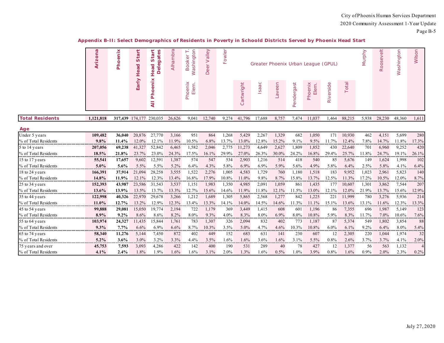|                        | Arizona   | Phoenix | à<br>$\omega$<br>Head | elegates<br>۳ę<br>سيد<br>S<br>Head<br>ó | Alhambra | Washington<br>Booker | Velley<br>$\,>$<br>Deer | Fowler |            |        |        |            | Greater Phoenix Urban League (GPUL) |           |          | Murphy   | $\frac{1}{\sqrt{2}}$<br>Roosev | Washington | Wilson |
|------------------------|-----------|---------|-----------------------|-----------------------------------------|----------|----------------------|-------------------------|--------|------------|--------|--------|------------|-------------------------------------|-----------|----------|----------|--------------------------------|------------|--------|
|                        |           |         | Early                 | enix<br>۰<br>Ě<br>$\bar{a}$             |          | Elem.<br>Phoenix     |                         |        | Cartwright | Isaac  | Laveen | Pendergast | Phoenix<br>Elem.                    | Riverside | Total    |          |                                |            |        |
| <b>Total Residents</b> | 1,121,818 | 317,439 | 174, 177 230, 035     |                                         | 26,626   | 9,041                | 12,740                  | 9,274  | 41,796     | 17,688 | 8,757  | 7,474      | 11,037                              | 1,464     | 88,215   | 5,938    | 28,230                         | 48,360     | 1,611  |
| Age                    |           |         |                       |                                         |          |                      |                         |        |            |        |        |            |                                     |           |          |          |                                |            |        |
| Under 5 years          | 109,482   | 36,040  | 20,876                | 27,770                                  | 3,166    | 951                  | 864                     | 1,268  | 5,429      | 2,267  | 1,329  | 682        | 1,050                               | 171       | 10,930   | 462      | 4,151                          | 5,699      | 280    |
| % of Total Residents   | 9.8%      | 11.4%   | 12.0%                 | 12.1%                                   | 11.9%    | 10.5%                | 6.8%                    | 13.7%  | 13.0%      | 12.8%  | 15.2%  | 9.1%       | 9.5%                                | 11.7%     | 12.4%    | 7.8%     | 14.7%                          | 11.8%      | 17.3%  |
| 5 to 14 years          | 207,056   | 69,238  | 41,327                | 52,842                                  | 6,465    | 1,582                | 2,046                   | 2,775  | 11,273     | 4,649  | 2,627  | 1,809      | 1,852                               | 430       | 22,640   | 701      | 6,960                          | 9,252      | 420    |
| % of Total Residents   | 18.5%     | 21.8%   | 23.7%                 | 23.0%                                   | 24.3%    | 17.5%                | 16.1%                   | 29.9%  | 27.0%      | 26.3%  | 30.0%  | 24.2%      | 16.8%                               | 29.4%     | 25.7%    | 11.8%    | 24.7%                          | 19.1%      | 26.1%  |
| 15 to 17 years         | 55,541    | 17,657  | 9,602                 | 12,591                                  | 1,387    | 574                  | 547                     | 534    | 2,903      | 1,216  | 514    | 418        | 540                                 | 85        | 5,676    | 149      | 1,624                          | 1,998      | 102    |
| % of Total Residents   | $5.0\%$   | 5.6%    | 5.5%                  | 5.5%                                    | 5.2%     | 6.4%                 | 4.3%                    | 5.8%   | 6.9%       | 6.9%   | 5.9%   | 5.6%       | 4.9%                                | 5.8%      | 6.4%     | 2.5%     | 5.8%                           | 4.1%       | 6.4%   |
| 18 to 24 years         | 166,391   | 37,914  | 21,094                | 28,258                                  | 3,555    | 1,522                | 2,276                   | 1,005  | 4,583      | 1,729  | 760    | 1,180      | 1,518                               | 183       | 9,952    | 1,023    | 2,961                          | 5,823      | 140    |
| % of Total Residents   | 14.8%     | 11.9%   | 12.1%                 | 12.3%                                   | 13.4%    | 16.8%                | 17.9%                   | 10.8%  | 11.0%      | 9.8%   | 8.7%   | 15.8%      | 13.7%                               | 12.5%     | 11.3%    | 17.2%    | 10.5%                          | 12.0%      | 8.7%   |
| 25 to 34 years         | 152,393   | 43,987  | 23,586                | 31.543                                  | 3,537    | 1,151                | 1,983                   | 1,350  | 4,985      | 2.091  | 1,059  | 861        | 1,435                               | 177       | 10.607   | 1,301    | 3,862                          | 7,544      | 207    |
| % of Total Residents   | 13.6%     | 13.9%   | 13.5%                 | 13.7%                                   | 13.3%    | 12.7%                | 15.6%                   | 14.6%  | 11.9%      | 11.8%  | 12.1%  | 11.5%      | 13.0%                               | 12.1%     | 12.0%    | 21.9%    | 13.7%                          | 15.6%      | 12.9%  |
| 35 to 44 years         | 122,998   | 40,326  | 22,970                | 29,678                                  | 3,266    | 1,212                | 1,689                   | 1,305  | 5,865      | 2,568  | 1,277  | 842        | 1,225                               | 221       | 11,999   | 780      | 3,276                          | 5,936      | 214    |
| % of Total Residents   | 11.0%     | 12.7%   | 13.2%                 | 12.9%                                   | 12.3%    | 13.4%                | 13.3%                   | 14.1%  | 14.0%      | 14.5%  | 14.6%  | 11.3%      | 11.1%                               | 15.1%     | 13.6%    | 13.1%    | 11.6%                          | 12.3%      | 13.3%  |
| 45 to 54 years         | 99,888    | 29,081  | 15,050                | 19,774                                  | 2,194    | 722                  | 1,179                   | 369    | 3,449      | 1,415  | 608    | 601        | 1,196                               | 86        | 7,355    | 696      | 1,987                          | 5,149      | 123    |
| % of Total Residents   | 8.9%      | $9.2\%$ | 8.6%                  | 8.6%                                    | 8.2%     | 8.0%                 | 9.3%                    | 4.0%   | 8.3%       | 8.0%   | 6.9%   | 8.0%       | 10.8%                               | 5.9%      | 8.3%     | 11.7%    | 7.0%                           | $10.6\%$   | 7.6%   |
| 55 to 64 years         | 103,974   | 24,327  | 11,435                | 15,844                                  | 1,761    | 783                  | 1,307                   | 326    | 2,094      | 832    | 402    | 773        | 1,187                               | 87        | 5,374    | 549      | 1,802                          | 3,854      | 88     |
| % of Total Residents   | $9.3\%$   | $7.7\%$ | 6.6%                  | 6.9%                                    | 6.6%     | 8.7%<br>.            | 10.3%                   | 3.5%   | 5.0%       | 4.7%   | 4.6%   | 10.3%      | 10.8%                               | 6.0%      | 6.1%     | 9.2%<br> | 6.4%                           | 8.0%<br>   | 5.4%   |
| 65 to 74 years         | 58,340    | 11,276  | 5,144                 | 7,450                                   | 872      | 402                  | 449                     | 152    | 683        | 631    | 141    | 230        | 607                                 | 12        | 2,305    | 220      | 1,044                          | 1,974      | 32     |
| % of Total Residents   | $5.2\%$   | 3.6%    | 3.0%                  | 3.2%<br>.                               | 3.3%     | 4.4%                 | 3.5%                    | 1.6%   | 1.6%       | 3.6%   | 1.6%   | 3.1%       | 5.5%<br>                            | 0.8%      | 2.6%<br> | 3.7%     | 3.7%                           | 4.1%       | 2.0%   |
| 75 years and over      | 45,753    | 7,593   | 3,093                 | 4,286                                   | 422      | 142                  | 400                     | 190    | 531        | 289    | 40     | 78         | 427                                 | 12        | 1,377    | -56      | 563                            | 1,132      |        |
| % of Total Residents   | 4.1%      | 2.4%    | 1.8%                  | 1.9%                                    | 1.6%     | 1.6%                 | 3.1%                    | 2.0%   | 1.3%       | 1.6%   | 0.5%   | 1.0%       | 3.9%                                | 0.8%      | 1.6%     | $0.9\%$  | 2.0%                           | 2.3%       | 0.2%   |

#### **Appendix B-II: Select Demographics of Residents in Poverty in Schoold Districts Served by Phoenix Head Start**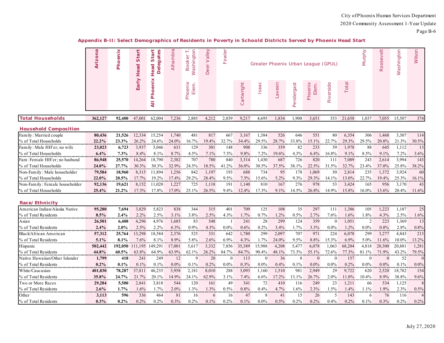|                                | Arizona | Phoenix | Start<br>Head | ārt<br><b>Delegates</b><br>5<br>Head | Alhambra | Washington<br>θr<br><b>Book</b> | Valley<br>Deer | Fowler   |            |          | Greater Phoenix Urban League (GPUL) |            |                  |           |         | Murphy       | Roosevelt | Washington | Wilson      |
|--------------------------------|---------|---------|---------------|--------------------------------------|----------|---------------------------------|----------------|----------|------------|----------|-------------------------------------|------------|------------------|-----------|---------|--------------|-----------|------------|-------------|
|                                |         |         | Early         | enix<br><b>Pho</b><br>₹              |          | Phoenix<br>Elem.                |                |          | Cartwright | Isaac    | Laveen                              | Pendergast | Phoenix<br>Elem. | Riverside | Total   |              |           |            |             |
| <b>Total Households</b>        | 362,127 | 92,400  | 47,001        | 62,004                               | 7,236    | 2,885                           | 4,212          | 2,039    | 9,217      | 4,695    | 1,834                               | 1,908      | 3,651            | 353       | 21,658  | 1,037        | 7,055     | 15,507     | 374         |
| <b>Household Composition</b>   |         |         |               |                                      |          |                                 |                |          |            |          |                                     |            |                  |           |         |              |           |            |             |
| Family: Married couple         | 80,436  | 21,526  | 12,334        | 15,254                               | 1,740    | 481                             | 817            | 667      | 3,167      | 1,384    | 526                                 | 646        | 551              | 80        | 6,354   | 306          | 1,468     | 3,307      | 114         |
| % of Total Households          | 22.2%   | 23.3%   | 26.2%         | 24.6%                                | 24.0%    | 16.7%                           | 19.4%          | 32.7%    | 34.4%      | 29.5%    | 28.7%                               | 33.8%      | 15.1%            | 22.7%     | 29.3%   | 29.5%        | 20.8%     | 21.3%      | 30.5%       |
| Family: Male HH'er; no wife    | 23,023  | 6,723   | 3,937         | 5,046                                | 631      | 129                             | 301            | 148      | 908        | 336      | 359                                 | 82         | 233              | 59        | 1,978   | 88           | 645       | 1,112      | 13          |
| % of Total Households          | 6.4%    | 7.3%    | 8.4%          | 8.1%                                 | 8.7%     | 4.5%                            | 7.1%           | 7.3%     | 9.8%       | 7.2%     | 19.6%                               | 4.3%       | 6.4%             | 16.8%     | 9.1%    | 8.5%         | 9.1%      | 7.2%       | 3.6%        |
| Fam: Female HH'er; no husband  | 86,948  | 25,570  | 14,264        | 18,790                               | 2,382    | 707                             | 780            | 840      | 3,314      | 1,430    | 687                                 | 726        | 820              | 111       | 7,089   | 243          | 2,614     | 3,994      | 143         |
| % of Total Households          | 24.0%   | 27.7%   | 30.3%         | 30.3%                                | 32.9%    | 24.5%                           | 18.5%          | 41.2%    | 36.0%      | 30.5%    | 37.5%                               | 38.1%      | 22.5%            | 31.5%     | 32.7%   | 23.4%        | 37.0%     | 25.8%      | 38.2%       |
| Non-Family: Male householder   | 79,584  | 18,960  | 8,315         | 11,894                               | 1,256    | 842                             | 1,197          | 193      | 688        | 734      | .<br>95                             | 178        | 1,069            | 50        | 2,814   | 235          | 1,372     | 3,924      | 60          |
| % of Total Households          | 22.0%   | 20.5%   | 17.7%         | 19.2%                                | 17.4%    | 29.2%                           | 28.4%          | 9.5%     | 7.5%       | 15.6%    | $5.2\%$                             | 9.3%       | 29.3%            | 14.1%     | 13.0%   | 22.7%        | 19.4%     | 25.3%      | 16.1%       |
| Non-Family: Female householder | 92,136  | 19,621  | 8,152         | 11,020                               | 1,227    | 725                             | 1,118          | 191      | 1,140      | 810      | 167                                 | 276        | 978              | 53        | 3,424   | 165          | 956       | 3,170      | 43          |
| % of Total Households          | 25.4%   | 21.2%   | 17.3%         | 17.8%                                | 17.0%    | 25.1%                           | 26.5%          | 9.4%     | 12.4%      | 17.3%    | 9.1%                                | 14.5%      | 26.8%            | 14.9%     | 15.8%   | 16.0%        | 13.6%     | 20.4%      | 11.6%       |
| Race/Ethnicity                 |         |         |               |                                      |          |                                 |                |          |            |          |                                     |            |                  |           |         |              |           |            |             |
| American Indian/Alaska Native  | 95,280  | 7,694   | 3,829         | 5,823                                | 838      | 344                             | 315            | 401      | 709        | 125      | 108                                 | 35         | 297              | 111       | 1,386   | 105          | 1,223     | 1,187      | 25          |
| % of Total Residents           | 8.5%    | 2.4%    | 2.2%          | 2.5%                                 | $3.1\%$  | 3.8%                            | 2.5%           | 4.3%     | 1.7%       | 0.7%     | 1.2%                                | 0.5%       | 2.7%             | 7.6%      | $1.6\%$ | $1.8\%$      | 4.3%      | 2.5%       | 1.6%        |
| Asian                          | 26,501  | 6,408   | 4,296         | 4,976                                | 1,685    | 83                              | 548            |          | 241        | 28       | 299                                 | 124        | 359              | $\Omega$  | 1,051   | 2            | 223       | 1,369      | 13          |
| % of Total Residents           | $2.4\%$ | 2.0%    | 2.5%          | 2.2%                                 | 6.3%     | 0.9%                            | 4.3%           | $0.0\%$  | 0.6%       | 0.2%     | 3.4%                                | 1.7%       | 3.3%             | $0.0\%$   | 1.2%    | $0.0\%$      | 0.8%      | 2.8%       | 0.8%        |
| Black/African American         | 57,312  | 25,764  | 13,298        | 18,584                               | 2,376    | 525                             | 331            | 642      | 1,780      | 299      | 2,097                               | 707        | 971              | 224       | 6,078   | 299          | 3,277     | 4,843      | 213         |
| % of Total Residents           | 5.1%    | 8.1%    | 7.6%          | 8.1%                                 | 8.9%     | 5.8%                            | 2.6%           | 6.9%     | 4.3%       | 1.7%     | 24.0%                               | 9.5%       | 8.8%             | 15.3%     | 6.9%    | 5.0%         | 11.6%     | 10.0%      | 13.2%       |
| Hispanic                       | 502,442 | 192,050 | 111,195       | 149,291                              | 17,001   | 5,617                           | 3,332          | 7,856    | 35,389     | 15,988   | 4,208                               | 5,477      | 6,078            | 1,063     | 68,204  | 4,818        | 20,300    | 20,881     | 1,281       |
| % of Total Residents           | 44.8%   | 60.5%   | 63.8%         | 64.9%                                | 63.9%    | 62.1%                           | 26.2%          | 84.7%    | 84.7%      | 90.4%    | 48.1%                               | 73.3%      | 55.1%            | 72.6%     | 77.3%   | 81.1%        | 71.9%     | 43.2%      | 79.5%       |
| Native Hawaiian/Other Islander | 1,799   | 418     | 241           | 249                                  | 12       | 9                               | 20             | $\theta$ | 113        | $\Omega$ | 36                                  | 8          | $\overline{0}$   | $\theta$  | 157     | $\mathbf{0}$ | $\Omega$  | 52         | $\mathbf 0$ |
| % of Total Residents           | 0.2%    | 0.1%    | 0.1%          | 0.1%                                 | 0.0%     | 0.1%                            | 0.2%           | $0.0\%$  | 0.3%       | $0.0\%$  | 0.4%                                | 0.1%       | $0.0\%$          | $0.0\%$   | 0.2%    | $0.0\%$      | $0.0\%$   | 0.1%       | $0.0\%$     |
| White/Caucasian                | 401,830 | 78,287  | 37,811        | 46,235                               | 3,958    | 2,181                           | 8,010          | 288      | 3,093      | 1,160    | 1,510                               | 981        | 2,949            | 29        | 9,722   | 620          | 2,520     | 18,782     | 154         |
| % of Total Residents           | 35.8%   | 24.7%   | 21.7%         | 20.1%                                | 14.9%    | 24.1%                           | 62.9%          | 3.1%     | 7.4%       | 6.6%     | 17.2%                               | 13.1%      | 26.7%            | 2.0%      | 11.0%   | 10.4%        | 8.9%      | 38.8%      | 9.6%        |
| Two or More Races              | 29,284  | 5,500   | 2,841         | 3,818                                | 544      | 120                             | 161            | 49       | 341        | 72       | 410                                 | 116        | 249              | 23        | 1,211   | 66           | 534       | 1,125      | 8           |
| % of Total Residents           | 2.6%    | 1.7%    | 1.6%          | 1.7%                                 | $2.0\%$  | 1.3%                            | 1.3%           | 0.5%     | 0.8%       | 0.4%     | 4.7%                                | 1.6%       | 2.3%             | 1.5%      | 1.4%    | 1.1%         | 1.9%      | 2.3%       | 0.5%        |
| Other                          | 3,113   | 596     | 336           | 464                                  | 81       | 16                              | 6              | 16       | 47         | 8        | 41                                  | 15         | 26               | .5        | 143     | 6            | 76        | 116        |             |
| % of Total Residents           | 0.3%    | 0.2%    | 0.2%          | 0.2%                                 | 0.3%     | 0.2%                            | 0.1%           | 0.2%     | 0.1%       | $0.0\%$  | 0.5%                                | 0.2%       | 0.2%             | 0.4%      | 0.2%    | $0.1\%$      | 0.3%      | 0.2%       | 0.2%        |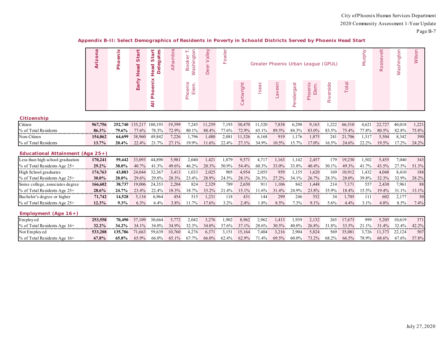|                                     | Arizona | Phoenix | tart<br>$\omega$<br>Head | ārt<br>gates<br>$rac{\tilde{\mathbf{e}}}{\mathbf{e}}$<br>Head<br>≏ | Alhambra | Washington<br>ooker | alley<br>><br>Deer | owler<br>ш |                      | Greater Phoenix Urban League (GPUL) |        |            |                  |           |        | Murphy | $\frac{1}{\Theta}$<br>Roosev | Washington | Wilson |
|-------------------------------------|---------|---------|--------------------------|--------------------------------------------------------------------|----------|---------------------|--------------------|------------|----------------------|-------------------------------------|--------|------------|------------------|-----------|--------|--------|------------------------------|------------|--------|
|                                     |         |         | Early                    | ×<br>Ë<br>٥<br>혼<br>Ę                                              |          | Elem.<br>Phoenix    |                    |            | artwright<br>$\circ$ | saac                                | Laveen | Pendergast | Phoenix<br>Elem. | Riverside | Total  |        |                              |            |        |
| Citizenship                         |         |         |                          |                                                                    |          |                     |                    |            |                      |                                     |        |            |                  |           |        |        |                              |            |        |
| Citizen                             | 967,756 | 252,740 | 135,217                  | 180,193                                                            | 19,399   | 7,245               | 11,259             | 7,193      | 30,470               | 11,520                              | 7,838  | 6,298      | 9,163            | 1,222     | 66,510 | 4,621  | 22,727                       | 40,018     | 1,221  |
| % of Total Residents                | 86.3%   | 79.6%   | 77.6%                    | 78.3%                                                              | 72.9%    | 80.1%               | 88.4%              | 77.6%      | 72.9%                | 65.1%                               | 89.5%  | 84.3%      | 83.0%            | 83.5%     | 75.4%  | 77.8%  | 80.5%                        | 82.8%      | 75.8%  |
| Non-Citizen                         | 154,062 | 64,699  | 38,960                   | 49,842                                                             | 7,226    | 1,796               | 1,480              | 2,081      | 11,326               | 6,168                               | 919    | 1,176      | 1,875            | 241       | 21,706 | 1,317  | 5,504                        | 8,342      | 390    |
| % of Total Residents                | 13.7%   | 20.4%   | 22.4%                    | 21.7%                                                              | 27.1%    | 19.9%               | 11.6%              | 22.4%      | 27.1%                | 34.9%                               | 10.5%  | 15.7%      | 17.0%            | 16.5%     | 24.6%  | 22.2%  | 19.5%                        | 17.2%      | 24.2%  |
| Educational Attainment (Age $25+$ ) |         |         |                          |                                                                    |          |                     |                    |            |                      |                                     |        |            |                  |           |        |        |                              |            |        |
| Less than high school graduation    | 170,241 | 59,442  | 33,093                   | 44,890                                                             | 5,981    | 2,040               | 1,421              | 1,879      | 9,571                | 4,717                               | 1,163  | 1,142      | 2,457            | 179       | 19,230 | 1,502  | 5,455                        | 7,040      | 343    |
| % of Total Residents Age 25+        | 29.2%   | 38.0%   | 40.7%                    | 41.3%                                                              | 49.6%    | 46.2%               | 20.3%              | 50.9%      | 54.4%                | 60.3%                               | 33.0%  | 33.8%      | 40.4%            | 30.1%     | 49.3%  | 41.7%  | 43.5%                        | 27.5%      | 51.3%  |
| High School graduates               | 174,763 | 43,883  | 24,044                   | 32,367                                                             | 3,413    | 1,033               | 2,025              | 905        | 4,954                | 2,055                               | 959    | 1,155      | 1,620            | 169       | 10,912 | 1,432  | 4,048                        | 8,410      | 188    |
| % of Total Residents Age 25+        | 30.0%   | 28.0%   | 29.6%                    | 29.8%                                                              | 28.3%    | 23.4%               | 28.9%              | 24.5%      | 28.1%                | 26.3%                               | 27.2%  | 34.1%      | 26.7%            | 28.3%     | 28.0%  | 39.8%  | 32.3%                        | 32.9%      | 28.2%  |
| Some college, associates degree     | 166,602 | 38,737  | 19,006                   | 24,353                                                             | 2,204    | 824                 | 2,329              | 789        | 2,650                | 911                                 | 1,106  | 842        | 1,448            | 214       | 7,171  | 557    | 2,430                        | 7,961      | 88     |
| % of Total Residents Age 25+        | 28.6%   | 24.7%   | 23.4%                    | 22.4%                                                              | 18.3%    | 18.7%               | 33.2%              | 21.4%      | 15.1%                | 11.6%                               | 31.4%  | 24.9%      | 23.8%            | 35.9%     | 18.4%  | 15.5%  | 19.4%                        | 31.1%      | 13.1%  |
| Bachelor's degree or higher         | 71,742  | 14,528  | 5,134                    | 6,964                                                              | 454      | 515                 | 1,231              | 118        | 431                  | 144                                 | 299    | 246        | 552              | 34        | 1,705  | -111   | 602                          | 2,177      | 50     |
| % of Total Residents Age 25+        | 12.3%   | $9.3\%$ | 6.3%                     | 6.4%                                                               | 3.8%     | 11.7%               | 17.6%              | 3.2%       | 2.4%                 | 1.8%                                | 8.5%   | 7.3%       | 9.1%             | 5.6%      | 4.4%   | 3.1%   | 4.8%                         | 8.5%       | 7.4%   |
| Employment (Age $16+$ )             |         |         |                          |                                                                    |          |                     |                    |            |                      |                                     |        |            |                  |           |        |        |                              |            |        |
| Employed                            | 253,558 | 70,490  | 37,109                   | 30,664                                                             | 5,772    | 2,042               | 3,276              | 1,902      | 8,962                | 2,962                               | 1,413  | 1,939      | 2,132            | 265       | 17,673 | 999    | 5,205                        | 10,619     | 371    |
| % of Total Residents Age 16+        | 32.2%   | 34.2%   | 34.1%                    | 34.0%                                                              | 34.9%    | 32.3%               | 34.0%              | 37.6%      | 37.1%                | 28.6%                               | 30.5%  | 40.0%      | 26.8%            | 31.8%     | 33.5%  | 21.1%  | 31.4%                        | 32.4%      | 42.2%  |
| Not Employed                        | 533,208 | 135,786 | 71,663                   | 59,639                                                             | 10,760   | 4,276               | 6,371              | 3,15       | 15,164               | 7,404                               | 3,216  | 2,904      | 5,824            | 569       | 35,081 | 3,726  | 11,373                       | 22,124     | 507    |
| % of Total Residents Age 16+        | 67.8%   | 65.8%   | 65.9%                    | 66.0%                                                              | 65.1%    | 67.7%               | 66.0%              | 62.4%      | 62.9%                | 71.4%                               | 69.5%  | $60.0\%$   | 73.2%            | 68.2%     | 66.5%  | 78.9%  | 68.6%                        | 67.6%      | 57.8%  |

#### **Appendix B-II: Select Demographics of Residents in Poverty in Schoold Districts Served by Phoenix Head Start**